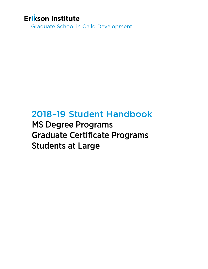# Erikson Institute

**Graduate School in Child Development** 

# 2018–19 Student Handbook

MS Degree Programs Graduate Certificate Programs Students at Large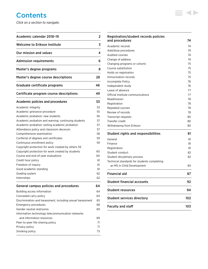# **Contents**

*Click on a section to navigate.*

| Academic calendar 2018-19                                  | 2        |
|------------------------------------------------------------|----------|
| <b>Welcome to Erikson Institute</b>                        | 3        |
| Our mission and values                                     | 4        |
| <b>Admission requirements</b>                              | 6        |
| Master's degree programs                                   | 8        |
| Master's degree course descriptions                        | 28       |
| Graduate certificate programs                              | 46       |
| Certificate program course descriptions                    | 49       |
| <b>Academic policies and procedures</b>                    | 53       |
| Academic integrity                                         | 53       |
| Academic grievance procedure                               | 55       |
| Academic probation: new students                           | 56       |
| Academic probation and warning: continuing students        | 57       |
| Academic probation: exiting academic probation             | 57       |
| Attendance policy and classroom decorum                    | 57       |
| Comprehensive examination                                  | 58       |
| Conferral of degrees and certificates                      | 59       |
| Continuous enrollment policy                               | 59       |
| Copyright protection for work created by others 59         |          |
| Copyright protection for work created by students          | 60       |
| Course and end-of-year evaluations                         | 60       |
| Credit hour policy                                         | 61       |
| Freedom of inquiry                                         | 61       |
| Good academic standing<br>Grading system                   | 61<br>62 |
| Internships                                                | 62       |
|                                                            |          |
| <b>General campus policies and procedures</b>              | 64       |
| Building access information                                | 64       |
| Concealed carry policy                                     | 64       |
| Discrimination and harassment, including sexual harassment | 65       |
| <b>Emergency procedures</b>                                | 68       |
| Gender neutral restrooms                                   | 69       |
| Information technology telecommunication networks          |          |
| and information resources                                  | 69       |
| Peer-to-peer file-sharing policy                           | 71       |
| Privacy policy                                             | 71       |
| Smoking policy                                             | 73       |

| Independent study<br>Leave of absence       | 76<br>77 |
|---------------------------------------------|----------|
| Official Institute communications           | 77       |
| Readmission                                 | 78       |
| Registration                                | 78       |
| Repeated courses                            | 78       |
| Review of records                           | 78       |
| Transcript requests                         | 80       |
| Transfer credit                             | 80       |
|                                             | 80       |
| Withdrawing from Erikson                    |          |
| <b>Student rights and responsibilities</b>  | 81       |
| General                                     | 81       |
| Finance                                     | 81       |
| Registration                                | 81       |
| Student conduct                             | 82       |
| Student disciplinary process                | 82       |
| Technical standards for students completing |          |
| an MS in Child Development                  | 84       |
| <b>Financial aid</b>                        | 87       |
| <b>Student financial accounts</b>           | 92       |
| <b>Student resources</b>                    | 94       |
|                                             |          |
| <b>Student services directory</b>           | 102      |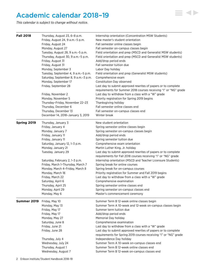# <span id="page-2-0"></span>Academic calendar 2018–19

*This calendar is subject to change without notice.*

| <b>Fall 2018</b>   | Thursday, August 23, 6-8 p.m.<br>Friday, August 24, 9 a.m.-5 p.m.<br>Friday, August 24         | Internship orientation (Concentration MSW Students)<br>New master's student orientation<br>Fall semester online classes begin                          |
|--------------------|------------------------------------------------------------------------------------------------|--------------------------------------------------------------------------------------------------------------------------------------------------------|
|                    | Monday, August 27                                                                              | Fall semester on-campus classes begin                                                                                                                  |
|                    | Tuesday, August 28, 9 a.m. - 5 p.m.<br>Thursday, August 30, 9 a.m.-5 p.m.<br>Friday, August 31 | Field orientation and prep (MSCD and Generalist MSW students)<br>Field orientation and prep (MSCD and Generalist MSW students)<br>Add/drop period ends |
|                    | Friday, August 31                                                                              | Fall semester tuition due                                                                                                                              |
|                    | Monday, September 3                                                                            | Labor Day holiday                                                                                                                                      |
|                    | Tuesday, September 4, 9 a.m.-5 p.m.                                                            | Field orientation and prep (Generalist MSW students)                                                                                                   |
|                    | Saturday, September 8, 9 a.m.-3 p.m.                                                           | Comprehensive exam                                                                                                                                     |
|                    | Monday, September 17                                                                           | Constitution Day observed                                                                                                                              |
|                    | Friday, September 28                                                                           | Last day to submit approved rewrites of papers or to complete<br>requirements for Summer 2018 courses receiving "I" or "NG" grade                      |
|                    | Friday, November 2                                                                             | Last day to withdraw from a class with a "W" grade                                                                                                     |
|                    | Monday, November 5                                                                             | Priority registration for Spring 2019 begins                                                                                                           |
|                    | Thursday-Friday, November 22-23                                                                | Thanksgiving holiday                                                                                                                                   |
|                    | Thursday, December 6                                                                           | Fall semester online classes end                                                                                                                       |
|                    | Thursday, December 13                                                                          | Fall semester on-campus classes end                                                                                                                    |
|                    | December 14, 2018-January 3, 2019                                                              | Winter break                                                                                                                                           |
| Spring 2019        | Thursday, January 3                                                                            | New student orientation                                                                                                                                |
|                    | Friday, January 4                                                                              | Spring semester online classes begin                                                                                                                   |
|                    | Monday, January 7                                                                              | Spring semester on-campus classes begin                                                                                                                |
|                    | Friday, January 11                                                                             | Add/drop period ends                                                                                                                                   |
|                    | Friday, January 11                                                                             | Spring semester tuition due                                                                                                                            |
|                    | Saturday, January 12, 1-3 p.m.                                                                 | Comprehensive exam orientation                                                                                                                         |
|                    | Monday, January 21<br>Tuesday, January 29                                                      | Martin Luther King, Jr. holiday<br>Last day to submit approved rewrites of papers or to complete                                                       |
|                    |                                                                                                | requirements for Fall 2018 courses receiving "I" or "NG" grade                                                                                         |
|                    | Saturday, February 2, 1-3 p.m.                                                                 | Internship orientation (MSCD and Teacher Licensure Students)                                                                                           |
|                    | Friday, March 1-Thursday, March 7                                                              | Spring break for online courses                                                                                                                        |
|                    | Monday, March 4-Friday, March 8                                                                | Spring break for on-campus courses                                                                                                                     |
|                    | Monday, March 18                                                                               | Priority registration for Summer and Fall 2019 begins                                                                                                  |
|                    | Friday, March 22                                                                               | Last day to withdraw from a class with a "W" grade                                                                                                     |
|                    | Saturday, April 6                                                                              | Comprehensive examination                                                                                                                              |
|                    | Thursday, April 25                                                                             | Spring semester online classes end                                                                                                                     |
|                    | Monday, April 29                                                                               | Spring semester on-campus classes end                                                                                                                  |
|                    | Monday, May 6                                                                                  | Master's commencement ceremony                                                                                                                         |
| <b>Summer 2019</b> | Friday, May 10                                                                                 | Summer Term B 12-week online classes begin                                                                                                             |
|                    | Monday, May 13                                                                                 | Summer Term A 10-week and 12-week on-campus classes begin                                                                                              |
|                    | Friday, May 17                                                                                 | Summer term tuition due                                                                                                                                |
|                    | Friday, May 17                                                                                 | Add/drop period ends                                                                                                                                   |
|                    | Monday, May 27                                                                                 | Memorial Day holiday                                                                                                                                   |
|                    | Saturday, June 8<br>Friday, June 21                                                            | Comprehensive examination<br>Last day to withdraw from a class with a "W" grade                                                                        |
|                    | Friday, June 28                                                                                | Last day to submit approved rewrites of papers or to complete                                                                                          |
|                    |                                                                                                | requirements for Spring 2019 courses receiving "I" or "NG" grade                                                                                       |
|                    | Thursday, July 4                                                                               | Independence Day holiday                                                                                                                               |
|                    | Wednesday, July 24                                                                             | Summer Term A 10-week on-campus classes end                                                                                                            |
|                    | Thursday, August 1                                                                             | Summer Term B 12-week online classes end                                                                                                               |
|                    | Wednesday, August 7                                                                            | Summer Term B 12-week on-campus classes end                                                                                                            |

 $\equiv$  4>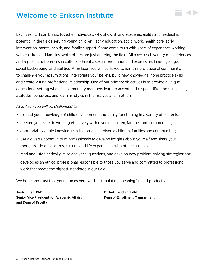# <span id="page-3-0"></span>Welcome to Erikson Institute

Each year, Erikson brings together individuals who show strong academic ability and leadership potential in the fields serving young children—early education, social work, health care, early intervention, mental health, and family support. Some come to us with years of experience working with children and families, while others are just entering the field. All have a rich variety of experiences and represent differences in culture, ethnicity, sexual orientation and expression, language, age, social background, and abilities. At Erikson you will be asked to join this professional community, to challenge your assumptions, interrogate your beliefs, build new knowledge, hone practice skills, and create lasting professional relationship. One of our primary objectives is to provide a unique educational setting where all community members learn to accept and respect differences in values, attitudes, behaviors, and learning styles in themselves and in others.

# *At Erikson you will be challenged to:*

- expand your knowledge of child development and family functioning in a variety of contexts;
- deepen your skills in working effectively with diverse children, families, and communities;
- appropriately apply knowledge in the service of diverse children, families and communities;
- use a diverse community of professionals to develop insights about yourself and share your thoughts, ideas, concerns, culture, and life experiences with other students;
- read and listen critically, raise analytical questions, and develop new problem-solving strategies; and
- develop as an ethical professional responsible to those you serve and committed to professional work that meets the highest standards in our field.

We hope and trust that your studies here will be stimulating, meaningful, and productive.

Jie-Qi Chen, PhD Michel Frendian, EdM Senior Vice President for Academic Affairs Dean of Enrollment Management and Dean of Faculty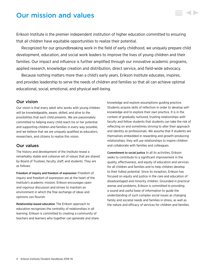# <span id="page-4-0"></span>Our mission and values

Erikson Institute is the premier independent institution of higher education committed to ensuring that all children have equitable opportunities to realize their potential.

Recognized for our groundbreaking work in the field of early childhood, we uniquely prepare child development, education, and social work leaders to improve the lives of young children and their families. Our impact and influence is further amplified through our innovative academic programs, applied research, knowledge creation and distribution, direct service, and field-wide advocacy.

Because nothing matters more than a child's early years, Erikson Institute educates, inspires, and provides leadership to serve the needs of children and families so that all can achieve optimal educational, social, emotional, and physical well-being.

# Our vision

Our vision is that every adult who works with young children will be knowledgeable, aware, skilled, and alive to the possibilities that each child presents. We are passionately committed to helping every child reach his or her potential and supporting children and families in every way possible, and we believe that we are uniquely qualified as educators, researchers, and citizens to realize this vision.

# Our values

The history and development of the Institute reveal a remarkably stable and cohesive set of values that are shared by Board of Trustees, faculty, staff, and students. They are as follows:

Freedom of inquiry and freedom of expression Freedom of inquiry and freedom of expression are at the heart of the Institute's academic mission. Erikson encourages open and vigorous discussion and strives to maintain an environment in which the free exchange of ideas and opinions can flourish.

Relationship-based education The Erikson approach to education recognizes the centrality of relationships in all learning. Erikson is committed to creating a community of teachers and learners who together can generate and share knowledge and explore assumptions guiding practice. Students acquire skills of reflection in order to develop selfknowledge and to explore their own practice. It is in the context of gradually nurtured, trusting relationships with faculty and fellow students that students can take the risk of reflecting on and sometimes striving to alter their approach and identity as professionals. We assume that if students are themselves embedded in rewarding and growth-producing relationships, they will use relationships to inspire children and collaborate with families and colleagues.

Commitment to social justice In all its activities, Erikson seeks to contribute to a significant improvement in the quality, effectiveness, and equity of education and services for all children and families and to help children develop to their fullest potential. Since its inception, Erikson has focused on equity and justice in the care and education of disadvantaged and minority children. Grounded in practical arenas and problems, Erikson is committed to providing a sound and useful base of information to guide the understanding of such complex social issues as changing family and societal needs and families in stress, as well as the nature and efficacy of services for children and families.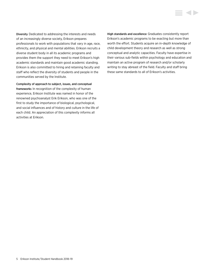Diversity Dedicated to addressing the interests and needs of an increasingly diverse society, Erikson prepares professionals to work with populations that vary in age, race, ethnicity, and physical and mental abilities. Erikson recruits a diverse student body in all its academic programs and provides them the support they need to meet Erikson's high academic standards and maintain good academic standing. Erikson is also committed to hiring and retaining faculty and staff who reflect the diversity of students and people in the communities served by the Institute.

Complexity of approach to subject, issues, and conceptual frameworks In recognition of the complexity of human experience, Erikson Institute was named in honor of the renowned psychoanalyst Erik Erikson, who was one of the first to study the importance of biological, psychological, and social influences and of history and culture in the life of each child. An appreciation of this complexity informs all activities at Erikson.

High standards and excellence Graduates consistently report Erikson's academic programs to be exacting but more than worth the effort. Students acquire an in-depth knowledge of child development theory and research as well as strong conceptual and analytic capacities. Faculty have expertise in their various sub-fields within psychology and education and maintain an active program of research and/or scholarly writing to stay abreast of the field. Faculty and staff bring these same standards to all of Erikson's activities.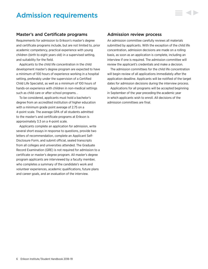# <span id="page-6-0"></span>Admission requirements

# Master's and Certificate programs

Requirements for admission to Erikson's master's degree and certificate programs include, but are not limited to, prior academic competency, practical experience with young children (birth to eight years old) in a supervised setting, and suitability for the field.

Applicants to the child life concentration in the child development master's degree program are expected to have a minimum of 100 hours of experience working in a hospital setting, preferably under the supervision of a Certified Child Life Specialist, as well as a minimum of 100 hours of hands-on experience with children in non-medical settings such as child care or after school programs. .

To be considered, applicants must hold a bachelor's degree from an accredited institution of higher education with a minimum grade point average of 2.75 on a 4-point scale. The average GPA of all students admitted to the master's and certificate programs at Erikson is approximately 3.3 on a 4-point scale.

Applicants complete an application for admission, write several short essays in response to questions, provide two letters of recommendation, complete an Applicant Self-Disclosure Form, and submit official, sealed transcripts from all colleges and universities attended. The Graduate Record Examination (GRE) is not required for admission to a certificate or master's degree program. All master's degree program applicants are interviewed by a faculty member, who completes a summary of the candidate's work and volunteer experiences, academic qualifications, future plans and career goals, and an evaluation of the interview.

# Admission review process

An admission committee carefully reviews all materials submitted by applicants. With the exception of the child life concentration, admission decisions are made on a rolling basis, as soon as an application is complete, including an interview if one is required. The admission committee will review the applicant's credentials and make a decision.

The admission committees for the child life concentration will begin review of all applications immediately after the application deadline. Applicants will be notified of the target dates for admission decisions during the interview process.

Applications for all programs will be accepted beginning in September of the year preceding the academic year in which applicants wish to enroll. All decisions of the admission committees are final.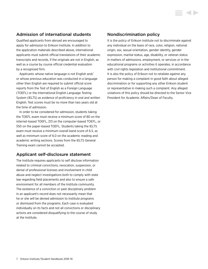# Admission of international students

Qualified applicants from abroad are encouraged to apply for admission to Erikson Institute. In addition to the application materials described above, international applicants must submit official translations of their academic transcripts and records, if the originals are not in English, as well as a course by course official credential evaluation by a recognized firm.

Applicants whose native language is not English and/ or whose previous education was conducted in a language other then English are required to submit official score reports from the Test of English as a Foreign Language (TOEFL) or the International English Language Testing System (IELTS) as evidence of proficiency in oral and written English. Test scores must be no more than two years old at the time of admission.

In order to be considered for admission, students taking the TOEFL exam must receive a minimum score of 80 on the internet-based TOEFL, 213 on the computer-based TOEFL, or 550 on the paper-based TOEFL. Students taking the IELTS exam must receive a minimum overall band score of 6.5, as well as minimum score of 6.0 on the academic reading and academic writing sections. Scores from the IELTS General Training exam cannot be accepted.

# Applicant self-disclosure statement

The Institute requires applicants to self disclose information related to criminal convictions, revocation, suspension, or denial of professional licenses and involvement in child abuse and neglect investigations both to comply with state law regarding field placements and also to ensure a safe environment for all members of the Institute community. The existence of a conviction or past disciplinary problem in an applicant's record does not necessarily mean that he or she will be denied admission to Institute programs or dismissed from the programs. Each case is evaluated individually on its facts and not all convictions or disciplinary actions are considered disqualifying to the course of study at the Institute.

# Nondiscrimination policy

It is the policy of Erikson Institute not to discriminate against any individual on the basis of race, color, religion, national origin, sex, sexual orientation, gender identity, gender expression, marital status, age, disability, or veteran status in matters of admissions, employment, or services or in the educational programs or activities it operates, in accordance with civil rights legislation and institutional commitment. It is also the policy of Erikson not to retaliate against any person for making a complaint in good faith about alleged discrimination or for supporting any other Erikson student or representative in making such a complaint. Any alleged violations of this policy should be directed to the Senior Vice President for Academic Affairs/Dean of Faculty.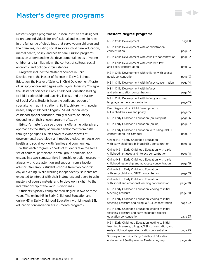# <span id="page-8-0"></span>Master's degree programs

Master's degree programs at Erikson Institute are designed to prepare individuals for professional and leadership roles in the full range of disciplines that serve young children and their families, including social services, child care, education, mental health, policy, and health care. Erikson programs focus on understanding the developmental needs of young children and families within the context of cultural, social, economic and political circumstances.

Programs include: the Master of Science in Child Development, the Master of Science in Early Childhood Education, the Master of Science in Child Development/Master of Jurisprudence (dual degree with Loyola University Chicago), the Master of Science in Early Childhood Education leading to initial early childhood teaching license, and the Master of Social Work. Students have the additional option of specializing in administration, child life, children with special needs, early childhood bilingual/ESL education, early childhood special education, family services, or infancy depending on their chosen program of study.

Erikson's master's degree programs offer a multidisciplinary approach to the study of human development from birth through age eight. Courses cover relevant aspects of developmental psychology, anthropology, education, sociology, health, and social work with families and communities.

Within each program, cohorts of students take the same set of courses, participate in small group seminars, and engage in a two-semester field internship or action research always with close attention and support from a faculty advisor. On-campus students choose from two cohorts: day or evening. While working independently, students are expected to interact with their instructors and peers to gain mastery of course material and to develop insight into the interrelationship of the various disciplines.

Students typically complete their degree in two or three years. The online MS in Early Childhood Education and online MS in Early Childhood Education with bilingual/ESL education concentration are 28-month programs.

#### **Master's degree programs**

| MS in Child Development                                                                                                                                       | page 11 |
|---------------------------------------------------------------------------------------------------------------------------------------------------------------|---------|
| MS in Child Development with administration<br>concentration                                                                                                  | page 12 |
| MS in Child Development with child life concentration                                                                                                         | page 12 |
| MS in Child Development with children's law<br>and policy concentration                                                                                       | page 13 |
| MS in Child Development with children with special<br>needs concentration                                                                                     | page 13 |
| MS in Child Development with infancy concentration                                                                                                            | page 14 |
| MS in Child Development with infancy<br>and administration concentrations                                                                                     | page 14 |
| MS in Child Development with infancy and new<br>language learners concentrations                                                                              | page 15 |
| Dual Degree: MS in Child Development/<br>MJ in children's law and policy                                                                                      | page 15 |
| MS in Early Childhood Education (on-campus)                                                                                                                   | page 16 |
| MS in Early Childhood Education (online)                                                                                                                      | page 17 |
| MS in Early Childhood Education with bilingual/ESL<br>concentration (on-campus)                                                                               | page 17 |
| Online MS in Early Childhood Education<br>with early childhood bilingual/ESL concentration                                                                    | page 18 |
| Online MS in Early Childhood Education with early<br>childhood language and literacy concentration                                                            | page 18 |
| Online MS in Early Childhood Education with early<br>childhood leadership and advocacy concentration                                                          | page 19 |
| Online MS in Early Childhood Education<br>with early childhood STEM concentration                                                                             | page 19 |
| Online MS in Early Childhood Education<br>with social and emotional learning concentration                                                                    | page 20 |
| MS in Early Childhood Education leading to initial<br>teaching licensure                                                                                      | page 20 |
| MS in Early Childhood Education leading to initial<br>teaching licensure and bilingual/ESL concentration                                                      | page 22 |
| MS in Early Childhood Education leading to initial<br>teaching licensure and early childhood special<br>education concentration                               | page 23 |
| MS in Early Childhood Education leading to initial<br>teaching licensure, bilingual/ESL concentration, and<br>early childhood special education concentration | page 25 |
| Subsequent or Initial Early Childhood Education<br>endorsement (with previous Masters degree)                                                                 | page 26 |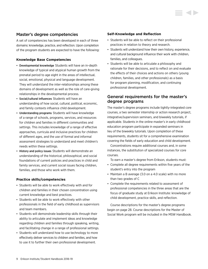# Master's degree competencies

A set of competencies has been developed in each of three domains: knowledge, practice, and reflection. Upon completion of the program students are expected to have the following:

### **Knowledge Base Competencies**

- Developmental knowledge Students will have an in-depth knowledge of typical and atypical human growth from the prenatal period to age eight in the areas of intellectual, social, emotional, physical and language development. They will understand the inter-relationships among these domains of development as well as the role of care-giving relationships in the developmental process.
- Social/cultural influences Students will have an understanding of how social, cultural, political, economic, and family contexts influence child development.
- Understanding programs Students will have knowledge of a range of schools, programs, services, and resources for children and families in different communities and settings. This includes knowledge of a range of effective approaches, curricula and inclusive practices for children of different ages, and the use of formal and informal assessment strategies to understand and meet children's needs within these settings.
- History and policy issues Students will demonstrate an understanding of the historical, philosophical, and social foundations of current policies and practices in child and family services, and current social issues facing children, families, and those who work with them.

### **Practice skills/competencies**

- Students will be able to work effectively with and for children and families in their chosen concentration using current knowledge and best practices.
- Students will be able to work effectively with other professionals in the field of early childhood as supervisors and team members.
- Students will demonstrate leadership skills through their ability to articulate and implement ideas and knowledge regarding children and families through speaking, writing, and facilitating change in a range of professional settings.
- Students will understand how to use technology to more effectively deliver services to children and families, and how to use it to further their own professional development.

### **Self-Knowledge and Reflection**

- Students will be able to reflect on their professional practices in relation to theory and research.
- Students will understand how their own history, experience, and cultural background influence their work with children, families, and colleagues.
- Students will be able to articulate a philosophy and rationale for their decisions, and to reflect on and evaluate the effects of their choices and actions on others (young children, families, and other professionals) as a basis for program planning, modification, and continuing professional development.

# General requirements for the master's degree programs

The master's degree programs include tightly-integrated core courses, a two semester internship or action research project, integrative/supervision seminars, and biweekly tutorials, if applicable. Students in the online master's in early childhood education program participate in expanded seminars in lieu of the biweekly tutorials. Upon completion of these requirements, students sit for a comprehensive examination covering the fields of early education and child development.

Concentrations require additional courses and, in some instances, the substitution of specialized courses for core courses.

To earn a master's degree from Erikson, students must:

- Complete all degree requirements within five years of the student's entry into the program
- Maintain a B average (3.0 on a 4.0 scale) with no more than two grades of C
- Complete the requirements related to assessment of professional competencies in the three areas that are the focus of graduate study at Erikson Institute: knowledge of child development, practice skills, and reflection.

Course descriptions for the master's degree programs begin on [page 28.](#page-28-0) Course descriptions for the Master of Social Work program will be included in the MSW Handbook.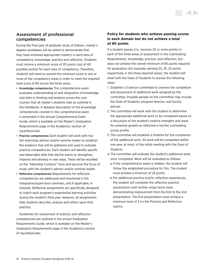# Assessment of professional competencies

During the final year of graduate study at Erikson, master's degree candidates will be asked to demonstrate that they have achieved appropriate mastery in each area of competency: knowledge, practice and reflection. Students must receive a minimum score of 20 points (out of 40 possible points) for each area of competency. Therefore, students will need to exceed this minimum score in one or more of the competency areas in order to meet the required total score of 80 across the three areas.

- Knowledge competencies The comprehensive exam evaluates understanding of and integration of knowledge and skills in thinking and analysis across the core courses that all master's students take as outlined in the Handbook. A detailed description of the knowledge competencies covered in the comprehensive exam is presented in the annual Comprehensive Exam Guide, which is available on the Master's Graduation Requirements page in the Academics section of *[my.erikson.edu.](http://my.erikson.edu)*
- Practice competencies Each student will work with his/ her internship advisor and/or seminar leader to establish the evidence that will be gathered and used to evaluate practice competencies. Each student will identify specific and observable skills that she/he wants to strengthen, improve and develop in new ways. These will be recorded on the "Internship Contract" form and become the focus of study with the student's advisor and/or seminar leader.
- Reflection competencies Requirements for reflection competencies are addressed and monitored in the integrative/supervision seminars, and if applicable, in tutorials. Reflective assignments are specifically designed to match each program's experiential learning activities during the student's final year. However, all assignments help students describe, analyze and reflect upon their practice.

Guidelines for assessment of practice and reflection competencies are outlined in the annual Graduation Requirements Guide, which is available on the Master's Graduation Requirements page in the Academics section of *my.erikson.edu.*

# **Policy for students who achieve passing scores in each domain but do not achieve a total of 80 points**

If a student passes (i.e., receives 20 or more points) in each of the three areas of assessment in the Culminating Requirements, knowledge, practice, and reflection, but does not achieve the overall minimum of 80 points required for graduation (for example, earning 25, 25, 25 points respectively in the three required areas), the student will meet with the Dean of Students to pursue the following steps:

- 1. Establish a 3-person committee to oversee the completion and assessment of additional work assigned by the committee. Possible people on the committee may include the Dean of Students, program director, and faculty adviser.
- 2. The committee will work with the student to determine the appropriate additional work to be completed based on a discussion of the student's relative strengths and areas for potential growth as reflected in his/her culminating scores profile.
- 3. The committee will establish a timeline for the completion of the additional work. All work will be completed within one year, at most, of the initial meeting with the Dean of Students.
- 4. The committee will evaluate the student's additional work, once completed. Work will be evaluated as follows:
	- a. If the comprehensive exam is retaken, the student will follow the established procedure for this. The student must achieve a minimum of 24 points.
	- b. For additional practice and/or reflection experiences, the student will complete the reflective practice presentation with written essay twice more, demonstrating improvement from the first to the 2nd presentation. The first presentation must achieve a minimum level of 3 on the Practice and Reflection rubrics.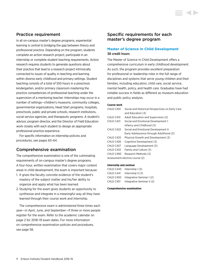# <span id="page-11-0"></span>Practice requirement

In all on-campus master's degree programs, experiential learning is central to bridging the gap between theory and professional practice. Depending on the program, students complete an action research project, participate in an internship or complete student teaching requirements. Action research requires students to generate questions about their practice that lead to a research project intrinsically connected to issues of quality in teaching and learning within diverse early childhood and primary settings. Student teaching consists of a total of 550 hours in a preschool, kindergarten, and/or primary classroom mastering the practice competencies of professional teaching under the supervision of a mentoring teacher. Internships may occur in a number of settings—children's museums, community colleges, governmental organizations, Head Start programs, hospitals, preschools, public and private schools, research institutions, social service agencies, and therapeutic programs. A student's advisor, program director, and the Director of Field Education work closely with each student to design an appropriate professional practice experience.

For specific information on internship policies and procedures, [see pages 63–64.](#page-62-0)

# Comprehensive examination

The comprehensive examination is one of the culminating requirements of on-campus master's degree programs. A four-hour, written examination that covers major content areas in child development, the exam is important because:

- 1. It gives the faculty concrete evidence of the student's mastery of the subject matter and his/her ability to organize and apply what has been learned.
- 2. Studying for the exam gives students an opportunity to synthesize and integrate in a meaningful way all they have learned through their course work and internship.

The comprehensive exam is administered three times each year—in April, June, and September—if three or more people register for the exam. Refer to the academic calendar on page 2 for 2018–19 exam dates. For more information on comprehensive examination policies and procedures, [see page 58](#page-58-0).

# Specific requirements for each master's degree program

# **Master of Science in Child Development** 38 credit hours

The Master of Science in Child Development offers a comprehensive curriculum in early childhood development. As such, the program provides excellent preparation for professional or leadership roles in the full range of disciplines and systems that serve young children and their families, including education, child care, social service, mental health, policy, and health care. Graduates have had notable success in fields as different as museum education and public policy analysis.

### **Course work**

| CHLD C410  | Social and Historical Perspectives on Early Care |
|------------|--------------------------------------------------|
|            | and Education (3)                                |
| CHLD C413  | Adult Education and Supervision (2)              |
| CHLD C421  | Social and Emotional Development I:              |
|            | Infancy and Childhood (3)                        |
| CHI D C422 | Social and Emotional Development II:             |
|            | Early Adolescence through Adulthood (3)          |
| CHLD C425  | Physical Growth and Development (3)              |
| CHLD C426  | Cognitive Development (3)                        |
| CHLD C427  | Language Development (3)                         |
| CHLD C432  | Family and Culture (3)                           |
| CHLD C490  | Research Methods (3)                             |
|            | Assessment elective course (2)                   |

### **Internship and seminar**

| CHLD C440 | Internship $(3)$           |
|-----------|----------------------------|
| CHLD C441 | Internship $   (3)$        |
| CHLD C450 | Integrative Seminar I (2)  |
| CHLD C451 | Integrative Seminar II (2) |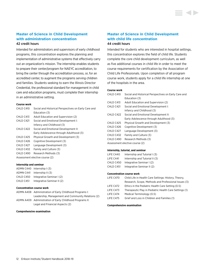### <span id="page-12-0"></span>**Master of Science in Child Development with administration concentration** 42 credit hours

Intended for administrators and supervisors of early childhood programs, this concentration explores the planning and implementation of administrative systems that effectively carry out an organization's mission. The internship enables students to prepare their center/program for NAEYC accreditation, to bring the center through the accreditation process, or, for an accredited center, to augment the programs serving children and families. Students seeking to earn the Illinois Director Credential, the professional standard for management in child care and education programs, must complete their internship in an administrative setting.

### **Course work**

| CHLD C410 | Social and Historical Perspectives on Early Care and |
|-----------|------------------------------------------------------|
|           | Education (3)                                        |
| CHLD C413 | Adult Education and Supervision (2)                  |
| CHLD C421 | Social and Emotional Development I:                  |
|           | Infancy and Childhood (3)                            |
| CHLD C422 | Social and Emotional Development II:                 |
|           | Early Adolescence through Adulthood (3)              |
| CHLD C425 | Physical Growth and Development (3)                  |
| CHLD C426 | Cognitive Development (3)                            |
| CHLD C427 | Language Development (3)                             |
| CHLD C432 | Family and Culture (3)                               |
| CHLD C490 | Research Methods (3)                                 |
|           | Assessment elective course (2)                       |
|           |                                                      |

#### **Internship and seminar**

|           | ADMN C440 Internship (3)   |
|-----------|----------------------------|
| ADMN C441 | Internship II $(3)$        |
| CHLD C450 | Integrative Seminar I (2)  |
| CHLD C451 | Integrative Seminar II (2) |

#### **Concentration course work**

| ADMN A408 Administration of Early Childhood Programs I:  |
|----------------------------------------------------------|
| Leadership, Management and Community Relations (2)       |
| ADMN A409 Administration of Early Childhood Programs II: |
| Legal and Financial Aspects (2)                          |

#### **Comprehensive examination**

# **Master of Science in Child Development with child life concentration**

### 44 credit hours

Intended for students who are interested in hospital settings, this concentration explores the field of child life. Students complete the core child development curriculum, as well as five additional courses in child life in order to meet the course requirements for certification by the Association of Child Life Professionals. Upon completion of all program course work, students apply for a child life internship at one of the hospitals in the area.

#### **Course work**

| CHLD C410 | Social and Historical Perspectives on Early Care and |
|-----------|------------------------------------------------------|
|           | Education (3)                                        |
| CHLD C413 | Adult Education and Supervision (2)                  |
| CHLD C421 | Social and Emotional Development I:                  |
|           | Infancy and Childhood (3)                            |
| CHLD C422 | Social and Emotional Development II:                 |
|           | Early Adolescence through Adulthood (3)              |
| CHLD C425 | Physical Growth and Development (3)                  |
| CHLD C426 | Cognitive Development (3)                            |
| CHLD C427 | Language Development (3)                             |
| CHLD C432 | Family and Culture (3)                               |
| CHLD C490 | Research Methods (3)                                 |
|           | Assessment elective course (2)                       |
|           |                                                      |

#### **Internship, tutorial, and seminar**

| LIFE C440 | Internship and Tutorial I (3)  |
|-----------|--------------------------------|
| LIFE C441 | Internship and Tutorial II (3) |
| CHLD C450 | Integrative Seminar I (2)      |
| CHLD C451 | Integrative Seminar II (2)     |

### **Concentration course work**

| LIFE C470 | Child Life in Health Care Settings: History, Theory,   |
|-----------|--------------------------------------------------------|
|           | Research, Scope, Methods and Professional Issues (3)   |
| LIFE C472 | Ethics in the Pediatric Health Care Setting (0.5)      |
| LIFE C473 | Therapeutic Play in Pediatric Health Care Settings (1) |
| LIFE C474 | Medical Terminology (0.5)                              |
| LIFE C475 | Grief and Loss in Children and Families (1)            |
|           |                                                        |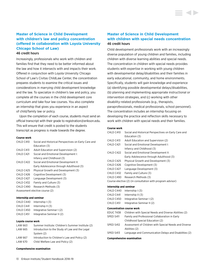# <span id="page-13-0"></span>**Master of Science in Child Development with children's law and policy concentration (offered in collaboration with Loyola University Chicago School of Law)**

### 46 credit hours

Increasingly, professionals who work with children and families find that they need to be better informed about the law and how it intersects with and impacts their work. Offered in conjunction with Loyola University Chicago School of Law's Civitas ChildLaw Center, the concentration prepares students to examine the critical issues and considerations in marrying child development knowledge and the law. To specialize in children's law and policy, you complete all the courses in the child development core curriculum and take four law courses. You also complete an internship that gives you experience in an aspect of child/family law or policy.

Upon the completion of each course, students must send an official transcript with their grade to [registration@erikson.edu.](mailto:registration%40erikson.edu?subject=) This will ensure that credit is posted to the students transcript as progress is made towards the degree.

#### **Course work**

| CHLD C410 | Social and Historical Perspectives on Early Care and |
|-----------|------------------------------------------------------|
|           | Education (3)                                        |
| CHLD C413 | Adult Education and Supervision (2)                  |
| CHLD C421 | Social and Emotional Development I:                  |
|           | Infancy and Childhood (3)                            |
| CHLD C422 | Social and Emotional Development II:                 |
|           | Early Adolescence through Adulthood (3)              |
| CHLD C425 | Physical Growth and Development (3)                  |
| CHLD C426 | Cognitive Development (3)                            |
| CHLD C427 | Language Development (3)                             |
| CHLD C432 | Family and Culture (3)                               |
| CHLD C490 | Research Methods (3)                                 |
|           | Assessment elective course (2)                       |
|           |                                                      |

#### **Internship and seminar**

| CHLD C440 | Internship $(3)$           |
|-----------|----------------------------|
| CHLD C441 | Internship $   (3)$        |
| CHLD C450 | Integrative Seminar I (2)  |
| CHLD C451 | Integrative Seminar II (2) |

#### **Loyola course work**

| LAW 663 | Summer Institute: Children's Summer Institute (2) |
|---------|---------------------------------------------------|
| LAW 665 | Introduction to the Study of Law and the Legal    |
|         | System (2)                                        |
| LAW 667 | Introduction to Children's Law and Policy (2)     |
| LAW 670 | Child Welfare Law and Policy (2)                  |

#### **Comprehensive examination**

# **Master of Science in Child Development with children with special needs concentration** 46 credit hours

Child development professionals work with an increasingly diverse population of young children and families, including children with diverse learning abilities and special needs. The concentration in children with special needs provides students with expertise in working with young children with developmental delay/disabilities and their families in early educational, community, and home environments. Specifically, students will gain knowledge and experience (a) identifying possible developmental delays/disabilities, (b) planning and implementing appropriate instructional or intervention strategies, and (c) working with other disability-related professionals (e.g., therapists, paraprofessionals, medical professionals, school personnel). The concentration includes an internship focusing on developing the practice and reflection skills necessary to work with children with special needs and their families.

#### **Course work**

| CHLD C410                                                  | Social and Historical Perspectives on Early Care and |
|------------------------------------------------------------|------------------------------------------------------|
|                                                            | Education (3)                                        |
| CHLD C413                                                  | Adult Education and Supervision (2)                  |
| CHLD C421                                                  | Social and Emotional Development I:                  |
|                                                            | Infancy and Childhood (3)                            |
| CHLD C422                                                  | Social and Emotional Development II:                 |
|                                                            | Early Adolescence through Adulthood (3)              |
| CHLD C425                                                  | Physical Growth and Development (3)                  |
| CHLD C426                                                  | Cognitive Development (3)                            |
| CHLD C427                                                  | Language Development (3)                             |
| CHLD C432                                                  | Family and Culture (3)                               |
| CHLD C490                                                  | Research Methods (3)                                 |
| Course elective (2) (in consultation with program advisor) |                                                      |
| Internship and seminar                                     |                                                      |

| <b>Concentration course work</b> |                              |  |
|----------------------------------|------------------------------|--|
| CHLD C451                        | Integrative Seminar II (2)   |  |
| CHLD C450                        | Integrative Seminar I (2)    |  |
| CHLD C441                        | Internship $II(3)$           |  |
|                                  | CHLD $C440$ Internship $(3)$ |  |

| EDUC T438 | Children with Special Needs and Diverse Abilities (2)  |
|-----------|--------------------------------------------------------|
| SPED S411 | Family and Professional Collaboration in Early         |
|           | Childhood Special Education (2)                        |
| SPED S412 | Assessment of Children with Special Needs and Diverse  |
|           | Abilities (2)                                          |
| SPED S413 | Language and Communication Delays and Disabilities (2) |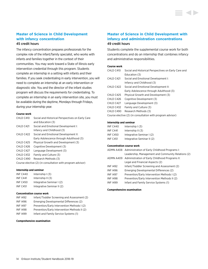# <span id="page-14-0"></span>**Master of Science in Child Development with infancy concentration**

### 45 credit hours

The infancy concentration prepares professionals for the complex role of the infant/family specialist, who works with infants and families together in the context of their communities. You may work toward a State of Illinois early intervention credential through this program. Students complete an internship in a setting with infants and their families. If you seek credentialing in early intervention, you will need to complete an internship at an early intervention or diagnostic site. You and the director of the infant studies program will discuss the requirements for credentialing. To complete an internship in an early intervention site, you must be available during the daytime, Mondays through Fridays, during your internship year.

#### **Course work**

| CHLD C410 | Social and Historical Perspectives on Early Care           |
|-----------|------------------------------------------------------------|
|           | and Education (3)                                          |
| CHLD C421 | Social and Emotional Development I:                        |
|           | Infancy and Childhood (3)                                  |
| CHLD C422 | Social and Emotional Development II:                       |
|           | Early Adolescence through Adulthood (3)                    |
| CHLD C425 | Physical Growth and Development (3)                        |
| CHLD C426 | Cognitive Development (3)                                  |
| CHLD C427 | Language Development (3)                                   |
| CHLD C432 | Family and Culture (3)                                     |
| CHLD C490 | Research Methods (3)                                       |
|           | Course elective (2) (in consultation with program advisor) |

#### **Internship and seminar**

| <b>INF C440</b> | Internship $(3)$           |
|-----------------|----------------------------|
| <b>INF C441</b> | Internship $II(3)$         |
| <b>INF C450</b> | Integrative Seminar I (2)  |
| <b>INF C451</b> | Integrative Seminar II (2) |

#### **Concentration course work**

| <b>INF 1492</b> | Infant/Toddler Screening and Assessment (2)  |
|-----------------|----------------------------------------------|
| <b>INF1496</b>  | Emerging Developmental Differences (2)       |
| <b>INF 1497</b> | Prevention/Early Intervention Methods I (2)  |
| <b>INF1498</b>  | Prevention/Early Intervention Methods II (2) |
| <b>INF 1499</b> | Infant and Family Service Systems (1)        |

#### **Comprehensive examination**

# **Master of Science in Child Development with infancy and administration concentrations** 49 credit hours

Students complete the supplemental course work for both concentrations and do an internship that combines infancy and administrative responsibilities.

#### **Course work**

| CHI D C410 | Social and Historical Perspectives on Early Care and       |
|------------|------------------------------------------------------------|
|            | Education (3)                                              |
| CHLD C421  | Social and Emotional Development I:                        |
|            | Infancy and Childhood (3)                                  |
| CHI D C422 | Social and Emotional Development II:                       |
|            | Early Adolescence through Adulthood (3)                    |
| CHI D C425 | Physical Growth and Development (3)                        |
| CHI D C426 | Cognitive Development (3)                                  |
| CHI D C427 | Language Development (3)                                   |
| CHLD C432  | Family and Culture (3)                                     |
| CHLD C490  | Research Methods (3)                                       |
|            | Course elective (2) (in consultation with program advisor) |
|            |                                                            |

#### **Internship and seminar**

| <b>INF C440</b> | Internship $(3)$           |
|-----------------|----------------------------|
| <b>INF C441</b> | Internship $II(3)$         |
| <b>INF C450</b> | Integrative Seminar I (2)  |
| <b>INF C451</b> | Integrative Seminar II (2) |

#### **Concentration course work**

|                 | ADMN A408 Administration of Early Childhood Programs I:  |
|-----------------|----------------------------------------------------------|
|                 | Leadership, Management and Community Relations (2)       |
|                 | ADMN A409 Administration of Early Childhood Programs II: |
|                 | Legal and Financial Aspects (2)                          |
| <b>INF 1492</b> | Infant/Toddler Screening and Assessment (2)              |
| <b>INF1496</b>  | Emerging Developmental Differences (2)                   |
| <b>INF 1497</b> | Prevention/Early Intervention Methods I (2)              |
| <b>INF1498</b>  | Prevention/Early Intervention Methods II (2)             |
| <b>INF1499</b>  | Infant and Family Service Systems (1)                    |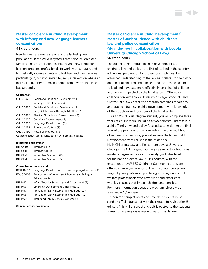# <span id="page-15-0"></span>**Master of Science in Child Development with infancy and new language learners concentrations** 48 credit hours

New language learners are one of the fastest growing populations in the various systems that serve children and families. The concentration in infancy and new language learners prepares professionals to work with culturally and linguistically diverse infants and toddlers and their families, particularly in, but not limited to, early intervention where an increasing number of families come from diverse linguistic backgrounds.

#### **Course work**

| Social and Emotional Development I:                        |  |
|------------------------------------------------------------|--|
| Infancy and Childhood (3)                                  |  |
| Social and Emotional Development II:                       |  |
| Early Adolescence through Adulthood (3)                    |  |
| Physical Growth and Development (3)                        |  |
| Cognitive Development (3)                                  |  |
| Language Development (3)                                   |  |
| Family and Culture (3)                                     |  |
| Research Methods (3)                                       |  |
| Course elective (2) (in consultation with program advisor) |  |
|                                                            |  |

#### **Internship and seminar**

| <b>INF C440</b> | Internship $(3)$           |
|-----------------|----------------------------|
| <b>INF C441</b> | Internship $II(3)$         |
| <b>INF C450</b> | Integrative Seminar I (2)  |
| <b>INF C451</b> | Integrative Seminar II (2) |

#### **Concentration course work**

| BESL B402       | Language Development in New Language Learners (3) |
|-----------------|---------------------------------------------------|
| EDUC T408       | Foundations of American Schooling and Bilingual   |
|                 | Education (3)                                     |
| <b>INF 1492</b> | Infant/Toddler Screening and Assessment (2)       |
| <b>INF1496</b>  | Emerging Development Differences (2)              |
| <b>INF1497</b>  | Prevention/Early Intervention Methods I (2)       |
| <b>INF 1498</b> | Prevention/Early Intervention Methods II (2)      |
| <b>INF1499</b>  | Infant and Family Service Systems (1)             |
|                 |                                                   |

#### **Comprehensive examination**

# **Master of Science in Child Development/ Master of Jurisprudence with children's law and policy concentration (dual degree in collaboration with Loyola University Chicago School of Law)** 56 credit hours

The dual degree program in child development and children's law and policy—the first of its kind in the country is the ideal preparation for professionals who want an advanced understanding of the law as it relates to their work on behalf of children and families, and for those who aim to lead and advocate more effectively on behalf of children and families impacted by the legal system. Offered in collaboration with Loyola University Chicago School of Law's Civitas ChildLaw Center, the program combines theoretical and practical training in child development with knowledge of the structure and functions of the legal system.

As an MS/MJ dual degree student, you will complete three years of course work, including a two-semester internship in a child/family law and policy focused setting during the final year of the program. Upon completing the 56-credit hours of required course work, you will receive the MS in Child Development from Erikson Institute and the MJ in Children's Law and Policy from Loyola University Chicago. The MJ is a graduate degree similar to a traditional master's degree and does not qualify graduates to sit for the bar or practice law. All MJ courses, with the exception of LAW 663 Children's Summer Institute, are offered in an asynchronous online. Child law courses are taught by law professors, practicing attorneys, and child welfare professionals who have first-hand experience with legal issues that impact children and families. For more information about the program, please visit *<www.luc.edu/childlaw>*.

Upon the completion of each course, students must send an official transcript with their grade to registration@ erikson. This will ensure that credit is posted to the students transcript as progress is made towards the degree.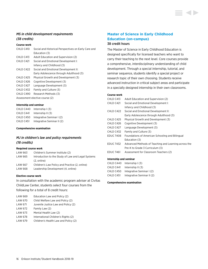### <span id="page-16-0"></span>*MS in child development requirements (38 credits)*

### **Course work**

| CHLD C410  | Social and Historical Perspectives on Early Care and |
|------------|------------------------------------------------------|
|            | Education (3)                                        |
| CHLD C413  | Adult Education and Supervision (2)                  |
| CHLD C421  | Social and Emotional Development I:                  |
|            | Infancy and Childhood (3)                            |
| CHI D C422 | Social and Emotional Development II:                 |
|            | Early Adolescence through Adulthood (3)              |
| CHLD C425  | Physical Growth and Development (3)                  |
| CHLD C426  | Cognitive Development (3)                            |
| CHLD C427  | Language Development (3)                             |
| CHLD C432  | Family and Culture (3)                               |
| CHLD C490  | Research Methods (3)                                 |
|            | Assessment elective course (2)                       |

#### **Internship and seminar**

| CHLD C440 | Internship $(3)$           |
|-----------|----------------------------|
| CHLD C441 | Internship $II(3)$         |
| CHLD C450 | Integrative Seminar I (2)  |
| CHLD C451 | Integrative Seminar II (2) |

#### **Comprehensive examination**

### *MJ in children's law and policy requirements (18 credits)*

#### **Required course work**

| LAW 663 | Children's Summer Institute (2)                    |
|---------|----------------------------------------------------|
| LAW 665 | Introduction to the Study of Law and Legal Systems |
|         | $(2.$ online)                                      |
| LAW 667 | Children's Law Policy and Practice (2. online)     |
| LAW 668 | Leadership Development (4, online)                 |

### **Elective course work**

In consultation with the academic program adviser at Civitas ChildLaw Center, students select four courses from the following for a total of 8 credit hours:

| LAW 669 | Education Law and Policy (2)         |
|---------|--------------------------------------|
| LAW 670 | Child Welfare Law and Policy (2)     |
| LAW 671 | Juvenile Justice Law and Policy (2)  |
| LAW 672 | Family Law (2)                       |
| LAW 673 | Mental Health Law (2)                |
| LAW 678 | International Children's Rights (2)  |
| LAW 679 | Children's Health Law and Policy (2) |
|         |                                      |

# **Master of Science in Early Childhood Education (on-campus)**

### 38 credit hours

The Master of Science in Early Childhood Education is designed specifically for licensed teachers who want to carry their teaching to the next level. Core courses provide a comprehensive, interdisciplinary understanding of child development. Through a special internship, tutorial, and seminar sequence, students identify a special project or research topic of their own choosing. Students receive advanced instruction in critical subject areas and participate in a specially designed internship in their own classrooms.

#### **Course work**

| CHLD C413        | Adult Education and Supervision (2)                  |
|------------------|------------------------------------------------------|
| CHLD C421        | Social and Emotional Development I:                  |
|                  | Infancy and Childhood (3)                            |
| CHLD C422        | Social and Emotional Development II:                 |
|                  | Early Adolescence through Adulthood (3)              |
| CHLD C425        | Physical Growth and Development (3)                  |
| CHLD C426        | Cognitive Development (3)                            |
| CHLD C427        | Language Development (3)                             |
| CHLD C432        | Family and Culture (3)                               |
| EDUC T408        | Foundations of American Schooling and Bilingual      |
|                  | Education (3)                                        |
| <b>EDUC T432</b> | Advanced Methods of Teaching and Learning across the |
|                  | Pre-K to Grade 3 Curriculum (3)                      |
| EDUC T461        | Assessment for Classroom Teachers (2)                |
|                  |                                                      |

#### **Internship and seminar**

| CHLD C440 | Internship $(3)$           |
|-----------|----------------------------|
| CHLD C441 | Internship $II(3)$         |
| CHLD C450 | Integrative Seminar I (2)  |
| CHLD C451 | Integrative Seminar II (2) |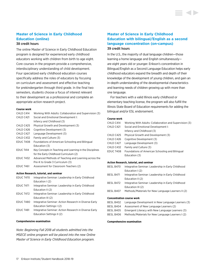# <span id="page-17-0"></span>**Master of Science in Early Childhood Education (online)**

### 38 credit hours

The online Master of Science in Early Childhood Education program is designed for experienced early childhood educators working with children from birth to age eight. Core courses in the program provide a comprehensive, interdisciplinary understanding of child development. Four specialized early childhood education courses specifically address the roles of educators by focusing on curriculum and assessment and effective teaching for prekindergarten through third grade. In the final two semesters, students choose a focus of interest relevant to their development as a professional and complete an appropriate action research project.

#### **Course work**

| CHLD C414                              | Working With Adults: Collaboration and Supervision (3)   |
|----------------------------------------|----------------------------------------------------------|
| CHLD C421                              | Social and Emotional Development I:                      |
|                                        | Infancy and Childhood (3)                                |
| CHLD C425                              | Physical Growth and Development (3)                      |
| CHLD C426                              | Cognitive Development (3)                                |
| CHLD C427                              | Language Development (3)                                 |
| CHLD C432                              | Family and Culture (3)                                   |
| EDUC T408                              | Foundations of American Schooling and Bilingual          |
|                                        | Education (3)                                            |
| EDUC T414                              | Key Concepts in Teaching and Learning in the Disciplines |
|                                        | for the Early Childhood Curriculum (2)                   |
| EDUC T432                              | Advanced Methods of Teaching and Learning across the     |
|                                        | Pre-K to Grade 3 Curriculum (3)                          |
| <b>EDUC T461</b>                       | Assessment for Classroom Teachers (2)                    |
| Action Research, tutorial, and seminar |                                                          |

| EDUC T470        | Integrative Seminar: Leadership in Early Childhood    |
|------------------|-------------------------------------------------------|
|                  | Education $(2)$                                       |
| <b>EDUC T471</b> | Integrative Seminar: Leadership in Early Childhood    |
|                  | Education II (2)                                      |
| EDUC T472        | Integrative Seminar: Leadership in Early Childhood    |
|                  | Education III (2)                                     |
| EDUC T480        | Integrative Seminar: Action Research in Diverse Early |
|                  | Education Settings I (2)                              |
| EDUC T481        | Integrative Seminar: Action Research in Diverse Early |
|                  | Education Settings II (2)                             |
|                  |                                                       |

#### **Comprehensive examination**

*Note: Beginning Fall 2018 all students admitted into the MSECE online program will be placed into the new Online Master of Science in Early Childhood Education program.*

# **Master of Science in Early Childhood Education with bilingual/English as a second language concentration (on-campus)** 39 credit hours

In the U.S., the majority of dual language children—those learning a home language and English simultaneously are eight years old or younger. Erikson's concentration in Bilingual/English as a Second Language Education helps early childhood educators expand the breadth and depth of their knowledge of the development of young children, and gain an in-depth understanding of the developmental characteristics and learning needs of children growing up with more than one language.

For teachers with a valid Illinois early childhood or elementary teaching license, the program will also fulfill the Illinois State Board of Education requirements for adding the bilingual and/or ESL endorsement.

#### **Course work**

| CHLD C414  | Working With Adults: Collaboration and Supervision (3) |
|------------|--------------------------------------------------------|
| CHLD C421  | Social and Emotional Development I:                    |
|            | Infancy and Childhood (3)                              |
| CHLD C425  | Physical Growth and Development (3)                    |
| CHLD C426  | Cognitive Development (3)                              |
| CHI D C427 | Language Development (3)                               |
| CHI D C432 | Family and Culture (3)                                 |
| EDUC T408  | Foundations of American Schooling and Bilingual        |
|            | Education (3)                                          |
|            |                                                        |

#### **Action Research, tutorial, and seminar**

| BESL B470 | Integrative Seminar: Leadership in Early Childhood |
|-----------|----------------------------------------------------|
|           | Education $(2)$                                    |
| BESL B471 | Integrative Seminar: Leadership in Early Childhood |
|           | Education II (2)                                   |
| BESL B472 | Integrative Seminar: Leadership in Early Childhood |
|           | Education III (2)                                  |
| BESL B407 | Methods/Materials for New Language Learners II (2) |

#### **Concentration course work**

| BESL B402 | Language Development in New Language Learners (3) |
|-----------|---------------------------------------------------|
| BESL B404 | Assessment of New Language Learners (2)           |
| BESL B405 | Emergent Literacy with New Language Learners (3)  |

BESL B406 Methods/Materials for New Language Learners I (2)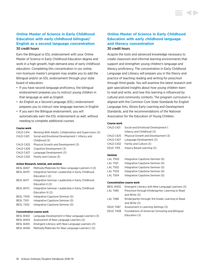# <span id="page-18-0"></span>**Online Master of Science in Early Childhood Education with early childhood bilingual/ English as a second language concentration** 30 credit hours

Earn the Bilingual or ESL endorsement with your Online Master of Science in Early Childhood Education degree and work in a high-growth, high-demand area of early childhood education. Completing this concentration in our online, non-licensure master's program may enable you to add the Bilingual and/or an ESL endorsement through your state board of education.

- If you have second language proficiency, the bilingual endorsement prepares you to instruct young children in that language as well as English
- An English as a Second Language (ESL) endorsement prepares you to instruct new language learners in English
- If you earn the Bilingual endorsement, you will automatically earn the ESL endorsement as well, without needing to complete additional courses

#### **Course work**

| CHLD C414 | Working With Adults: Collaboration and Supervision (3) |
|-----------|--------------------------------------------------------|
| CHLD C421 | Social and Emotional Development I: Infancy and        |
|           | Childhood (3)                                          |
| CHLD C425 | Physical Growth and Development (3)                    |
| CHLD C426 | Cognitive Development (3)                              |
| CHLD C427 | Language Development (3)                               |
| CHLD C432 | Family and Culture (3)                                 |
|           |                                                        |

#### **Action Research, tutorial, and seminar**

| BESL B407 | Methods/Materials for New Language Learners II (2) |
|-----------|----------------------------------------------------|
| BESL B470 | Integrative Seminar: Leadership in Early Childhood |
|           | Education $(2)$                                    |
| BESL B471 | Integrative Seminar: Leadership in Early Childhood |
|           | Education II (2)                                   |
| BESL B472 | Integrative Seminar: Leadership in Early Childhood |
|           | Education III (2)                                  |
| BESL T500 | Integrative Capstone Seminar (0)                   |
| BESL T501 | Integrative Capstone Seminar (0)                   |

BESL T502 Integrative Capstone Seminar (0)

#### **Concentration course work**

| BESL B402 | Language Development in New Language Learners (3) |
|-----------|---------------------------------------------------|
| BESL B404 | Assessment of New Language Learners (2)           |
| BESL B405 | Emergent Literacy with New Language Learners (3)  |
| BESL B406 | Methods/Materials for New Language Learners (2)   |

# **Online Master of Science in Early Childhood Education with early childhood language and literacy concentration**  30 credit hours

Acquire the tools and advanced knowledge necessary to create classroom and informal learning environments that support and strengthen young children's language and literacy proficiency. The concentration in Early Childhood Language and Literacy will prepare you in the theory and practice of teaching reading and writing for preschool through third grade. You will examine the latest research and gain specialized insights about how young children learn to read and write, and how this learning is influenced by cultural and community contexts. The program curriculum is aligned with the Common Core State Standards for English Language Arts, Illinois Early Learning and Development Standards, and the recommendations of the National Association for the Education of Young Children.

#### **Course work**

| CHLD C421 | Social and Emotional Development I: |
|-----------|-------------------------------------|
|           | Infancy and Childhood (3)           |
| CHLD C425 | Physical Growth and Development (3) |
| CHLD C427 | Language Development (3)            |
| CHLD C432 | Family and Culture (3)              |
| EDUC T415 | Inguiry Based Learning (3)          |
|           |                                     |

### **Seminar**

| LAL T500 | Integrative Capstone Seminar (0) |
|----------|----------------------------------|
| LAL T501 | Integrative Capstone Seminar (0) |
| LAL T502 | Integrative Capstone Seminar (0) |
| LAL T503 | Integrative Capstone Seminar (0) |
| LAL T504 | Integrative Capstone Seminar (0) |

#### **Concentration course work**

| BESL B405 | Emergent Literacy with New Language Learners (3) |
|-----------|--------------------------------------------------|
| LAL T485  | Preschool through Kindergarten: Learning to Read |
|           | and Write (3)                                    |
| LAL T486  | Kindergarten through 3rd Grade: Learning to Read |
|           | and Write (3)                                    |
| EDUC T487 | Assessment in Learning Settings (3)              |
| EDUC T408 | Foundations of American Schooling and Bilingual  |
|           | Education (3)                                    |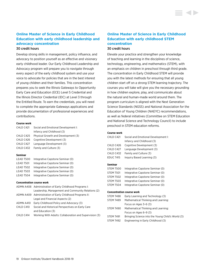### <span id="page-19-0"></span>**Online Master of Science in Early Childhood Education with early childhood leadership and advocacy concentration** 30 credit hours

Develop strong skills in management, policy influence, and advocacy to position yourself as an effective and visionary early childhood leader. Our Early Childhood Leadership and Advocacy program will prepare you to navigate through every aspect of the early childhood system and use your voice to advocate for policies that are in the best interest of young children and their families. This concentration prepares you to seek the Illinois Gateways to Opportunity Early Care and Education (ECE) Level 5 Credential and the Illinois Director Credential (IDC) at Level 3 through the Entitled Route. To earn the credentials, you will need to complete the appropriate Gateways applications and provide documentation of professional experiences and contributions.

#### **Course work**

| Social and Emotional Development I: |
|-------------------------------------|
| Infancy and Childhood (3)           |
| Physical Growth and Development (3) |
| Cognitive Development (3)           |
| Language Development (3)            |
| Family and Culture (3)              |
|                                     |

#### **Seminar**

| LEAD T500 | Integrative Capstone Seminar (0) |
|-----------|----------------------------------|
| LEAD T501 | Integrative Capstone Seminar (0) |
| LEAD T502 | Integrative Capstone Seminar (0) |
| LEAD T503 | Integrative Capstone Seminar (0) |
| LEAD T504 | Integrative Capstone Seminar (0) |

#### **Concentration course work**

|           | ADMN A408 Administration of Early Childhood Programs I:  |
|-----------|----------------------------------------------------------|
|           | Leadership, Management and Community Relations (2)       |
|           | ADMN A409 Administration of Early Childhood Programs II: |
|           | Legal and Financial Aspects (2)                          |
|           | ADMN A410 Early Childhood Policy and Advocacy (3)        |
| CHLD C410 | Social and Historical Perspectives on Early Care         |
|           | and Education (3)                                        |
| CHLD C414 | Working With Adults: Collaboration and Supervision (3)   |
|           |                                                          |

# **Online Master of Science in Early Childhood Education with early childhood STEM concentration** 30 credit hours

Elevate your practice and strengthen your knowledge of teaching and learning in the disciplines of science, technology, engineering, and mathematics (STEM), with an emphasis on children in preschool through third grade. The concentration in Early Childhood STEM will provide you with the latest methods for ensuring that all young children start off on a strong STEM learning trajectory. The courses you will take will give you the necessary grounding in how children explore, play, and communicate about the natural and human-made world around them. The program curriculum is aligned with the Next Generation Science Standards (NGSS) and National Association for the Education of Young Children (NAEYC) recommendations, as well as federal initiatives (Committee on STEM Education and National Science and Technology Council) to include preschool in STEM education reforms.

### **Course work**

| CHLD C421 | Social and Emotional Development I: |
|-----------|-------------------------------------|
|           | Infancy and Childhood (3)           |
| CHLD C426 | Cognitive Development (3)           |
| CHLD C427 | Language Development (3)            |
| CHLD C432 | Family and Culture (3)              |
| EDUC T415 | Inguiry Based Learning (3)          |
|           |                                     |

#### **Seminar**

| STEM T500 | Integrative Capstone Seminar (0) |
|-----------|----------------------------------|
| STEM T501 | Integrative Capstone Seminar (0) |
| STEM T502 | Integrative Capstone Seminar (0) |
| STEM T503 | Integrative Capstone Seminar (0) |
| STEM T504 | Integrative Capstone Seminar (0) |

#### **Concentration course work**

| STEM T488 | Early Learning and Technology (3)                 |
|-----------|---------------------------------------------------|
| STEM T489 | Mathematical Thinking and Learning:               |
|           | Focus on Ages $3-6(3)$                            |
| STEM T490 | Mathematical Thinking and Learning:               |
|           | Focus on Ages $6-9(3)$                            |
| STEM T491 | Bringing Science into the Young Child's World (3) |
| STEM T492 | Engineering in Early Childhood (3)                |
|           |                                                   |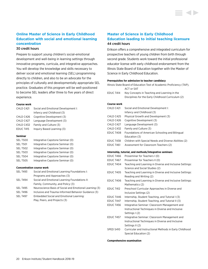# <span id="page-20-0"></span>**Online Master of Science in Early Childhood Education with social and emotional learning concentration** 30 credit hours

Prepare to support young children's social-emotional development and well-being in learning settings through innovative programs, curricula, and integrative approaches. You will develop the knowledge and skills necessary to deliver social and emotional learning (SEL) programming directly to children, and also to be an advocate for the principles of culturally and developmentally appropriate SEL practice. Graduates of this program will be well-positioned to become SEL leaders after three to five years of direct

experience.

### **Course work**

| CHLD C421 | Social and Emotional Development I: |
|-----------|-------------------------------------|
|           | Infancy and Childhood (3)           |
| CHLD C426 | Cognitive Development (3)           |
| CHLD C427 | Language Development (3)            |
| CHLD C432 | Family and Culture (3)              |
| EDUC T415 | Inguiry Based Learning (3)          |
|           |                                     |

#### **Seminar**

| <b>SEL T500</b> | Integrative Capstone Seminar (0) |
|-----------------|----------------------------------|
| <b>SEL T501</b> | Integrative Capstone Seminar (0) |
| <b>SEL T502</b> | Integrative Capstone Seminar (0) |
| <b>SEL T503</b> | Integrative Capstone Seminar (0) |
| <b>SEL T504</b> | Integrative Capstone Seminar (0) |
| <b>SEL T505</b> | Integrative Capstone Seminar (0) |

#### **Concentration course work**

| <b>SEL T493</b> | Social and Emotional Learning Foundations I:            |
|-----------------|---------------------------------------------------------|
|                 | Programs and Approaches (3)                             |
| SEL T494        | Social and Emotional Learning Foundations II:           |
|                 | Family, Community, and Policy (3)                       |
| <b>SEL T495</b> | Neuroscience Basis of Social and Emotional Learning (3) |
| <b>SEL T496</b> | Inclusive and Trauma-Informed Behavior Guidance (3)     |
| <b>SEL T497</b> | Embedded Social and Emotional Learning:                 |
|                 | Play, Peers, and Projects (3)                           |

# **Master of Science in Early Childhood Education leading to initial teaching licensure** 44 credit hours

Erikson offers a comprehensive and integrated curriculum for prospective teachers of young children from birth through second grade. Students work toward the initial professional educator license with early childhood endorsement from the Illinois State Board of Education together with the Master of Science in Early Childhood Education.

#### **Prerequisites for admission to teacher candidacy**

|             | Illinois State Board of Education Test of Academic Proficiency (TAP),<br>ACT or SAT |
|-------------|-------------------------------------------------------------------------------------|
| EDUC T414   | Key Concepts in Teaching and Learning in the                                        |
|             | Disciplines for the Early Childhood Curriculum (2)                                  |
| Course work |                                                                                     |
| CHLD C421   | Social and Emotional Development I:                                                 |
|             | Infancy and Childhood (3)                                                           |
| CHLD C425   | Physical Growth and Development (3)                                                 |
| CHLD C426   | Cognitive Development (3)                                                           |
| CHLD C427   | Language Development (3)                                                            |
| CHLD C432   | Family and Culture (3)                                                              |
| EDUC T408   | Foundations of American Schooling and Bilingual                                     |
|             | Education (3)                                                                       |
| EDUC T438   | Children with Special Needs and Diverse Abilities (2)                               |
| EDUC T461   | Assessment for Classroom Teachers (2)                                               |
|             | Internship, tutorial, and methods/integrative seminars                              |
| EDUC T466   | Proseminar for Teachers I (0)                                                       |
| EDUC T467   | Proseminar for Teachers II (0)                                                      |
| EDUC T404   | Teaching and Learning in Diverse and Inclusive Settings:                            |
|             | Science and Social Studies (2)                                                      |
| EDUC T405   | Teaching and Learning in Diverse and Inclusive Settings:<br>Reading and Writing (2) |
| EDUC T406   | Teaching and Learning in Diverse and Inclusive Settings:<br>Mathematics (2)         |
| EDUC T412   | Preschool Curricular Approaches in Diverse and                                      |
|             | Inclusive Settings (2)                                                              |
| EDUC T446   | Internship, Student Teaching, and Tutorial I (3)                                    |
| EDUC T447   | Internship, Student Teaching, and Tutorial II (3)                                   |
| EDUC T456   | Integrative Seminar: Classroom Management and                                       |
|             | Instructional Techniques in Diverse and Inclusive                                   |
|             | Settings I (2)                                                                      |
| EDUC T457   | Integrative Seminar: Classroom Management and                                       |
|             | Instructional Techniques in Diverse and Inclusive                                   |
|             | Settings II (2)                                                                     |
| SPED S410   | Curricular and Instructional Methods in Early Childhood                             |
|             | Special Education (2)                                                               |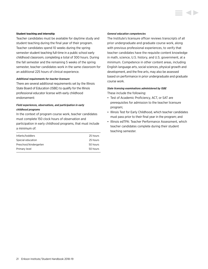#### **Student teaching and internship**

Teacher candidates must be available for daytime study and student teaching during the final year of their program. Teacher candidates spend 10 weeks during the spring semester student teaching full-time in a public school early childhood classroom, completing a total of 300 hours. During the fall semester and the remaining 5 weeks of the spring semester, teacher candidates work in the same classroom for an additional 225 hours of clinical experience.

### *Additional requirements for teacher licensure*

There are several additional requirements set by the Illinois State Board of Education (ISBE) to qualify for the Illinois professional educator license with early childhood endorsement:

### *Field experiences, observations, and participation in early childhood programs*

In the context of program course work, teacher candidates must complete 150 clock hours of observation and participation in early childhood programs, that must include a minimum of:

| Infants/toddlers       | 25 hours |
|------------------------|----------|
| Special education      | 25 hours |
| Preschool/kindergarten | 50 hours |
| Primary level          | 50 hours |
|                        |          |

#### *General education competencies*

The Institute's licensure officer reviews transcripts of all prior undergraduate and graduate course work, along with previous professional experiences, to verify that teacher candidates have the requisite content knowledge in math, science, U.S. history, and U.S. government, at a minimum. Competence in other content areas, including English language arts, social sciences, physical growth and development, and the fine arts, may also be assessed based on performance in prior undergraduate and graduate course work.

#### *State licensing examinations administered by ISBE*

These include the following:

- Test of Academic Proficiency, ACT, or SAT are prerequisites for admission to the teacher licensure program;
- Illinois Test for Early Childhood, which teacher candidates must pass prior to their final year in the program; and
- Illinois edTPA: Teacher Performance Assessment, which teacher candidates complete during their student teaching semester.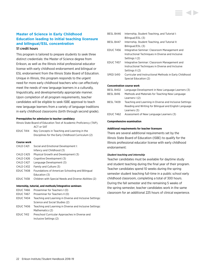# <span id="page-22-0"></span>**Master of Science in Early Childhood Education leading to initial teaching licensure and bilingual/ESL concentration** 51 credit hours

This program is tailored to prepare students to seek three distinct credentials: the Master of Science degree from Erikson, as well as the Illinois initial professional educator license with early childhood endorsement and bilingual or ESL endorsement from the Illinois State Board of Education. Unique in Illinois, this program responds to the urgent need for more early childhood teachers who can effectively meet the needs of new language learners in a culturally, linguistically, and developmentally appropriate manner. Upon completion of all program requirements, teacher candidates will be eligible to seek ISBE approval to teach new language learners from a variety of language traditions in early childhood classrooms (birth through second grade).

#### **Prerequisites for admission to teacher candidacy**

| Illinois State Board of Education Test of Academic Proficiency (TAP). |                                              |
|-----------------------------------------------------------------------|----------------------------------------------|
|                                                                       | ACT or SAT                                   |
| EDUC T414                                                             | Key Concepts in Teaching and Learning in the |

Disciplines for the Early Childhood Curriculum (2)

#### **Course work**

| CHLD C421 | Social and Emotional Development I:                   |
|-----------|-------------------------------------------------------|
|           | Infancy and Childhood (3)                             |
| CHLD C425 | Physical Growth and Development (3)                   |
| CHLD C426 | Cognitive Development (3)                             |
| CHLD C427 | Language Development (3)                              |
| CHLD C432 | Family and Culture (3)                                |
| EDUC T408 | Foundations of American Schooling and Bilingual       |
|           | Education (3)                                         |
| EDUC T438 | Children with Special Needs and Diverse Abilities (2) |
|           |                                                       |

### **Internship, tutorial, and methods/integrative seminars**

| EDUC T466 | Proseminar for Teachers I (0)                            |
|-----------|----------------------------------------------------------|
| EDUC T467 | Proseminar for Teachers II (0)                           |
| EDUC T404 | Teaching and Learning in Diverse and Inclusive Settings: |
|           | Science and Social Studies (2)                           |
| EDUC T406 | Teaching and Learning in Diverse and Inclusive Settings: |
|           | Mathematics (2)                                          |
| EDUC T412 | Preschool Curricular Approaches in Diverse and           |
|           | Inclusive Settings (2)                                   |

### BESL B446 Internship, Student Teaching, and Tutorial I: Bilingual/ESL (3) BESL B447 Internship, Student Teaching, and Tutorial II: Bilingual/ESL (3) EDUC T456 Integrative Seminar: Classroom Management and Instructional Techniques in Diverse and Inclusive Settings I (2) EDUC T457 Integrative Seminar: Classroom Management and Instructional Techniques in Diverse and Inclusive Settings II (2) SPED S410 Curricular and Instructional Methods in Early Childhood Special Education (2) **Concentration course work** BESL B402 Language Development in New Language Learners (3)

| DLJL DHUZ | Language Development in New Language Learners (3)        |
|-----------|----------------------------------------------------------|
| BESL B416 | Methods and Materials for Teaching New Language          |
|           | Learners I (2)                                           |
| BESL T409 | Teaching and Learning in Diverse and Inclusive Settings: |
|           | Reading and Writing for Bilingual and English Language   |
|           | Learners (3)                                             |
| EDUC T462 | Assessment of New Language Learners (3)                  |

#### **Comprehensive examination**

#### **Additional requirements for teacher licensure**

There are several additional requirements set by the Illinois State Board of Education (ISBE) to qualify for the Illinois professional educator license with early childhood endorsement:

#### *Student teaching and internship*

Teacher candidates must be available for daytime study and student teaching during the final year of their program. Teacher candidates spend 10 weeks during the spring semester student teaching full-time in a public school early childhood classroom, completing a total of 300 hours. During the fall semester and the remaining 5 weeks of the spring semester, teacher candidates work in the same classroom for an additional 225 hours of clinical experience.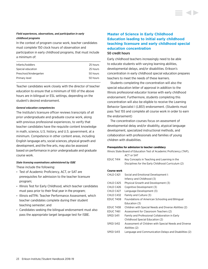### <span id="page-23-0"></span>*Field experiences, observations, and participation in early childhood programs*

In the context of program course work, teacher candidates must complete 150 clock hours of observation and

participation in early childhood programs, that must include a minimum of:

| Infants/toddlers       | 25 hours |
|------------------------|----------|
| Special education      | 25 hours |
| Preschool/kindergarten | 50 hours |
| Primary level          | 50 hours |
|                        |          |

Teacher candidates work closely with the director of teacher education to ensure that a minimum of 100 of the above hours are in bilingual or ESL settings, depending on the student's desired endorsement.

### *General education competencies*

The Institute's licensure officer reviews transcripts of all prior undergraduate and graduate course work, along with previous professional experiences, to verify that teacher candidates have the requisite content knowledge in math, science, U.S. history, and U.S. government, at a minimum. Competence in other content areas, including English language arts, social sciences, physical growth and development, and the fine arts, may also be assessed based on performance in prior undergraduate and graduate course work.

# *State licensing examinations administered by ISBE*

These include the following:

- Test of Academic Proficiency, ACT, or SAT are prerequisites for admission to the teacher licensure program;
- Illinois Test for Early Childhood, which teacher candidates must pass prior to their final year in the program;
- Illinois edTPA: Teacher Performance Assessment, which teacher candidates complete during their student teaching semester; and
- Candidates seeking the bilingual endorsement must also pass the appropriate target language test for ISBE.

# **Master of Science in Early Childhood Education leading to initial early childhood teaching licensure and early childhood special education concentration** 50 credit hours

Early childhood teachers increasingly need to be able to educate students with varying learning abilities, developmental delays, and/or disabilities. Erikson's concentration in early childhood special education prepares teachers to meet the needs of these learners.

Students completing the concentration will also the special education letter of approval in addition to the Illinois professional educator license with early childhood endorsement. Furthermore, students completing this concentration will also be eligible to receive the Learning Behavior Specialist I (LBS1) endorsement. (Students must pass Test 155 and complete all course work in order to earn the endorsement)

The concentration courses focus on assessment of developmental delay and/or disability, atypical language development, specialized instructional methods, and collaboration with professionals and families of young children with disabilities.

#### **Prerequisites for admission to teacher candidacy**

| Illinois State Board of Education Test of Academic Proficiency (TAP), |                                                        |
|-----------------------------------------------------------------------|--------------------------------------------------------|
|                                                                       | ACT or SAT                                             |
| EDUC T414                                                             | Key Concepts in Teaching and Learning in the           |
|                                                                       | Disciplines for the Early Childhood Curriculum (2)     |
| Course work                                                           |                                                        |
| CHLD C421                                                             | Social and Emotional Development I:                    |
|                                                                       | Infancy and Childhood (3)                              |
| CHLD C425                                                             | Physical Growth and Development (3)                    |
| CHLD C426                                                             | Cognitive Development (3)                              |
| CHLD C427                                                             | Language Development (3)                               |
| CHLD C432                                                             | Family and Culture (3)                                 |
| <b>EDUC T408</b>                                                      | Foundations of American Schooling and Bilingual        |
|                                                                       | Education (3)                                          |
| EDUC T438                                                             | Children with Special Needs and Diverse Abilities (2)  |
| <b>EDUC T461</b>                                                      | Assessment for Classroom Teachers (2)                  |
| SPED S411                                                             | Family and Professional Collaboration in Early         |
|                                                                       | Childhood Special Education (2)                        |
| SPED S412                                                             | Assessment of Children with Special Needs and Diverse  |
|                                                                       | Abilities (2)                                          |
| SPED S413                                                             | Language and Communication Delays and Disabilities (2) |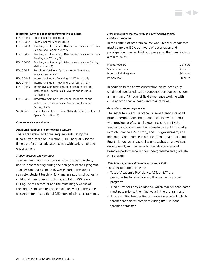

#### **Internship, tutorial, and methods/integrative seminars**

| EDUC T466        | Proseminar for Teachers I (0)                            |
|------------------|----------------------------------------------------------|
| <b>EDUC T467</b> | Proseminar for Teachers II (0)                           |
| EDUC T404        | Teaching and Learning in Diverse and Inclusive Settings: |
|                  | Science and Social Studies (2)                           |
| <b>EDUC T405</b> | Teaching and Learning in Diverse and Inclusive Settings: |
|                  | Reading and Writing (2)                                  |
| <b>EDUC T406</b> | Teaching and Learning in Diverse and Inclusive Settings: |
|                  | Mathematics (2)                                          |
| <b>EDUC T412</b> | Preschool Curricular Approaches in Diverse and           |
|                  | Inclusive Settings (2)                                   |
| EDUC T446        | Internship, Student Teaching, and Tutorial I (3)         |
| EDUC T447        | Internship, Student Teaching, and Tutorial II (3)        |
| <b>EDUC T456</b> | Integrative Seminar: Classroom Management and            |
|                  | Instructional Techniques in Diverse and Inclusive        |
|                  | Settings I (2)                                           |
| EDUC T457        | Integrative Seminar: Classroom Management and            |
|                  | Instructional Techniques in Diverse and Inclusive        |
|                  | Settings II (2)                                          |
| SPED S410        | Curricular and Instructional Methods in Early Childhood  |

Special Education (2)

#### **Comprehensive examination**

#### **Additional requirements for teacher licensure**

There are several additional requirements set by the Illinois State Board of Education (ISBE) to qualify for the Illinois professional educator license with early childhood endorsement:

#### *Student teaching and internship*

Teacher candidates must be available for daytime study and student teaching during the final year of their program. Teacher candidates spend 10 weeks during the spring semester student teaching full-time in a public school early childhood classroom, completing a total of 300 hours. During the fall semester and the remaining 5 weeks of the spring semester, teacher candidates work in the same classroom for an additional 225 hours of clinical experience.

### *Field experiences, observations, and participation in early childhood programs*

In the context of program course work, teacher candidates must complete 150 clock hours of observation and participation in early childhood programs, that must include a minimum of:

| Infants/toddlers       | 25 hours |
|------------------------|----------|
| Special education      | 25 hours |
| Preschool/kindergarten | 50 hours |
| Primary level          | 50 hours |
|                        |          |

In addition to the above observation hours, each early childhood special education concentration course includes a minimum of 15 hours of field experience working with children with special needs and their families.

#### *General education competencies*

The Institute's licensure officer reviews transcripts of all prior undergraduate and graduate course work, along with previous professional experiences, to verify that teacher candidates have the requisite content knowledge in math, science, U.S. history, and U.S. government, at a minimum. Competence in other content areas, including English language arts, social sciences, physical growth and development, and the fine arts, may also be assessed based on performance in prior undergraduate and graduate course work.

# *State licensing examinations administered by ISBE*

These include the following:

- Test of Academic Proficiency, ACT, or SAT are prerequisites for admission to the teacher licensure program;
- Illinois Test for Early Childhood, which teacher candidates must pass prior to their final year in the program; and
- Illinois edTPA: Teacher Performance Assessment, which teacher candidates complete during their student teaching semester.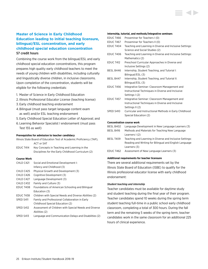# <span id="page-25-0"></span>**Master of Science in Early Childhood Education leading to initial teaching licensure, bilingual/ESL concentration, and early childhood special education concentration** 57 credit hours

Combining the course work from the bilingual/ESL and early childhood special education concentrations, this program prepares high quality early childhood teachers to meet the needs of young children with disabilities, including culturally and linguistically diverse children, in inclusive classrooms. Upon completion of the concentration, students will be eligible for the following credentials:

- 1. Master of Science in Early Childhood Education
- 2. Illinois Professional Educator License (teaching license)
- 3. Early childhood teaching endorsement
- 4.Bilingual (must pass target language content exam as well) and/or ESL teaching endorsement
- 5. Early Childhood Special Education Letter of Approval; and
- 6. Learning Behavior Specialist I endorsement (must pass Test 155 as well)

#### **Prerequisites for admission to teacher candidacy**

|            | Illinois State Board of Education Test of Academic Proficiency (TAP). |
|------------|-----------------------------------------------------------------------|
| ACT or SAT |                                                                       |

EDUC T414 Key Concepts in Teaching and Learning in the Disciplines for the Early Childhood Curriculum (2)

#### **Course Work**

| CHLD C421 | Social and Emotional Development I:                    |
|-----------|--------------------------------------------------------|
|           | Infancy and Childhood (3)                              |
| CHLD C425 | Physical Growth and Development (3)                    |
| CHLD C426 | Cognitive Development (3)                              |
| CHLD C427 | Language Development (3)                               |
| CHLD C432 | Family and Culture (3)                                 |
| EDUC T408 | Foundations of American Schooling and Bilingual        |
|           | Education (3)                                          |
| EDUC T438 | Children with Special Needs and Diverse Abilities (2)  |
| SPED S411 | Family and Professional Collaboration in Early         |
|           | Childhood Special Education (2)                        |
| SPED S412 | Assessment of Children with Special Needs and Diverse  |
|           | Abilities (2)                                          |
| SPED S413 | Language and Communication Delays and Disabilities (2) |

#### **Internship, tutorial, and methods/integrative seminars**

| <b>EDUC T466</b> | Proseminar for Teachers I (0)                            |
|------------------|----------------------------------------------------------|
| <b>EDUC T467</b> | Proseminar for Teachers II (0)                           |
| EDUC T404        | Teaching and Learning in Diverse and Inclusive Settings: |
|                  | Science and Social Studies (2)                           |
| <b>EDUC T406</b> | Teaching and Learning in Diverse and Inclusive Settings: |
|                  | Mathematics (2)                                          |
| <b>EDUC T412</b> | Preschool Curricular Approaches in Diverse and           |
|                  | Inclusive Settings (2)                                   |
| BESL B446        | Internship, Student Teaching, and Tutorial I:            |
|                  | Bilingual/ESL (3)                                        |
| BESL B447        | Internship, Student Teaching, and Tutorial II:           |
|                  | Bilingual/ESL (3)                                        |
| <b>EDUC T456</b> | Integrative Seminar: Classroom Management and            |
|                  | Instructional Techniques in Diverse and Inclusive        |
|                  | Settings I (2)                                           |
| <b>EDUC T457</b> | Integrative Seminar: Classroom Management and            |
|                  | Instructional Techniques in Diverse and Inclusive        |
|                  | Settings II (2)                                          |
| SPED S410        | Curricular and Instructional Methods in Early Childhood  |
|                  | Special Education (2)                                    |
|                  |                                                          |
|                  | <b>Concentration course work</b>                         |
| BESL B402        | Language Development in New Language Learners (3)        |
| <b>BESL B416</b> | Methods and Materials for Teaching New Language          |

BESL T409 Teaching and Learning in Diverse and Inclusive Settings:

EDUC T462 Assessment of New Language Learners (3)

There are several additional requirements set by the Illinois State Board of Education (ISBE) to qualify for the Illinois professional educator license with early childhood

Reading and Writing for Bilingual and English Language

### *Student teaching and internship*

endorsement:

Learners I (2)

Learners (3)

**Additional requirements for teacher licensure**

Teacher candidates must be available for daytime study and student teaching during the final year of their program. Teacher candidates spend 10 weeks during the spring term student teaching full-time in a public school early childhood classroom, completing a total of 300 hours. During the fall term and the remaining 5 weeks of the spring term, teacher candidates work in the same classroom for an additional 225 hours of clinical experience.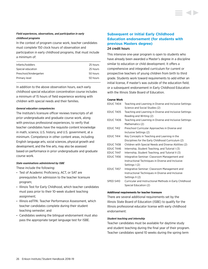### <span id="page-26-0"></span>*Field experiences, observations, and participation in early childhood programs*

In the context of program course work, teacher candidates must complete 150 clock hours of observation and

participation in early childhood programs, that must include a minimum of:

| Infants/toddlers       | 25 hours |
|------------------------|----------|
| Special education      | 25 hours |
| Preschool/kindergarten | 50 hours |
| Primary level          | 50 hours |
|                        |          |

In addition to the above observation hours, each early childhood special education concentration course includes a minimum of 15 hours of field experience working with children with special needs and their families.

### *General education competencies*

The Institute's licensure officer reviews transcripts of all prior undergraduate and graduate course work, along with previous professional experiences, to verify that teacher candidates have the requisite content knowledge in math, science, U.S. history, and U.S. government, at a minimum. Competence in other content areas, including English language arts, social sciences, physical growth and development, and the fine arts, may also be assessed based on performance in prior undergraduate and graduate course work.

### *State examinations administered by ISBE*

These include the following:

- Test of Academic Proficiency, ACT, or SAT are prerequisites for admission to the teacher licensure program;
- Illinois Test for Early Childhood, which teacher candidates must pass prior to their 10-week student teaching assignment;
- Illinois edTPA: Teacher Performance Assessment, which teacher candidates complete during their student teaching semester; and
- Candidates seeking the bilingual endorsement must also pass the appropriate target language test for ISBE.

# **Subsequent or Initial Early Childhood Education endorsement (for students with previous Masters degree)** 24 credit hours

This intensive one-year program is open to students who have already been awarded a Master's degree in a discipline similar to education or child development. It offers a comprehensive and integrated curriculum for current or prospective teachers of young children from birth to third grade. Students work toward requirements to add either an initial license, if master's was outside of the education field; or a subsequent endorsement in Early Childhood Education with the Illinois State Board of Education.

### **Course Work**

| EDUC T404        | Teaching and Learning in Diverse and Inclusive Settings:<br>Science and Social Studies (2) |
|------------------|--------------------------------------------------------------------------------------------|
| EDUC T405        | Teaching and Learning in Diverse and Inclusive Settings:                                   |
|                  | Reading and Writing (2)                                                                    |
| <b>EDUC T406</b> | Teaching and Learning in Diverse and Inclusive Settings:                                   |
|                  | Mathematics (2)                                                                            |
| <b>EDUC T412</b> | Preschool Curricular Approaches in Diverse and                                             |
|                  | Inclusive Settings (2)                                                                     |
| EDUC T414        | Key Concepts in Teaching and Learning in the                                               |
|                  | Disciplines for the Early Childhood Curriculum (2)                                         |
| <b>EDUC T438</b> | Children with Special Needs and Diverse Abilities (2)                                      |
| EDUC T446        | Internship, Student Teaching, and Tutorial I (3)                                           |
| EDUC T447        | Internship, Student Teaching, and Tutorial II (3)                                          |
| <b>EDUC T456</b> | Integrative Seminar: Classroom Management and                                              |
|                  | Instructional Techniques in Diverse and Inclusive                                          |
|                  | Settings I (2)                                                                             |
| <b>EDUC T457</b> | Integrative Seminar: Classroom Management and                                              |
|                  | Instructional Techniques in Diverse and Inclusive                                          |
|                  | Settings II (2)                                                                            |
| SPED S410        | Curricular and Instructional Methods in Early Childhood                                    |
|                  | Special Education (2)                                                                      |

### **Additional requirements for teacher licensure**

There are several additional requirements set by the Illinois State Board of Education (ISBE) to qualify for the Illinois professional educator license with early childhood endorsement:

### *Student teaching and internship*

Teacher candidates must be available for daytime study and student teaching during the final year of their program. Teacher candidates spend 10 weeks during the spring term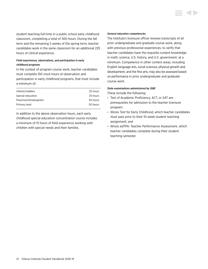student teaching full-time in a public school early childhood classroom, completing a total of 300 hours. During the fall term and the remaining 5 weeks of the spring term, teacher candidates work in the same classroom for an additional 225 hours of clinical experience.

### *Field experiences, observations, and participation in early childhood programs*

In the context of program course work, teacher candidates must complete 150 clock hours of observation and participation in early childhood programs, that must include a minimum of:

| 25 hours |
|----------|
| 25 hours |
| 50 hours |
| 50 hours |
|          |

In addition to the above observation hours, each early childhood special education concentration course includes a minimum of 15 hours of field experience working with children with special needs and their families.

#### *General education competencies*

The Institute's licensure officer reviews transcripts of all prior undergraduate and graduate course work, along with previous professional experiences, to verify that teacher candidates have the requisite content knowledge in math, science, U.S. history, and U.S. government, at a minimum. Competence in other content areas, including English language arts, social sciences, physical growth and development, and the fine arts, may also be assessed based on performance in prior undergraduate and graduate course work.

#### *State examinations administered by ISBE*

These include the following:

- Test of Academic Proficiency, ACT, or SAT are prerequisites for admission to the teacher licensure program;
- Illinois Test for Early Childhood, which teacher candidates must pass prior to their 10-week student teaching assignment; and
- Illinois edTPA: Teacher Performance Assessment, which teacher candidates complete during their student teaching semester.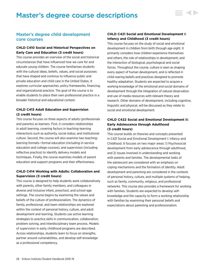# <span id="page-28-0"></span>Master's degree course descriptions



 $\sim$   $\sim$ 

# Master's degree child development core courses

### **CHLD C410 Social and Historical Perspectives on Early Care and Education (3 credit hours)**

This course provides an overview of the social and historical circumstances that have influenced how we care for and educate young children. The course familiarizes students with the cultural ideas, beliefs, values, and social purposes that have shaped and continue to influence public and private education and child care in the United States. It explores curricular approaches, policy frameworks, financing, and organizational practice. The goal of the course is to enable students to place their own professional practice in a broader historical and educational context.

### **CHLD C413 Adult Education and Supervision (2 credit hours)**

This course focuses on three aspects of adults (professionals and parents) as learners. First, it considers relationships in adult learning, covering factors in teaching-learning interactions such as authority, social status, and institutional culture. Second, the course will also examine two teachinglearning formats—formal education (including in-service education and college courses), and supervision (including reflective practice) to identify delivery models and techniques. Finally, the course examines models of parent education and support programs and their effectiveness.

### **CHLD C414 Working with Adults: Collaboration and Supervision (3 credit hours)**

This course is designed to help students work collaboratively with parents, other family members, and colleagues in diverse and inclusive infant, preschool, and school-age settings. The course begins by examining the values and beliefs of the culture of professionalism. The dynamics of family, professional, and team relationships are explored within the context of personal history, culture, and adult development and learning. Students use active learning strategies to practice skills in communication, collaboration, problem solving, and interdisciplinary team process. Models of supervision in early childhood programs are described. Across relationships, students learn to focus on strengths, partner around vulnerabilities, and develop self-knowledge as a professional competency.

# **CHLD C421 Social and Emotional Development I: Infancy and Childhood (3 credit hours)**

This course focuses on the study of social and emotional development in children from birth through age eight. It primarily considers how children experience themselves and others; the role of relationships in development; and the interaction of biological, psychological and social forces. Throughout the course, culture is seen as shaping every aspect of human development, and is reflected in child-rearing beliefs and practices designed to promote healthy adaptation. Students are expected to acquire a working knowledge of the emotional and social domains of development through the integration of natural observation and use of media resources with relevant theory and research. Other domains of development, including cognitive, linguistic and physical, will be discussed as they relate to social and emotional development.

## **CHLD C422 Social and Emotional Development II: Early Adolescence through Adulthood (3 credit hours)**

This course builds on theories and concepts presented in C421 Social and Emotional Development I: Infancy and Childhood. It focuses on two major areas: 1) Psychosocial development from early adolescence through adulthood, and 2) Issues involved in understanding and working with parents and families. The developmental tasks of the adolescent are considered with an emphasis on coping mechanisms and the formation of identity. Adult development and parenting are considered in the contexts of personal history, culture, and multiple systems of helping, such as family, community, religious, and professional networks. This course also provides a framework for working with families. Students are expected to develop selfknowledge and the capacity to form a working relationship with families by examining their personal beliefs and expectations about parenting and professionalism.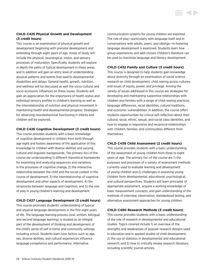### **CHLD C425 Physical Growth and Development (3 credit hours)**

This course is an examination of physical growth and development beginning with prenatal development and extending through eight years of age. Areas of study will include the physical, neurological, motor, and sensory processes of maturation. Specifically, students will explore in depth the paths of typical development in these areas, and in addition will gain an entry level of understanding atypical patterns and events that lead to developmental disabilities and delays. General health, growth, nutrition, and wellness will be discussed as well the socio-cultural and socio-economic influences on these issues. Students will gain an appreciation for the importance of health status and individual sensory profiles in children's learning as well as the interrelationship of nutrition and physical movement in maintaining health and developmental progress. Strategies for observing neurobehavioral functioning in infants and children will be explored.

### **CHLD C426 Cognitive Development (3 credit hours)**

This course provides students with a basic knowledge of cognitive development in children from birth through age eight and fosters awareness of the application of this knowledge to children with diverse abilities and varying cultural and linguistic backgrounds. The primary foci of the course are understanding 1) different theoretical frameworks for examining and analyzing sequences and variations in the processes of cognitive change, 2) the interactive relationship between the child and the social context in the course of development, 3) the interrelationship of cognitive development and other aspects of development, 4) the reciprocity between language and cognition, and 5) the role of play in young children's learning and development.

### **CHLD C427 Language Development (3 credit hours)**

This course promotes students' understanding of typical and atypical language development in the first eight years of life. The language learning process (oral, written, bilingual and second language learning) is studied as an integral part of the development of thinking and development of the child's sense of self in home and community settings, including school. Students learn how factors such as age, sex, diverse abilities, and cultural experiences influence language competence and performance. Alternative

communication systems for young children are explored. The role of play—particularly with language itself and in conversations with adults, peers, and siblings—in fostering language development is examined. Students learn how group experiences and well-chosen children's literature can be used to maximize language and literacy development.

### **CHLD C432 Family and Culture (3 credit hours)**

This course is designed to help students gain knowledge about diversity through an examination of social science research on child development, child rearing across cultures, and issues of equity, power, and privilege. Among the variety of issues addressed in this course are strategies for developing and maintaining supportive relationships with children and families with a range of child-rearing practices, language differences, racial identities, cultural traditions, and economic vulnerabilities. In addition, the course offers students opportunities for critical self-reflection about their cultural, racial, ethnic, sexual, and social class identities, and how to engage in responsive and reciprocal relationships with children, families, and communities different from themselves.

### **CHLD C439 Child Assessment (2 credit hours)**

This course provides students with a basic understanding of the assessment of young children from three to eight years of age. The primary foci of the course are 1) the purposes and processes of a variety of assessment methods currently used to evaluate learning and development of young children and 2) challenges in assessing young children from developmental, educational, psychological, and cultural perspectives. Students will learn principles of appropriate assessment, acquire a working knowledge of basic measurement concepts, and gain understanding of the methods of interview, observation, standardized testing, and alternative assessment approaches for young children.

### **CHLD C490 Research Methods (3 credit hours)**

This course provides students with a basic understanding of the role of research in developmental and educational studies. Topics covered include 1) an overview of the strengths and weaknesses of popular research designs used in education and in applied studies of child development; 2) the use of statistics in developmental and educational research; and 3) how to critically review research literature, including scientific journal articles.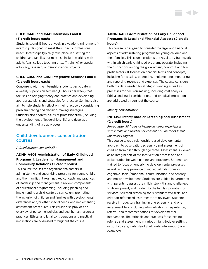## **CHLD C440 and C441 Internship I and II (3 credit hours each)**

Students spend 15 hours a week in a yearlong (nine-month) internship designed to meet their specific professional needs. Internships typically take place in a setting for children and families but may also include working with adults (e.g., college teaching or staff training) or special advocacy, research, or demonstration projects.

## **CHLD C450 and C451 Integrative Seminar I and II (2 credit hours each)**

Concurrent with the internship, students participate in a weekly supervision seminar (1.5 hours per week) that focuses on bridging theory and practice and developing appropriate plans and strategies for practice. Seminars also aim to help students reflect on their practice by considering problem-solving and decision-making strategies. Students also address issues of professionalism (including the development of leadership skills) and develop an understanding of group process.

# Child development concentration courses

*Administration concentration*

# **ADMN A408 Administration of Early Childhood Programs I: Leadership, Management and Community Relations (2 credit hours)**

This course focuses the organizational factors in administering and supervising programs for young children and their families. It examines key concepts and practices of leadership and management. It reviews components of educational programming, including planning and implementing a child-centered curriculum, promoting the inclusion of children and families with developmental differences and/or other special needs, and implementing assessment procedures. This course also provides an overview of personnel policies and best human resources practices. Ethical and legal considerations and practical implications are addressed throughout the course.

# **ADMN A409 Administration of Early Childhood Programs II: Legal and Financial Aspects (2 credit hours)**

This course is designed to consider the legal and financial aspects of administering programs for young children and their families. This course explores the regulatory framework within which early childhood programs operate, including the distinctions among the government, nonprofit and forprofit sectors. It focuses on financial terms and concepts, including forecasting, budgeting, implementing, monitoring, and reporting revenue and expenses. The course considers both the data needed for strategic planning as well as processes for decision-making, including cost analysis. Ethical and legal considerations and practical implications are addressed throughout the course.

### *Infancy concentration*

### **INF I492 Infant/Toddler Screening and Assessment (2 credit hours)**

*Prerequisite: 30 hours of hands-on, direct experiences with infants and toddlers or consent of Director of Infant Specialist Program.*

This course takes a relationship-based developmental approach to observation, screening, and assessment of children from birth through age three. Assessment is viewed as an integral part of the intervention process and as a collaboration between parents and providers. Students are trained to focus on underlying developmental processes as well as the appearance of individual milestones in cognitive, social/emotional, communication, and sensory and motor development. Students are guided in partnering with parents to assess the child's strengths and challenges to development, and to identify the family's priorities for services. Selected screening tools, standardized tests, and criterion-referenced instruments are reviewed. Students receive introductory training in one screening and one assessment tool, including administration, interpretation, referral, and recommendations for developmental intervention. The rationale and practices for screening, referral, and assessment in various infant/toddler settings (e.g., child care, Early Head Start, early intervention) are examined.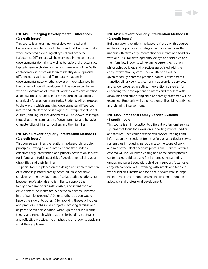### **INF I496 Emerging Developmental Differences (2 credit hours)**

This course is an examination of developmental and behavioral characteristics of infants and toddlers specifically when presented as veering off typical and expected trajectories. Differences will be examined in the context of developmental domains as well as behavioral characteristics typically seen in children in the first three years of life. Within each domain students will learn to identify developmental differences as well as to differentiate variations in developmental pace whether slower or more advanced in the context of overall development. This course will begin with an examination of prenatal variables with consideration as to how those variables inform newborn characteristics specifically focused on prematurity. Students will be exposed to the ways in which emerging developmental differences inform and interface various diagnoses. Interpersonal, social, cultural, and linguistic environments will be viewed as integral throughout the examination of developmental and behavioral characteristics of infants, toddlers and their families.

### **INF I497 Prevention/Early Intervention Methods I (2 credit hours)**

This course examines the relationship-based philosophy, principles, strategies, and interventions that underlie effective early intervention and primary prevention services for infants and toddlers at risk of developmental delays or disabilities and their families.

Special focus is placed on the design and implementation of relationship-based, family-centered, child sensitive services; on the development of collaborative relationships between professionals and families to support the family; the parent-child relationship; and infant toddler development. Students are expected to become involved in the "parallel process" ("Do unto others as you would have others do unto others") by applying theses principles and practices in their class projects involving families and as part of class participation. Although the course blends theory and research with relationship-building strategies and reflective practice, the emphasis is on students applying what they are learning.

### **INF I498 Prevention/Early Intervention Methods II (2 credit hours)**

**STATISTICS** 

Building upon a relationship-based philosophy, this course explores the principles, strategies, and interventions that underlie effective early intervention for infants and toddlers with or at risk for developmental delays or disabilities and their families. Students will examine current legislation, philosophy, policies, and practices associated with the early intervention system. Special attention will be given to family-centered practice, natural environments, transdisciplinary services, culturally appropriate services, and evidence-based practice. Intervention strategies for enhancing the development of infants and toddlers with disabilities and supporting child and family outcomes will be examined. Emphasis will be placed on skill-building activities and planning interventions.

### **INF I499 Infant and Family Service Systems (1 credit hour)**

This course is an introduction to different professional service systems that focus their work on supporting infants, toddlers and families. Each course session will provide readings and information by a specialist from the field on a particular service system thus introducing participants to the scope of work and role of the infant specialist professional. Service systems covered will include home visiting and home based practice, center based child care and family home care, parenting groups and parent education, child birth support, foster care, early intervention Part C: working with infants and toddlers with disabilities, infants and toddlers in health care settings, infant mental health, adoption and international adoption, advocacy and professional development.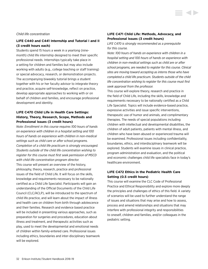### *Child life concentration*

### **LIFE C440 and C441 Internship and Tutorial I and II (3 credit hours each)**

Students spend 15 hours a week in a yearlong (ninemonth) child life internship designed to meet their specific professional needs. Internships typically take place in a setting for children and families but may also include working with adults (e.g., college teaching or staff training) or special advocacy, research, or demonstration projects. The accompanying biweekly tutorial brings a student together with his or her faculty advisor to integrate theory and practice, acquire self-knowledge, reflect on practice, develop appropriate approaches to working with or on behalf of children and families, and encourage professional development and identity.

# **LIFE C470 Child Life in Health Care Settings: History, Theory, Research, Scope, Methods and Professional Issues (3 credit hours)**

*Note: Enrollment in this course requires 100 hours of hands on experience with children in a hospital setting and 100 hours of hands on experience with children in non-medical settings such as child care or after school programs. Completion of a child life practicum is strongly encouraged. Students outside of the child life concentration wishing to register for this course must first seek permission of MSCD with child life concentration program director.* This course will present an overview of the history, philosophy, theory, research, practice and professional issues of the field of Child Life. It will focus on the skills, knowledge and requirements necessary to be nationally certified as a Child Life Specialist. Participants will gain an understanding of the Official Documents of the Child Life Council (CLC/ACLP), will be introduced to the spectrum of child life practice, and will learn about the impact of illness and health care on children from birth through adolescence and their families. Research and evidence based practice will be included in presenting various approaches, such as preparation for surgeries and procedures, education about illness and treatment, and therapeutic activities such as play, used to meet the developmental and emotional needs of children within family-entered care. Professional issues including ethics, boundaries and inter-disciplinary teamwork will be explored.

### **LIFE C471 Child Life: Methods, Advocacy, and Professional Issues (3 credit hours)**

*LIFE C470 is strongly recommended as a prerequisite for this course.*

*Note: 100 hours of hands on experience with children in a hospital setting and 100 hours of hands on experience with children in non-medical settings such as child are or after school programs, are needed to register for this course. Clinical sites are moving toward accepting as interns those who have completed a child life practicum. Students outside of the child life concentration wishing to register for this course must first seek approval from the professor.*

This course will explore theory, research and practice in the field of Child Life, including the skills, knowledge and requirements necessary to be nationally certified as a Child Life Specialist. Topics will include evidence-based practice, expressive activities and issue specific interventions, therapeutic use of humor and animals, and complimentary therapies. The needs of special populations including children with intellectual and developmental disabilities, the children of adult patients, patients with mental illness, and children who have been abused or experienced trauma will be examined. Professional issues including confidentiality, boundaries, ethics, and interdisciplinary teamwork will be explored. Students will examine issues in clinical practice, program administration and evaluation, and the political and economic challenges child life specialists face in today's healthcare environment.

### **LIFE C472 Ethics in the Pediatric Health Care Setting (0.5 credit hours)**

This course will examine the CLC Code of Professional Practice and Ethical Responsibility and explore more deeply the principles and challenges of ethics of this field. A variety of scenarios will be used to further understand the range of issues and situations that may arise and how to assess, process and amend relationships and situations that may interfere with professional integrity and responsibilities to oneself, children and families, and/or colleagues in the pediatric setting.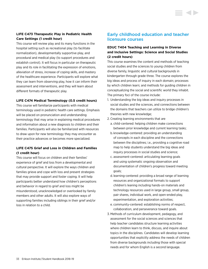## **LIFE C473 Therapeutic Play in Pediatric Health Care Settings (1 credit hour)**

This course will review play and its many functions in the hospital setting such as recreational play (to facilitate normalization), developmentally supportive play, and procedural and medical play (to support procedures and establish control). It will focus in particular on therapeutic play and its role in facilitating the expression of emotions, alleviation of stress, increase of coping skills, and mastery of the healthcare experience. Participants will explore what they can learn from observing play, how it can inform their assessment and interventions, and they will learn about different formats of therapeutic play.

### **LIFE C474 Medical Terminology (0.5 credit hours)**

This course will familiarize participants with medical terminology used in pediatric health care settings. Emphasis will be placed on pronunciation and understanding terminology that may arise in explaining medical procedures and information about a new diagnosis to children and their families. Participants will also be familiarized with resources to draw upon for new terminology they may encounter as their practice advances or becomes more specialized.

### **LIFE C475 Grief and Loss in Children and Families (1 credit hour)**

This course will focus on children and their families' experience of grief and loss from a developmental and cultural perspective. It will explore the ways children and families grieve and cope with loss and present strategies that may provide support and foster coping. It will help participants better understand how children's perceptions and behavior in regard to grief and loss might be misunderstood, unacknowledged or overlooked by family members and other adults. It will also explore ways of supporting families including siblings in their grief and/or loss in relation to a child.

# Early childhood education and teacher licensure courses

### **EDUC T404 Teaching and Learning in Diverse and Inclusive Settings: Science and Social Studies (2 credit hours)**

This course examines the content and methods of teaching social studies and the sciences to young children from diverse family, linguistic and cultural backgrounds in kindergarten through grade three. The course explores the big ideas and process of inquiry in each domain; processes by which children learn; and methods for guiding children in conceptualizing the social and scientific world they inhabit. The primary foci of the course include:

- 1. Understanding the big ideas and inquiry processes in social studies and the sciences, and connections between the domains that teachers can utilize to bridge children's theories with new knowledge;
- 2. Creating learning environments that are
	- a. child-centered: helping children make connections between prior knowledge and current learning tasks;
	- b. knowledge-centered: providing an understanding of concepts in each discipline and the connections between the disciplines; i.e., providing a cognitive road map to help students understand the big ideas and inquiry processes in social studies and science;
	- c. assessment-centered: articulating learning goals and using systematic ongoing observation and documentation of children's progress toward meeting goals;
	- d. learning-centered: providing a broad range of learning resources and organizational formats to support children's leaning including hands-on materials and technology resources used in large group, small group, pair shares, individual work, and open-ended play, experimentation, and exploration activities;
	- e. community-centered: establishing norms of respect, collaboration, and perseverance toward goals.
- 3. Methods of curriculum development, pedagogy, and assessment for the social sciences and sciences that help teacher candidates structure learning activities where children learn to think, discuss, and inquire about topics in the disciplines. Candidates will develop learning opportunities that explicitly address the needs of children from diverse backgrounds including those with special needs and for whom English is a second language.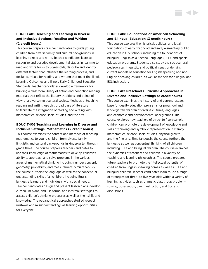# **EDUC T405 Teaching and Learning in Diverse and Inclusive Settings: Reading and Writing (2 credit hours)**

This course prepares teacher candidates to guide young children from diverse family and cultural backgrounds in learning to read and write. Teacher candidates learn to recognize and describe developmental stages in learning to read and write for 4- to 8-year-olds, describe and identify different factors that influence the learning process, and design curricula for reading and writing that meet the Illinois Learning Outcomes and Illinois Early Childhood Education Standards. Teacher candidates develop a framework for building a classroom library of fiction and nonfiction reading materials that reflect the literary traditions and points of view of a diverse multicultural society. Methods of teaching reading and writing use this broad base of literature to facilitate the integration of reading and writing with mathematics, science, social studies, and the arts.

### **EDUC T406 Teaching and Learning in Diverse and Inclusive Settings: Mathematics (2 credit hours)**

This course examines the content and methods of teaching mathematics to young children from diverse family, linguistic and cultural backgrounds in kindergarten through grade three. The course prepares teacher candidates to use their knowledge of mathematics to develop children's ability to approach and solve problems in the various areas of mathematical thinking including number concept, geometry, probability, and measurement. Simultaneously the course furthers the language as well as the conceptual understanding skills of all children, including English language learners and individuals with special needs. Teacher candidates design and present lesson plans, develop curriculum plans, and use formal and informal strategies to assess children's thinking processes as well as their skills and knowledge. The pedagogical approaches studied respect mistakes and misunderstandings as learning opportunities for everyone.

### **EDUC T408 Foundations of American Schooling and Bilingual Education (3 credit hours)**

This course explores the historical, political, and legal foundations of early childhood and early elementary public education in U.S. schools, including the foundations of bilingual, English as a Second Language (ESL), and special education programs. Students also study the sociocultural, pedagogical, linguistic, and political issues underlying current models of education for English speaking and non-English speaking children, as well as models for bilingual and ESL instruction.

### **EDUC T412 Preschool Curricular Approaches in Diverse and Inclusive Settings (2 credit hours)**

This course examines the history of and current research base for quality education programs for preschool and kindergarten children of diverse cultures, languages, and economic and developmental backgrounds. The course explores how teachers of three- to five-year-old children can promote the development of knowledge and skills of thinking and symbolic representation in literacy, mathematics, science, social studies, physical growth, and the fine arts. Simultaneously, the course furthers the language as well as conceptual thinking of all children, including ELLs and bilingual children. The course examines the dynamics of teachers and children in a variety of teaching and learning philosophies. The course prepares future teachers to promote the intellectual potential of children from English speaking homes as well as ELLs and bilingual children. Teacher candidates learn to use a range of strategies for three- to five-year-olds within a variety of learning activities such as dramatic play, group problemsolving, observation, direct instruction, and Socratic discussions.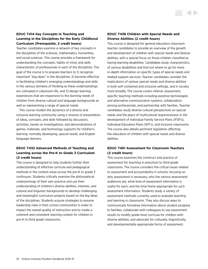### **EDUC T414 Key Concepts in Teaching and Learning in the Disciplines for the Early Childhood Curriculum (Prerequisite, 2 credit hours)**

Teacher candidates examine a network of key concepts in the disciplines of the sciences, mathematics, humanities, and social sciences. This course provides a framework for understanding the concepts, habits of mind, and skills characteristic of professionals in each of the disciplines. The goal of the course is to prepare teachers to 1) recognize important "big ideas" in the disciplines, 2) become effective in facilitating children's emerging understandings and skills in the various domains of thinking as these understandings are cultivated in classroom life, and 3) design learning experiences that are responsive to the learning needs of children from diverse cultural and language backgrounds as well as representing a range of special needs.

This course models the dynamics of a diverse and inclusive learning community using a mixture of presentation of ideas, concepts, and skills followed by discussion, activities, hands-on investigations, and demonstrations of games, materials, and technology supports for children's learning: normally developing, special needs, and English language learners.

# **EDUC T432 Advanced Methods of Teaching and Learning across the Pre-K to Grade 3 Curriculum (3 credit hours)**

This course is designed to help students further their understanding of effective curricula and pedagogical methods in the content areas across the pre-K to grade 3 continuum. Students critically examine the philosophical underpinnings of their own practice and use their understanding of children's diverse abilities, interests, and cultural and linguistic backgrounds to develop challenging and meaningful curriculum projects based on the big ideas of the disciplines. Students acquire strategies to assume leadership roles in their school communities in order to impact the overall quality of instruction and to create a coherent and consistent learning context for children in pre-K to third grade classrooms.

### **EDUC T438 Children with Special Needs and Diverse Abilities (2 credit hours)**

This course is designed for general education classroom teacher candidates to provide an overview of the growth and development of children with special needs and diverse abilities, with a special focus on those children classified as having learning disabilities. Candidates study characteristics of various disabilities and find out where to go for more in-depth information on specific types of special needs and related support services. Teacher candidates consider the implications of various special needs and diverse abilities in both self-contained and inclusive settings, and in society more broadly. The course covers referral, assessment, specific teaching methods including assistive technologies and alternative communication systems, collaboration among professionals, and partnership with families. Teacher candidates study diverse cultural perspectives on special needs and the place of multicultural responsiveness in the development of Individual Family Service Plans (IFSP's), Individual Education Plans (IEP's), and inclusive classrooms. The course also details pertinent legislation affecting the education of children with special needs and diverse abilities.

# **EDUC T461 Assessment for Classroom Teachers (2 credit hours)**

This course examines the construct and practice of assessment for teaching in preschool to third grade classrooms. The course considers the critical issues related to assessment and accountability in schools, focusing on why assessment is necessary, who the various assessment audiences are, what kind of assessment information is useful for each, and the time frame appropriate for such assessment information. Students study a variety of assessment methods currently used to evaluate teaching and learning in classrooms. They also discuss ways to communicate formative information about student progress to families; collaborate with colleagues to use assessment results to modify grade-level curricula for children with diverse abilities; and advocate for culturally, linguistically, and developmentally-appropriate forms of assessment.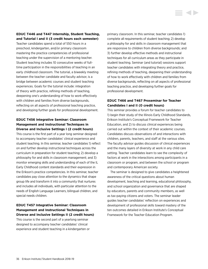# **EDUC T446 and T447 Internship, Student Teaching, and Tutorial I and II (3 credit hours each semester)**

Teacher candidates spend a total of 550 hours in a preschool, kindergarten, and/or primary classroom mastering the practice competencies of professional teaching under the supervision of a mentoring teacher. Student teaching includes 10 consecutive weeks of fulltime participation in the responsibilities of teaching in an early childhood classroom. The tutorial, a biweekly meeting between the teacher candidate and faculty advisor, is a bridge between academic courses and student teaching experiences. Goals for the tutorial include: integration of theory with practice, refining methods of teaching, deepening one's understanding of how to work effectively with children and families from diverse backgrounds, reflecting on all aspects of professional teaching practice, and developing further goals for professional development.

# **EDUC T456 Integrative Seminar: Classroom Management and Instructional Techniques in Diverse and Inclusive Settings I (2 credit hours)**

This course is the first part of a year long seminar designed to accompany teacher candidates' clinical experience and student teaching. In this seminar, teacher candidates 1) reflect on and further develop instructional techniques across the curriculum in preparation for student teaching; 2) develop a philosophy for and skills in classroom management; and 3) monitor emerging skills and understanding of each of the IL Early Childhood content standards and their expression in the Erikson's practice competencies. In this seminar, teacher candidates pay close attention to the dynamics that shape group life and transform it into a community that nurtures and includes all individuals, with particular attention to the needs of English Language Learners, bilingual children, and special needs children.

# **EDUC T457 Integrative Seminar: Classroom Management and Instructional Techniques in Diverse and Inclusive Settings II (2 credit hours)**

This course is the second part of a yearlong seminar designed to accompany teacher candidates' clinical experience and student teaching in a kindergarten or primary classroom. In this seminar, teacher candidates 1) complete all requirements of student teaching; 2) develop a philosophy for and skills in classroom management that are responsive to children from diverse backgrounds; and 3) further develop effective methods and instructional techniques for all curriculum areas as they participate in student teaching. Seminar (and tutorial) sessions support teacher candidates with integrating theory and practice, refining methods of teaching, deepening their understanding of how to work effectively with children and families from diverse backgrounds, reflecting on all aspects of professional teaching practice, and developing further goals for professional development.

# **EDUC T466 and T467 Proseminar for Teacher Candidates I and II (0 credit hours)**

This seminar provides a forum for teacher candidates to 1) begin their study of the Illinois Early Childhood Standards, Erikson Institute's Conceptual Framework for Teacher Education, and 2) to discuss clinical experiences being carried out within the context of their academic courses. Candidates discuss observations of and interactions with children, parents, teachers, and staff at the various sites. The faculty advisor guides discussion of clinical experiences and the many layers of diversity at work in any child care setting. Teacher candidates learn to see the complexity of factors at work in the interactions among participants in a classroom or program, and between the school or program and contemporary American society.

The seminar is designed to give candidates a heightened awareness of the critical questions about human development, teaching and learning, educational philosophy, and school organization and governance that are shaped by educators, parents and community members, as well as tax-paying citizens and voters. The seminar leader guides teacher candidates' reflection on experiences and development of professional skills toward mastery of the ten outcomes detailed in Erikson Institute's Conceptual Framework for the Teacher Education Program.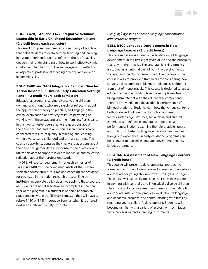# <span id="page-37-0"></span>**EDUC T470, T471 and T472 Integrative Seminar: Leadership in Early Childhood Education I, II and III (2 credit hours each semester)**

This small group seminar creates a community of practice that helps students to examine their teaching and learning, integrate theory and practice, refine methods of teaching, deepen their understanding of how to work effectively with children and families from diverse backgrounds, reflect on all aspects of professional teaching practice, and develop leadership skills.

# **EDUC T480 and T481 Integrative Seminar: Directed Action Research in Diverse Early Education Settings I and II (2 credit hours each semester)**

Educational programs serving diverse young children demand practitioners who are capable of reflecting about the application of theory to practice, and engage in the critical examination of a variety of issues pertaining to working with these students and their families. Participants in this two semester course generate questions about their practice that lead to an action research intrinsically connected to issues of quality in teaching and learning within diverse early childhood and primary settings. The course supports students as they generate questions about their practice, gather data in response to the question, and utilize this data to support in-depth individual and collective reflection about their professional work.

NOTE: All course requirements for each semester of T480 and T481 must be completed inside of the 15-week semester course structure. Time and coaching are provided for each step in the action research process. Erikson Institute's incomplete policy does not apply to these courses as students are not able to take an incomplete in the final year of the program. If a student is not able to complete requirements within the 15-week semester, they will have to retake T480 or T481 Integrative Seminar when it is offered next with a relevant faculty instructor.

*Bilingual/English as a second language concentration and certificate program*

# **BESL B402 Language Development in New Language Learners (3 credit hours)**

This course develops students' understanding of language development in the first eight years of life and the principles that govern the process. The language learning process is studied as an integral part of both the development of thinking and the child's sense of self. The purpose of the course is also to provide a framework for considering how language development in bilingual individuals is different from that of monolinguals. This course is designed to assist educators in understanding how the multiple realities of bilingualism interact with the educational context and therefore may influence the academic performance of bilingual students. Students learn how the various contexts both inside and outside of a child's home interact with factors such as age, sex, race, social class, and cultural experiences to influence language competence and performance. Students examine the role of adults, peers, and siblings in fostering language development, and learn how group experiences in early childhood programs can be arranged to maximize language development in new language learners.

# **BESL B404 Assessment of New Language Learners (2 credit hours)**

This course will present a developmental approach to formal and informal observation and assessment procedures appropriate for young children from 3- to 8-years-of-age. The course will especially focus on the issues in assessment in working with culturally and linguistically diverse children. The course will explore assessment issues as they relate to appropriate instructional practices, evaluation of language and academic progress, and communicating with families regarding young children's development. Students will become familiar with a variety of assessment techniques, tests, procedures, and screening instruments.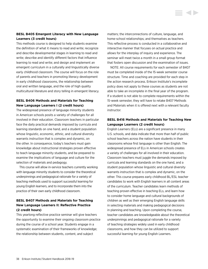# **BESL B405 Emergent Literacy with New Language Learners (3 credit hours)**

This methods course is designed to help students examine the definition of what it means to read and write; recognize and describe developmental stages in learning to read and write; describe and identify different factors that influence learning to read and write; and design and implement an emergent curriculum in a culturally and linguistically diverse early childhood classroom. The course will focus on the role of parents and teachers in promoting literacy development in early childhood classrooms, the relationship between oral and written language, and the role of high quality multicultural literature and story telling in emergent literacy.

# **BESL B406 Methods and Materials for Teaching New Language Learners I (2 credit hours)**

The widespread presence of language minority students in American schools posits a variety of challenges for all involved in their education. Classroom teachers in particular face the daily practical demands imposed by curricula and learning standards on one hand, and a student population whose linguistic, economic, ethnic, and cultural diversity warrants instruction that is complex and dynamic, on the other. In consequence, today's teachers must gain knowledge about instructional strategies proven effective to teach language minority students, and be prepared to examine the implications of language and culture for the selection of materials and pedagogy.

This course will allow in-service teachers currently working with language minority students to consider the theoretical underpinnings and pedagogical rationale for a variety of teaching methods used to support successful learning for young English learners, and to incorporate them into the practice of their own early childhood classroom.

# **BESL B407 Methods and Materials for Teaching New Language Learners II: Reflective Practice (2 credit hours)**

This yearlong reflective practice seminar will give teachers the opportunity to examine their ongoing classroom practice during the course of a school year. Students engage in a systematic examination of their frameworks of knowledge; the relationship between students, content, and subject

matters; the interconnections of culture, language, and home-school relationships; and themselves as teachers. This reflective process is conducted in a collaborative and interactive manner that focuses on actual practice and allows for the interplay of inquiry and experience. The seminar will meet twice a month in a small group format that fosters open discussion and the examination of issues.

NOTE: All course requirements for each semester of B407 must be completed inside of the 15-week semester course structure. Time and coaching are provided for each step in the action research process. Erikson Institute's incomplete policy does not apply to these courses as students are not able to take an incomplete in the final year of the program. If a student is not able to complete requirements within the 15-week semester, they will have to retake B407 Methods and Materials when it is offered next with a relevant faculty instructor.

# **BESL B416 Methods and Materials for Teaching New Language Learners (2 credit hours)**

English Learners (ELs) are a significant presence in many U.S. schools, and data indicate that more than half of public school teachers across the nation have students in their classrooms whose first language is other than English. The widespread presence of ELs in American schools creates a variety of challenges for all involved in their education. Classroom teachers must juggle the demands imposed by curricula and learning standards on the one hand, and a student population whose linguistic and cultural diversity warrants instruction that is complex and dynamic, on the other. This course prepares early childhood BL/ESL teacher candidates to work with English learners in all content areas of the curriculum. Teacher candidates learn methods of teaching proven effective in teaching ELs, and learn how to consider home language and cultural backgrounds of children as well as their emerging English language skills in selecting materials and making pedagogical decisions in planning and teaching. Upon completing the course, teacher candidates are knowledgeable about the theoretical underpinnings and pedagogical rationale for a variety of teaching strategies widely used in early childhood classrooms, and how they can be utilized to support successful learning for young English Learners.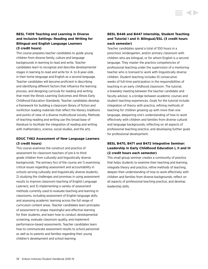This course prepares teacher candidates to guide young children from diverse family, culture and language backgrounds in learning to read and write. Teacher candidates learn to recognize and describe developmental stages in learning to read and write for 4- to 8-year-olds in their home language and English as a second language. Teacher candidates will become proficient in describing and identifying different factors that influence the learning process, and designing curricula for reading and writing that meet the Illinois Learning Outcomes and Illinois Early Childhood Education Standards. Teacher candidates develop a framework for building a classroom library of fiction and nonfiction reading materials that reflect the literary traditions and points of view of a diverse multicultural society. Methods of teaching reading and writing use this broad base of literature to facilitate the integration of reading and writing with mathematics, science, social studies, and the arts.

# **EDUC T462 Assessment of New Language Learners (3 credit hours)**

This course examines the construct and practice of assessment for classroom teachers of pre-k to third grade children from culturally and linguistically diverse backgrounds. The primary foci of the course are 1) examining critical issues regarding assessment and accountability in schools serving culturally and linguistically diverse students, 2) studying the challenges and promises in using assessment results to improve classroom teaching of English Language Learners; and 3) implementing a variety of assessment methods currently used to evaluate teaching and learning in classrooms, including assessment of English language skills, and assessing academic learning across the full range of curriculum content areas. Teacher candidates learn principles of assessment to shape meaningful and effective learning for their students, and learn how to conduct developmental screening, evaluate classroom quality, and implement performance-based assessments. Teacher candidates learn how to communicate assessment results to school personnel as well as to parents and families regarding their young children's development and school learning.

# **BESL B446 and B447 Internship, Student Teaching and Tutorial I and II: Bilingual/ESL (3 credit hours each semester)**

Teacher candidates spend a total of 550 hours in a preschool, kindergarten, and/or primary classroom with children who are bilingual, or for whom English is a second language. They master the practice competencies of professional teaching under the supervision of a mentoring teacher who is licensed to work with linguistically diverse children. Student teaching includes 10 consecutive weeks of full-time participation in the responsibilities of teaching in an early childhood classroom. The tutorial, a biweekly meeting between the teacher candidate and faculty advisor, is a bridge between academic courses and student teaching experiences. Goals for the tutorial include: integration of theory with practice, refining methods of teaching for children growing up with more than one language, deepening one's understanding of how to work effectively with children and families from diverse cultural and language backgrounds, reflecting on all aspects of professional teaching practice, and developing further goals for professional development.

# **BESL B470, B471 and B472 Integrative Seminar: Leadership in Early Childhood Education I, II and III (2 credit hours each semester)**

This small group seminar creates a community of practice that helps students to examine their teaching and learning, integrate theory and practice, refine methods of teaching, deepen their understanding of how to work effectively with children and families from diverse backgrounds, reflect on all aspects of professional teaching practice, and develop leadership skills.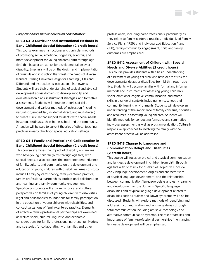## *Early childhood special education concentration*

**SPED S410 Curricular and Instructional Methods in Early Childhood Special Education (2 credit hours)**

This course examines instructional and curricular methods of promoting social, emotional, cognitive, adaptive, and motor development for young children (birth through age five) that have or are at risk for developmental delay or disability. Emphasis will be on the design and implementation of curricula and instruction that meets the needs of diverse learners utilizing Universal Design for Learning (UDL) and Differentiated Instruction as instructional frameworks. Students will use their understanding of typical and atypical development across domains to develop, modify, and evaluate lesson plans, instructional strategies, and formative assessments. Students will integrate theories of child development and various methods of instruction (including naturalistic, embedded, incidental, direct, and multi-tiered) to create curricula that support students with special needs in various settings such as home, school and the community. Attention will be paid to current theories of ethical teaching practices in early childhood special education settings.

# **SPED S411 Family and Professional Collaboration in Early Childhood Special Education (2 credit hours)**

This course examines the impact of disability on families who have young children (birth through age five) with special needs. It also explores the interdependent influence of family, culture, and community on the development and education of young children with disabilities. Areas of study include Family Systems theory, family-centered practice, family-professional partnerships, professional collaboration and teaming, and family-community engagement. Specifically, students will explore historical and cultural perspectives on families of young children with disabilities, legal and philosophical foundations for family participation in the education of young children with disabilities, and conceptualizations of family-centered practice. Elements of effective family-professional partnerships are examined as well as social, cultural, linguistic, and economic considerations for family-professional partnerships. Models and strategies for collaborating with families and other

professionals, including paraprofessionals, particularly as they relate to family-centered practice, Individualized Family Service Plans (IFSP) and Individualized Education Plans (IEP), family-community engagement, child and family outcomes are emphasized.

**STATE** 

# **SPED S412 Assessment of Children with Special Needs and Diverse Abilities (2 credit hours)**

This course provides students with a basic understanding of assessment of young children who have or are at risk for developmental delays or disabilities from birth through age five. Students will become familiar with formal and informal methods and instruments for assessing young children's social, emotional, cognitive, communication, and motor skills in a range of contexts including home, school, and community learning environments. Students will develop an understanding of the importance of family concerns, priorities, and resources in assessing young children. Students will identify methods for conducting formative and summative individual assessment as well as program evaluation. Culturally responsive approaches to involving the family with the assessment process will be addressed.

# **SPED S413 Change to Language and Communication Delays and Disabilities (2 credit hours)**

This course will focus on typical and atypical communication and language development in children from birth through age five with or at risk for disabilities. Topics will include early language development, origins and characteristics of atypical language development, and the relationship between communication/language delays and early learning and development across domains. Specific language disabilities and atypical language development related to disabilities such as autism and Down syndrome will also be discussed. Students will explore methods of identifying and addressing communication and language delays through total communication including assistive technology and alternative communication systems. The role of families and importance of family-professional partnerships in enhancing language development will be emphasized.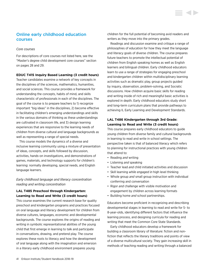# Online early childhood education courses

## *Core courses*

For descriptions of core courses not listed here, [see the](#page-28-0)  ["Master's degree child development core courses" section](#page-28-0)  [on pages 28 and 29](#page-28-0).

## **EDUC T415 Inquiry Based Learning (3 credit hours)**

Teacher candidates examine a network of key concepts in the disciplines of the sciences, mathematics, humanities, and social sciences. This course provides a framework for understanding the concepts, habits of mind, and skills characteristic of professionals in each of the disciplines. The goal of the course is to prepare teachers to 1) recognize important "big ideas" in the disciplines, 2) become effective in facilitating children's emerging understandings and skills in the various domains of thinking as these understandings are cultivated in classroom life, and 3) design learning experiences that are responsive to the learning needs of children from diverse cultural and language backgrounds as well as representing a range of special needs.

This course models the dynamics of a diverse and inclusive learning community using a mixture of presentation of ideas, concepts, and skills followed by discussion, activities, hands-on investigations, and demonstrations of games, materials, and technology supports for children's learning: normally developing, special needs, and English language learners.

*Early childhood language and literacy concentration reading and writing concentration*

## **LAL T485 Preschool through Kindergarten: Learning to Read and Write (3 credit hours)**

This course examines the current research base for quality preschool and kindergarten programs and practices focused on oral language and literacy development for children from diverse cultures, languages, economic and developmental backgrounds. The course explores the origins of reading and writing in symbolic representational abilities of the young child that first emerge in learning to talk and participate in conversations, drawing, and pretend play. The course explores these roots to literacy and how the development of oral language along with the imagination and emersion in a literary early childhood environment prepares young

children for the full potential of becoming avid readers and writers as they move into the primary grades.

Readings and discussion examine and critique a range of philosophies of education for how they meet the language and literacy goals of diverse children. The course prepares future teachers to promote the intellectual potential of children from English speaking homes as well as English learners and bilingual children. Early childhood educators learn to use a range of strategies for engaging preschool and kindergarten children within multidisciplinary learning activities such as dramatic play, group projects guided by inquiry, observation, problem-solving, and Socratic discussions. How children acquire basic skills for reading and writing inside of rich and meaningful basic activities is explored in depth. Early childhood educators study short and long-term curriculum plans that provide pathways to achieving IL Early Learning and Development Standards.

# **LAL T486 Kindergarten through 3rd Grade: Learning to Read and Write (3 credit hours)**

This course prepares early childhood educators to guide young children from diverse family and cultural backgrounds in learning to read and write in school settings. The perspective taken is that of balanced literacy which refers to planning for instructional practices with young children that attend to:

- Reading *and* writing
- Listening *and* speaking
- Teacher lead *and* child initiated activities and discussion
- Skill learning *while engaged in* high level thinking
- Whole group *and* small group instruction with individual conferring and conversation
- Rigor *and* challenge with visible motivation and engagement by children across learning formats
- Building home *and* school partnerships.

Educators become proficient in recognizing and describing developmental stages in learning to read and write for 5- to 8-year-olds, identifying different factors that influence the learning process, and designing curricula for reading and writing that meet the Common Core State Standards.

Early childhood educators develop a framework for building a classroom library of literature: fiction and nonfiction that reflects the literary traditions and points of view of a diverse multicultural society. They gain increasing skill in methods of teaching reading and writing through a balanced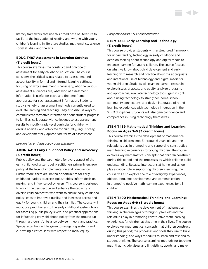literacy framework that use this broad base of literature to facilitate the integration of reading and writing with young children's learning in literature studies, mathematics, science, social studies, and the arts.

# **EDUC T487 Assessment in Learning Settings (3 credit hours)**

This course examines the construct and practice of assessment for early childhood education. The course considers the critical issues related to assessment and accountability in formal and informal learning settings, focusing on why assessment is necessary, who the various assessment audiences are, what kind of assessment information is useful for each, and the time frame appropriate for such assessment information. Students study a variety of assessment methods currently used to evaluate learning and teaching. They also discuss ways to communicate formative information about student progress to families; collaborate with colleagues to use assessment results to modify grade-level curricula for children with diverse abilities; and advocate for culturally, linguistically, and developmentally-appropriate forms of assessment.

## *Leadership and advocacy concentration*

# **ADMN A410 Early Childhood Policy and Advocacy (3 credit hours)**

Public policy sets the parameters for every aspect of the early childhood system, yet practitioners primarily engage policy at the level of implementation and compliance. Furthermore, there are limited opportunities for early childhood leaders to access policy tables, inform decisionmaking, and influence policy levers. This course is designed to enrich the perspective and enhance the capacity of diverse child advocates who want to ensure early childhood policy leads to improved quality, and increased access and equity for young children and their families. The course will introduce practitioners to the early childhood system, tools for assessing public policy levers, and practical applications for influencing early childhood policy from the ground-up through a thoughtful balance between theory and practice. Special attention will be given to navigating systems and cultivating a critical lens with respect to racial equity.

## *Early childhood STEM concentration*

# **STEM T488 Early Learning and Technology (3 credit hours)**

This course provides students with a structured framework for understanding technology in early childhood and decision-making about technology and digital media to enhance learning for young children. The course focuses on what we know about child development and early learning with research and practice about the appropriate and intentional use of technology and digital media for young children. Students will examine current research; explore issues of access and equity; analyze programs and approaches; evaluate technology tools; gain insights about using technology to strengthen home-schoolcommunity connections; and design integrated play and learning experiences with technology integration in the STEM disciplines. Students will also gain confidence and competence in using technology themselves.

# **STEM T489 Mathematical Thinking and Learning: Focus on Ages 3–6 (3 credit hours)**

This course examines the development of mathematical thinking in children ages 3 through 6 years old and the role adults play in promoting and supporting constructive math learning experiences for young children. The course explores key mathematical concepts that children construct during this period and the processes by which children build understanding. Because interactions at home and school play a critical role in supporting children's learning, the course will also explore the role of everyday experiences, objects, language development, and communication in promoting positive math learning experiences for all children.

# **STEM T490 Mathematical Thinking and Learning: Focus on Ages 6–9 (3 credit hours)**

This course examines the development of mathematical thinking in children ages 6 through 9 years old and the role adults play in promoting constructive math learning experiences for children at this time in their lives. The course explores key mathematical concepts that children construct during this period; the processes and tools they use to build understanding; and ways for adults to listen and respond to student thinking. The course examines methods for teaching math that include visual and linguistic supports, and make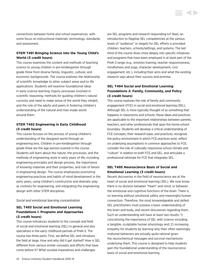connections between home and school experiences, with some focus on instructional materials, technology, standards, and assessment.

# **STEM T491 Bringing Science into the Young Child's World (3 credit hours)**

This course examines the content and methods of teaching science to young children in pre-kindergarten through grade three from diverse family, linguistic, cultural, and economic backgrounds. The course explores the relationship of scientific knowledge to other subject areas and to life applications. Students will examine foundational ideas in early science learning; inquiry processes involved in scientific reasoning; methods for guiding children's natural curiosity and need to make sense of the world they inhabit; and the role of the adults and peers in fostering children's understanding of the natural and man-made world around them.

## **STEM T492 Engineering in Early Childhood (3 credit hours)**

This course focuses on the process of young children's understanding of the designed world through an engineering lens. Children in pre-kindergarten through grade three are the age period covered in the course. Students will learn about the nature, the processes, and the methods of engineering work in early years of life, including engineering principles and design process, the importance of knowing materials and their properties, and role of failure in engineering design. The course emphasizes promoting engineering practices and habits of mind development in the early years, using children's constructive and dramatic play as contexts for engineering, and integrating the engineering design with other STEM disciplines.

## *Social and emotional learning concentration*

# **SEL T493 Social and Emotional Learning Foundations I: Programs and Approaches (3 credit hours)**

This course introduces students to the concept and field of social and emotional learning (SEL) in general and also specializes in the early childhood periods of PreK-3. The course has three parts. First, we define SEL and introduce the field at large. How and why did it get started? How is SEL different from various similar concepts and efforts that have come before it? What societal imperatives and challenges

are SEL programs and research responding to? Next, an introduction to flagship SEL competencies at the various levels of "audience" or targets for SEL efforts is provided: children, teachers, schools/settings, and systems. The last third of the course dives more deeply into specific initiatives and programs that have been employed in at least part of the PreK-3 range (e.g., emotion training, teacher responsiveness, mindfulness and yoga, character development, civic engagement, etc.), including their aims and what the existing research says about their success and promise.

**STATISTICS** 

# **SEL T494 Social and Emotional Learning Foundations 2: Family, Community, and Policy (3 credit hours)**

This course explores the role of family and community engagement (FCE) in social and emotional learning (SEL). Although SEL is more typically thought of as something that happens in classrooms and schools, these ideas and practices are applicable to the important relationships between parents, teachers, and other professionals that span the home-school boundary. Students will develop a critical understanding of FCE concepts, their research base, and practices; recognize the policy environment in which FCE practices exist; reflect on underlying assumptions in common approaches to FCE; consider the role of culturally responsive school climate and "culture" in relation to both FCE and SEL; and articulate a professional rationale for FCE that integrates SEL.

# **SEL T495 Neuroscience Basis of Social and Emotional Learning (3 credit hours)**

Recent discoveries in the field of neuroscience are at the heart of social and emotional learning (SEL). We now know: there is no division between "heart" and mind, or between the emotional and cognitive functions of the brain. There is no learning without emotional safety and meaningful human connection. Therefore, the most knowledgeable and skilled SEL practitioners must possess a basic understanding of the brain and body, and recent discoveries regarding them. Such an understanding will have at least two results: 1) concretizing the importance of SEL with science including a tangible, sculptable human physiology and; 2) increasing empathy for students by learning why their often seemingly irrational behaviors are actually quite rational given the neurochemical messages and survival mechanisms underlying them. This course is designed to help students gain the foundational understanding of the neuroscience basis of social and emotional learning.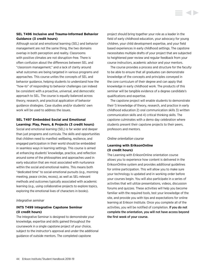# **SEL T496 Inclusive and Trauma-Informed Behavior Guidance (3 credit hours)**

Although social and emotional learning (SEL) and behavior management are not the same thing, the two domains overlap in both perception and reality. Classrooms with positive climates are not disruption-free. There is often confusion about the differences between SEL and "classroom management," and a lack of clarity around what outcomes are being targeted in various programs and approaches. This course unites the concepts of SEL and behavior guidance, helping students to understand how the "how-to" of responding to behavior challenges can indeed be consistent with a proactive, universal, and democratic approach to SEL. The course is equally balanced across theory, research, and practical application of behavior guidance strategies. Case studies and/or students' own work will be used to address the issues.

# **SEL T497 Embedded Social and Emotional Learning: Play, Peers, & Projects (3 credit hours)**

Social and emotional learning (SEL) is far wider and deeper than just programs and curricula. The skills and opportunities that children need to manifest wellbeing, resilience, and engaged participation in their world should be embedded in seamless ways in learning settings. This course is aimed at enhancing students' knowledge, practice, and reflection around some of the philosophies and approaches used in early education that are most associated with nurturance within the social and emotional realms. This means both "dedicated time" to social-emotional pursuits (e.g., morning meeting, peace circles, recess), as well as SEL-relevant methods and outcomes typically associated with academic learning (e.g., using collaborative projects to explore topics, exploring the emotional lives of characters in books).

## *Integrative seminar*

# **INTS T499 Integrative Capstone Seminar (0 credit hours)**

The Integrative Seminar is designed to demonstrate your knowledge, expertise and skills gained throughout the coursework in a single capstone project of your choice, subject to the instructor's approval and under the additional guidance of outside mentors. The completed capstone

project should bring together your role as a leader in the field of early childhood education, your advocacy for young children, your child development expertise, and your field based experiences in early childhood settings. The capstone necessitates multiple drafts of your project that are subjected to heightened peer review and regular feedback from your course instructors, academic advisor and your mentors.

The course provides a process and structure for the faculty to be able to ensure that all graduates can demonstrate knowledge of the concepts and principles conveyed in the core curriculum of their degree and can apply that knowledge in early childhood work. The products of this seminar will be tangible evidence of a degree candidate's qualifications and expertise.

The capstone project will enable students to demonstrate their 1) knowledge of theory, research, and practice in early childhood education 2) oral communication skills 3) written communication skills and 4) critical thinking skills. The capstone culminates with a demo day celebration where students present their capstone projects to their peers, professors and mentors.

## *Online orientation course*

# **Learning with EriksonOnline (0 credit hours)**

The Learning with EriksonOnline orientation course allows you to experience how content is delivered in the EriksonOnline system and provides additional guidelines for online participation. This will allow you to make sure your technology is updated and in working order before your courses begin. You will also participate in a series of activities that will utilize presentations, videos, discussion forums and quizzes. These activities will help you become familiar with the required tools, test your knowledge of the site, and provide you with tips and expectations for online learning at Erikson Institute. Once you complete all of the activities, you will be notified of completion. If you do not complete the orientation, you will not have access beyond the first week of your course.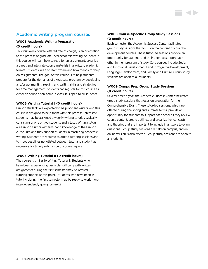# Academic writing program courses

## **W005 Academic Writing Preparation (0 credit hours)**

This four-week course, offered free of charge, is an orientation to the process of graduate-level academic writing. Students in this course will learn how to read for an assignment, organize a paper, and integrate course materials in a written, academic format. Students will also learn where and how to look for help on assignments. The goal of this course is to help students prepare for the demands of a graduate program by developing and/or augmenting reading and writing skills and strategies for time management. Students can register for this course as either an online or on-campus class. It is open to all students.

## **W006 Writing Tutorial I (0 credit hours)**

Erikson students are expected to be proficient writers, and this course is designed to help them with this process. Interested students may be assigned a weekly writing tutorial, typically consisting of one or two students and a tutor. Writing tutors are Erikson alumni with first-hand knowledge of the Erikson curriculum and they support students in mastering academic writing. Students are required to attend tutoring sessions and to meet deadlines negotiated between tutor and student as necessary for timely submission of course papers.

## **W007 Writing Tutorial II (0 credit hours)**

The course is similar to Writing Tutorial I. Students who have been experiencing particular difficulty with written assignments during the first semester may be offered tutoring support at this point. (Students who have been in tutoring during the first semester may be ready to work more interdependently going forward.)

# **W008 Course-Specific Group Study Sessions (0 credit hours)**

Each semester, the Academic Success Center facilitates group study sessions that focus on the content of core child development courses. These tutor-led sessions provide an opportunity for students and their peers to support each other in their program of study. Core courses include Social and Emotional Development I and II: Cognitive Development, Language Development, and Family and Culture. Group study sessions are open to all students.

## **W009 Comps Prep Group Study Sessions (0 credit hours)**

Several times a year, the Academic Success Center facilitates group study sessions that focus on preparation for the Comprehensive Exam. These tutor-led sessions, which are offered during the spring and summer terms, provide an opportunity for students to support each other as they review course content, create outlines, and organize key concepts and theories that are important to include in answers to exam questions. Group study sessions are held on campus, and an online version is also offered, Group study sessions are open to all students.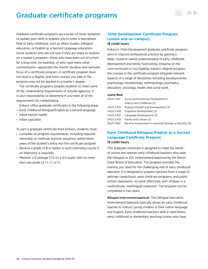# Graduate certificate programs

Graduate certificate programs are courses of study designed to update your skills or prepare you to enter a specialized field of early childhood, such as infant studies, bilingual education, or English as a Second Language education. Some students who are not sure if they are ready to embark on a master's program—those who have been out of school for a long time, for example, or who have many other commitments—appreciate the shorter duration and narrower focus of a certificate program. A certificate program does not lead to a degree, and most courses you take in the program may not be applied to a master's degree.

The certificate programs prepare students to meet some of the credentialing requirements of outside agencies. It is your responsibility to determine if you meet all of the requirements for credentialing.

Erikson offers graduate certificates in the following areas:

- Early childhood bilingual/English as a second language
- Infant mental health
- Infant specialist

To earn a graduate certificate from Erikson, students must:

- Complete all program requirements, including requisite internship or methods seminar sequence, within three years of the student's entry into the certificate program
- Receive a grade of B or better in each internship course if an internship is required)
- Maintain a B average (3.0 on a 4.0 scale) with no more than one grade of C+, C, or C−

# **Child Development Certificate Program (online and on-campus)** 18 credit hours

Erikson's Child Development graduate certificate program aims to improve professional practice by gaining a deep, research–based understanding of early childhood development and family functioning. Drawing on the core curriculum in our flagship master's degree program, the courses in the certificate program integrate relevant aspects of a range of disciplines including developmental psychology, neurobiology, anthropology, psychiatry, education, sociology, health and social work.

## **Course Work**

| CHLD C421 | Social and Emotional Development I:                      |
|-----------|----------------------------------------------------------|
|           | Infancy and Childhood (3)                                |
| CHLD C425 | Physical Growth and Development (3)                      |
| CHLD C426 | Cognitive Development (3)                                |
| CHLD C427 | Language Development (3)                                 |
| CHLD C432 | Family and Culture (3)                                   |
| EDUC T487 | Elective Assessment in Learning Settings or Elective (3) |
|           |                                                          |

# **Early Childhood Bilingual/English as a Second Language Certificate Program** 18 credit hours

This graduate certificate is designed to meet the needs of novice and veteran early childhood teachers who seek the bilingual or ESL endorsement/approval by the Illinois State Board of Education. The program provides the training you need for the challenging role of early childhood educator. It is designed to prepare teachers from a range of settings—preschools, early childcare programs, and public school classrooms—to work effectively with children in a multicultural, multilingual classroom. The program can be completed in two years.

Bilingual endorsement/approval: The bilingual education endorsement/approval typically allows an early childhood teacher to instruct young children in their native language and English. Early childhood teachers with a valid Illinois early childhood or elementary teaching license who have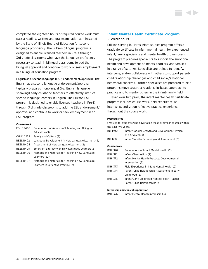completed the eighteen hours of required course work must pass a reading, written, and oral examination administered by the State of Illinois Board of Education for second language proficiency. The Erikson bilingual program is designed to enable licensed teachers in Pre-K through 3rd grade classrooms who have the language proficiency necessary to teach in bilingual classrooms to add the bilingual approval and continue to work or seek employment in a bilingual education program.

## English as a second language (ESL) endorsement/approval: The

English as a second language endorsement/approval typically prepares monolingual (i.e., English language speaking) early childhood teachers to effectively instruct second language learners in English. The Erikson ESL program is designed to enable licensed teachers in Pre-K through 3rd grade classrooms to add the ESL endorsement/ approval and continue to work or seek employment in an ESL program.

#### **Course work**

| EDUC T408 | Foundations of American Schooling and Bilingual   |
|-----------|---------------------------------------------------|
|           | Education (3)                                     |
| CHLD C432 | Family and Culture (3)                            |
| BESL B402 | Language Development in New Language Learners (3) |
| BESL B404 | Assessment of New Language Learners (2)           |
| BESL B405 | Emergent Literacy with New Language Learners (3)  |
| BESL B406 | Methods and Materials for Teaching New Language   |
|           | Learners $(2)$                                    |
| BESL B407 | Methods and Materials for Teaching New Language   |
|           | Learners II: Reflective Practice (2)              |

# **Infant Mental Health Certificate Program** 18 credit hours

Erikson's Irving B. Harris infant studies program offers a graduate certificate in infant mental health for experienced infant/family specialists and mental health professionals. The program prepares specialists to support the emotional health and development of infants, toddlers, and families in a range of settings. Specialists are trained to identify, intervene, and/or collaborate with others to support parentchild relationship challenges and child social/emotional behavioral concerns. Further, specialists are prepared to help programs move toward a relationship-based approach to practice and to mentor others in the infant/family field.

Taken over two years, the infant mental health certificate program includes course work, field experience, an internship, and group reflective practice experience throughout the course work.

#### **Prerequisites**

| (Waived for students who have taken these or similar courses within |                                                                    |  |
|---------------------------------------------------------------------|--------------------------------------------------------------------|--|
| the past five years)                                                |                                                                    |  |
| <b>INF1390</b>                                                      | Infant/Toddler Growth and Development: Typical<br>and Atypical (3) |  |
| <b>INF1492</b>                                                      | Infant/Toddler Screening and Assessment (3)                        |  |
| Course work                                                         |                                                                    |  |
| <b>IMH1370</b>                                                      | Foundations of Infant Mental Health (2)                            |  |
| IMH 1371                                                            | Infant Observation (2)                                             |  |
| <b>IMH1372</b>                                                      | Infant Mental Health Practice: Developmental                       |  |
|                                                                     | Intervention (3)                                                   |  |
| <b>IMH1373</b>                                                      | Field Experience in Infant Mental Health (2)                       |  |
| <b>IMH1374</b>                                                      | Parent-Child Relationship Assessment in Early                      |  |
|                                                                     | Childhood (2)                                                      |  |
| <b>IMH1375</b>                                                      | Infant/Early Childhood Mental Health Practice:                     |  |
|                                                                     | Parent-Child Relationships (4)                                     |  |
|                                                                     |                                                                    |  |

## **Internship and clinical supervision**

IMH I376 Infant Mental Health Internship (3)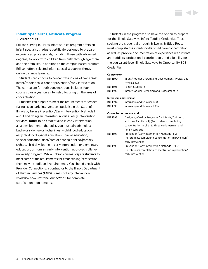## **Infant Specialist Certificate Program**

## 18 credit hours

Erikson's Irving B. Harris infant studies program offers an infant specialist graduate certificate designed to prepare experienced professionals, including those with advanced degrees, to work with children from birth through age three and their families. In addition to the campus-based program, Erikson offers selected infant specialist courses through online distance learning.

Students can choose to concentrate in one of two areas: infant/toddler child care or prevention/early intervention. The curriculum for both concentrations includes four courses plus a yearlong internship focusing on the area of concentration.

Students can prepare to meet the requirements for credentialing as an early intervention specialist in the State of Illinois by taking Prevention/Early Intervention Methods I and II and doing an internship in Part C early intervention services. **Note:** To be credentialed in early intervention as a developmental therapist, you must already hold a bachelor's degree or higher in early childhood education, early childhood special education, special education, special education: deaf/hard of hearing or blind/partially sighted, child development, early intervention or elementary education, or from an early intervention approved college/ university program. While Erikson courses prepare students to meet some of the requirements for credentialing/certification, there may be additional requirements. You should check with Provider Connections, a contractor to the Illinois Department of Human Services (IDHS) Bureau of Early Intervention, *[www.wiu.edu/ProviderConnections](http://www.wiu.edu/ProviderConnections)*, for complete certification requirements.

Students in the program also have the option to prepare for the Illinois Gateways Infant Toddler Credential. Those seeking the credential through Erikson's Entitled Route must complete the infant/toddler child care concentration as well as provide documentation of experience with infants and toddlers, professional contributions, and eligibility for the equivalent-level Illinois Gateways to Opportunity ECE Credential.

## **Course work**

| INF 1390 | Infant/Toddler Growth and Development: Typical and |
|----------|----------------------------------------------------|
|          | Atypical (3)                                       |
| INF 1391 | Family Studies (3)                                 |
| INF 1392 | Infant/Toddler Screening and Assessment (3)        |
|          |                                                    |

#### **Internship and seminar**

| INF 1394 | Internship and Seminar I (3)  |
|----------|-------------------------------|
| INF 1395 | Internship and Seminar II (3) |

#### **Concentration course work**

| <b>INF1393</b> | Designing Quality Programs for Infants, Toddlers,     |
|----------------|-------------------------------------------------------|
|                | and their Families (3) (For students completing       |
|                | concentration in birth to three early learning and    |
|                | family support)                                       |
| <b>INF1397</b> | Prevention/Early Intervention Methods I (1.5)         |
|                | (For students completing concentration in prevention/ |
|                | early intervention)                                   |
| <b>INF1398</b> | Prevention/Early Intervention Methods II (1.5)        |
|                | (For students completing concentration in prevention/ |
|                | early intervention)                                   |
|                |                                                       |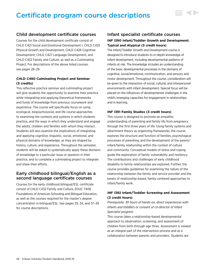# Certificate program course descriptions

# Child development certificate courses

Courses for the child development certificate consist of CHLD C421 Social and Emotional Development I; CHLD C425 Physical Growth and Development; CHLD C426 Cognitive Development; CHLD C427 Language Development; and CHLD C432 Family and Culture, as well as a Culminating Project. For descriptions of the above listed courses, [see pages 28–29.](#page-28-0)

# **CHLD C460 Culminating Project and Seminar (3 credits)**

This reflective practice seminar and culminating project will give students the opportunity to examine their practice while integrating and applying theoretical frameworks and funds of knowledge from previous coursework and experience. The course will specifically focus on using ecological, biopsychosocial, and life course approaches to examining the contexts and systems in which students practice, and the ways in which they understand and engage the adults, children and families with whom they interact. Students will also examine the implications of integrating and applying cognitive, linguistic, social, emotional, and physical domains of knowledge, as they are shaped by history, culture, and experience. Throughout the semester, students will be asked to systematically apply these domains of knowledge to a particular issue or question in their practice, and to complete a culminating project to integrate and share their efforts.

# Early childhood bilingual/English as a second language certificate courses

Courses for the early childhood bilingual/ESL certificate consist of CHLD C432 Family and Culture, EDUC T408 Foundations of American Schooling and Bilingual Education, as well as the courses required for the master's degree concentration in bilingual/ESL. [See pages 29,](#page-29-0) [34, and](#page-34-0) [37–39](#page-37-0) for course descriptions.

# Infant specialist certificate courses **INF I390 Infant/Toddler Growth and Development: Typical and Atypical (3 credit hours)**

▋◀▶

The Infant/Toddler Growth and Development course is designed to introduce students to in-depth knowledge of infant development, including developmental patterns of infants at risk. The knowledge includes an understanding of the basic developmental processes in the domains of cognitive, social/emotional, communication, and sensory and motor development. Throughout the course, consideration will be given to the interaction of social, cultural, and interpersonal environments with infant development. Special focus will be placed on the influences of developmental challenges in the child's emerging capacities for engagement in relationships and in learning.

## **INF I391 Family Studies (3 credit hours)**

This course is designed to promote an empathic understanding of parenting and family life from pregnancy through the first three years of life. Using family systems and attachment theory as organizing frameworks, the course explores the structure and function of families, psychological processes of parenting, and the development of the parent/ infant/family relationship within the context of culture and community. Conceptual models of stress and coping guide the exploration of family vulnerability and resiliency. The contributions and challenges of early childhood disability to family relationships are explored. Further, the course provides guidelines for examining the nature of the relationship between the family and service provider and the tenets of relationship-based, family-centered approaches to infant/family work.

# **INF I392 Infant/Toddler Screening and Assessment (3 credit hours)**

*Prerequisite: 30 hours of hands-on, direct experiences with infants and toddlers or consent of co-director of Infant Specialist program.*

This course takes a relationship-based developmental approach to observation, screening, and assessment of children from birth through age three. Assessment is viewed as an integral part of the intervention process and as a collaboration between parents and providers. Students are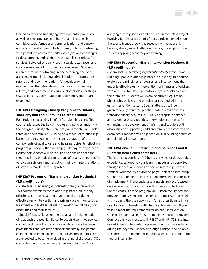trained to focus on underlying developmental processes as well as the appearance of individual milestones in cognitive, social/emotional, communication, and sensory and motor development. Students are guided in partnering with parents to assess the child's strengths and challenges to development, and to identify the family's priorities for services. Selected screening tools, standardized tests, and criterion-referenced instruments are reviewed. Students receive introductory training in one screening and one assessment tool, including administration, interpretation, referral, and recommendations for developmental intervention. The rationale and practices for screening, referral, and assessment in various infant/toddler settings (e.g., child care, Early Head Start, early intervention) are examined.

# **INF I393 Designing Quality Programs for Infants, Toddlers, and their Families (3 credit hours)**

For student specializing in infant/toddler child care. This course addresses the key principles and policies underlying the design of quality child care programs for children under three and their families. Building on a model of relationshipbased care, this course provides an exploration of the components of quality care and helps participants reflect on program philosophy that will help guide day-to-day practice. Course participants will be required to consider both the theoretical and practical implications of quality standards for very young children and reflect on their own interpretations of how this may be best supported.

# **INF I397 Prevention/Early Intervention Methods I (1.5 credit hours)**

*For students specializing in prevention/early intervention* This course examines the relationship-based philosophy, principles, strategies, and interventions that underlie effective early intervention and primary prevention services for infants and toddlers at risk of developmental delays or disabilities and their families.

Special focus is placed on the design and implementation of relationship-based, family-centered, child sensitive services; on the development of collaborative relationships between professionals and families to support the family; the parentchild relationship; and infant toddler development. Students are expected to become involved in the "parallel process" ("Do unto others as you would have others do unto others") by

applying theses principles and practices in their class projects involving families and as part of class participation. Although the course blends theory and research with relationshipbuilding strategies and reflective practice, the emphasis is on students applying what they are learning.

# **INF I398 Prevention/Early Intervention Methods II (1.5 credit hours)**

*For students specializing in prevention/early intervention* Building upon a relationship-based philosophy, this course explores the principles, strategies, and interventions that underlie effective early intervention for infants and toddlers with or at risk for developmental delays or disabilities and their families. Students will examine current legislation, philosophy, policies, and practices associated with the early intervention system. Special attention will be given to family-centered practice, natural environments, transdisciplinary services, culturally appropriate services, and evidence-based practice. Intervention strategies for enhancing the development of infants and toddlers with disabilities nd supporting child and family outcomes will be examined. Emphasis will be placed on skill-building activities and planning interventions.

# **INF I394 and I395 Internship and Seminar I and II (3 credit hours each semester)**

The internship consists of 10 hours per week of directed field experience, tailored to your learning needs and supported through individual supervision and an internship process seminar. Your faculty advisor helps you select an internship site or an internship project. You can intern within your place of employment, if you undertake a special project focused on a new aspect of your work with infants and toddlers. For the campus based program, an Erikson faculty advisor provides supervision and goes onsite to observe and meet with you and the site supervisor. You also participate in an infant studies internship reflective practice seminar. If you wish to meet the requirements for an early intervention specialist credential in the State of Illinois through Provider Connections, you must take INF I397 and INF I398 and intern in Part C early intervention services. You must be available during the daytime, Mondays through Fridays, and be able to commit to a minimum of 15 hours a week to complete this type of internship.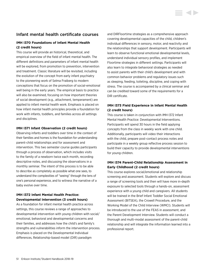# Infant mental health certificate courses

# **IMH I370 Foundations of Infant Mental Health (2 credit hours)**

This course will provide an historical, theoretical, and empirical overview of the field of infant mental health. The different definitions and parameters of infant mental health will be explored, from promotion to prevention, intervention and treatment. Classic literature will be revisited, including the evolution of the concept from early infant psychiatry to the pioneering work of Selma Fraiberg to modern conceptions that focus on the promotion of social-emotional well being in the early years. The empirical basis to practice will also be examined, focusing on how important theories of social development (e.g., attachment, temperament) are applied to infant mental health work. Emphasis is placed on how infant mental health principles provide a foundation for work with infants, toddlers, and families across all settings and disciplines.

## **IMH I371 Infant Observation (2 credit hours)**

Observing infants and toddlers over time in the context of their families and homes is the foundation for understanding parent-child relationships and for assessment and intervention. This two semester course guides participants through a process of observation, which includes visits to the family of a newborn twice each month, recording descriptive notes, and discussing the observations in a monthly seminar. The intent of this process is to be able to describe as completely as possible what one sees, to understand the complexities of "seeing" through the lens of one's personal experience, and to witness the narrative of a baby evolve over time.

# **IMH I372 Infant Mental Health Practice: Developmental Intervention (3 credit hours)**

As a foundation for infant mental health practice across settings, this course reviews a range of approaches to developmental intervention with young children with social/ emotional, behavioral and developmental concerns and their families, and addresses how the child's and family's strengths and vulnerabilities inform the intervention process. Emphasis is placed on the Developmental Individual differences, Relationship-based model (DIR) paradigm

and DIRFloortime strategies as a comprehensive approach covering developmental capacities of the child, children's individual differences in sensory, motor, and reactivity and the relationships that support development. Participants will learn to observe functional emotional developmental levels, understand individual sensory profiles, and implement Floortime strategies in different settings. Participants will also learn to integrate behavioral strategies as needed to assist parents with their child's development and with common behavior problems and regulatory issues such as sleeping, feeding, toileting, discipline, and coping with stress. The course is accompanied by a clinical seminar and can be credited toward some of the requirements for a DIR certificate.

# **IMH I373 Field Experience in Infant Mental Health (2 credit hours)**

This course is taken in conjunction with IMH I372 Infant Mental Health Practice: Developmental Interventions. Participants will spend 30 hours in the field applying concepts from the class in weekly work with one child. Additionally, participants will video their interactions with the child, prepare post-contact process notes and participate in a weekly group reflective process session to build their capacity to provide developmental interventions for young children.

# **IMH I374 Parent-Child Relationship Assessment in Early Childhood (2 credit hours)**

This course explores social/emotional and relationship screening and assessment. Students will explore and discuss a range of screening tools and then will have more in-depth exposure to selected tools through a hands-on, assessment experience with a young child and caregivers. All students will be trained in the Brief Infant Toddler Social Emotional Assessment (BITSEA), the Crowell Procedure, and the Working Model of the Child Interview (WMCI). Students will be introduced to the use of the FEAS in assessment, and the Parent Development Interview. Students will conduct a thorough and multi-modal assessment of the parent-child relationship and will integrate the information learned into a professional report.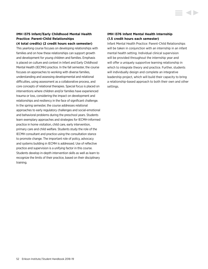# **IMH I375 Infant/Early Childhood Mental Health Practice: Parent-Child Relationships (4 total credits) (2 credit hours each semester)**

This yearlong course focuses on developing relationships with families and on how these relationships can support growth and development for young children and families. Emphasis is placed on culture and context in Infant and Early Childhood Mental Health (IECMH) practice. In the fall semester, the course focuses on approaches to working with diverse families, understanding and assessing developmental and relational difficulties, using assessment as a collaborative process, and core concepts of relational therapies. Special focus is placed on interventions where children and/or families have experienced trauma or loss, considering the impact on development and relationships and resiliency in the face of significant challenge. In the spring semester, the course addresses relational approaches to early regulatory challenges and social-emotional and behavioral problems during the preschool years. Students learn exemplary approaches and strategies for IECMH-informed practice in home visitation, child care, early intervention, primary care and child welfare. Students study the role of the IECMH consultant and practice using the consultation stance to promote change. The important role of policy, advocacy and systems building in IECMH is addressed. Use of reflective practice and supervision is a unifying factor in this course. Students develop in-depth intervention skills as well as learn to recognize the limits of their practice, based on their disciplinary training.

# **IMH I376 Infant Mental Health Internship (1.5 credit hours each semester)**

Infant Mental Health Practice: Parent-Child Relationships will be taken in conjunction with an internship in an infant mental health setting. Individual clinical supervision will be provided throughout the internship year and will offer a uniquely supportive learning relationship in which to integrate theory and practice. Further, students will individually design and complete an integrative leadership project, which will build their capacity to bring a relationship-based approach to both their own and other settings.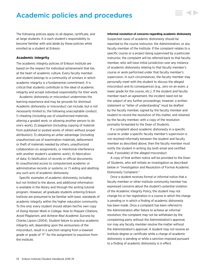# Academic policies and procedures

The following policies apply to all degree, certificate, and at-large students. It is each student's responsibility to become familiar with and abide by these policies while enrolled as a student at Erikson.

## **Academic integrity**

The academic integrity policies of Erikson Institute are based on the respect for individual achievement that lies at the heart of academic culture. Every faculty member and student belongs to a community of scholars in which academic integrity is a fundamental commitment. It is critical that students contribute to the ideal of academic integrity and accept individual responsibility for their work.

Academic dishonesty or misconduct undermines the learning experience and may be grounds for dismissal. Academic dishonesty or misconduct can include, but is not necessarily limited to, the following unacceptable conduct: 1) cheating (including use of unauthorized materials, altering a graded work, or allowing another person to do one's work); 2) plagiarism (including copying of material from published or posted works of others without proper attribution); 3) obtaining an unfair advantage (including unauthorized use of examination materials, defacement or theft of materials needed by others, unauthorized collaboration on assignments, or intentional interference with another student's academic work); 4) fabrication of data; 5) falsification of records or official documents; 6) unauthorized access to computerized academic or administrative records or systems; or 7) aiding and abetting any such acts of academic dishonesty.

Specific examples of academic dishonesty, including but not limited to the above, and additional information is available in the library and through the writing tutorial program. However, all graduate students entering Erikson Institute are presumed to be familiar with basic standards of academic integrity within the higher education community. To this end, every student should obtain her/his own copy of *Doing Honest Work in College: How to Prepare Citations, Avoid Plagiarism, and Achieve Real Academic Success* by Charles Lipson (2004). Student failure to practice academic integrity will, depending upon the seriousness of the misconduct, result in a sanction ranging from a lowered grade or grade of "F" for the assignment to expulsion from the Institute.

#### **Informal resolution of concerns regarding academic dishonesty**

▄▗▖▖

Suspected cases of academic dishonesty should be reported to the course instructor, the Administration, or any faculty member of the Institute. If the complaint relates to a specific course or a project being supervised by a particular instructor, the complaint will be referred back to that faculty member, who will have initial jurisdiction over any instance of academic dishonesty relating to that faculty member's course or work performed under that faculty member's supervision. In such circumstances, the faculty member may personally meet with the student to discuss the alleged misconduct and its consequences (e.g., zero on an exam, a lower grade for the course, etc.). If the student and faculty member reach an agreement, the incident need not be the subject of any further proceedings; however, a written statement or "letter of understanding" must be drafted by the faculty member, signed by the faculty member and student to record the resolution of this matter, and retained by the faculty member, with a copy of the resolution promptly forwarded to the Dean of Students.

If a complaint about academic dishonesty in a specific course or under a specific faculty member's supervision is not resolved informally between the student and faculty member as described above, then the faculty member must notify the student in writing (by both email and certified mail, if possible) of the alleged misconduct.

A copy of that written notice will be provided to the Dean of Students, who will initiate an investigation as described below in "Investigation and Resolution of Formal Academic Dishonesty Complaint."

Once a student receives formal or informal notice that a faculty member or other Institute community member has expressed concerns about the student's potential violation of the Academic Integrity Policy, the student may not change his or her registration in a course in which the charge is pending or in which a finding of academic dishonesty has been made. Once a complaint has been referred to the Administration after failure to achieve an informal resolution, the complaint may not be withdrawn by the complaining party without the Administration's approval, nor may any faculty member resolve the matter without the Administration's approval. A student may not receive an Institute degree or certificate while a charge of academic dishonesty is pending or while a sanction imposed pursuant to a finding of academic dishonesty is in effect.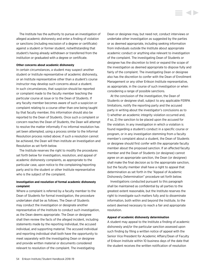The Institute has the authority to pursue an investigation of alleged academic dishonesty and enter a finding of violation or sanctions (including rescission of a degree or certificate) against a student or former student, notwithstanding that student's having already withdrawn or transferred from the institution or graduated with a degree or certificate.

### **Other concerns about academic dishonesty**

In certain circumstances, a student may suspect another student or Institute representative of academic dishonesty, or an Institute representative other than a student's course instructor may develop such concerns about a student. In such circumstances, that suspicion should be reported or complaint made to the faculty member teaching the particular course at issue or to the Dean of Students. If any faculty member becomes aware of such a suspicion or complaint relating to a course other than one being taught by that faculty member, this information should also be reported to the Dean of Students. Once such a complaint or concern reaches the Dean of Students, the Dean will attempt to resolve the matter informally if no informal resolution has yet been attempted, using a process similar to the Informal Resolution process noted above; if such a resolution cannot be achieved, the Dean will then institute an Investigation and Resolution as set forth below.

The Institute reserves the right to modify the procedures set forth below for investigation, resolution, and appeal of academic dishonesty complaints, as appropriate to the particular case, upon notice to the complaining/reporting party and to the student or other Institute representative who is the subject of the complaint.

## **Investigation and resolution of formal academic dishonesty complaint**

Where a complaint is referred by a faculty member to the Dean of Students for formal investigation, the procedure undertaken shall be as follows. The Dean of Students may conduct the investigation or designate another representative of the Institute to conduct such investigation, as the Dean deems appropriate. The Dean or designee shall then review the facts of the alleged incident, including statements made by the reporting individual, the accused individual, and supporting material. The accused individual and reporting individual shall both have the opportunity to meet separately with the investigating Dean or designee and provide written material or documents considered relevant to resolution of the complaint. The investigating

Dean or designee may, but need not, conduct interviews or undertake other investigation as suggested by the parties or as deemed appropriate, including seeking information from individuals outside the Institute about appropriate academic conduct or anything else relevant to investigation of the complaint. The investigating Dean of Students or designee has the discretion to limit or expand the scope of the investigation as deemed appropriate to dispose fully and fairly of the complaint. The investigating Dean or designee also has the discretion to confer with the Dean of Enrollment Management or any other Erikson Institute representative, as appropriate, in the course of such investigation or when considering a range of possible sanctions.

i d b

At the conclusion of the investigation, the Dean of Students or designee shall, subject to any applicable FERPA limitations, notify the reporting party and the accused party in writing about the investigator's conclusions as to 1) whether an academic integrity violation occurred and, if so, 2) the sanction to be placed upon the accused for the violation. In any investigation in which a violation is found regarding a student's conduct in a specific course or program, or in any investigation stemming from a faculty member's complaint about a student, the Dean of Students or designee should first confer with the appropriate faculty member about the proposed sanction. If an affected faculty member and the Dean of Students (or designee) cannot agree on an appropriate sanction, the Dean (or designee) shall make the final decision as to the appropriate sanction, but the faculty member shall have a right to appeal that determination as set forth in the "Appeal of Academic Dishonesty Determination" procedure set forth below.

Investigations conducted pursuant to this paragraph shall be maintained as confidential by all parties to the greatest extent reasonable, but the Institute reserves the right to investigate such matters fully and to disseminate information, both within and beyond the Institute, to the extent deemed necessary to reach a fair and appropriate resolution.

## **Appeal of academic dishonesty determination**

A student may appeal to the Institute a finding of academic dishonesty and/or the particular sanction assessed upon such finding by filing a written notice of appeal with the Senior Vice President for Academic Affairs/Dean of Faculty of Erikson Institute within 10 business days of the date that the student receives the written notification of resolution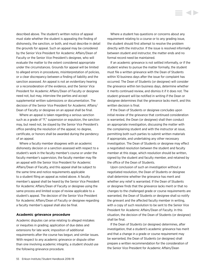described above. The student's written notice of appeal must state whether the student is appealing the finding of dishonesty, the sanction, or both, and must describe in detail the grounds for appeal. Such an appeal may be considered by the Senior Vice President for Academic Affairs/Dean of Faculty or the Senior Vice President's designee, who will evaluate the matter to the extent considered appropriate under the circumstances. Grounds for appeal will be limited to alleged errors in procedures, misinterpretation of policies, or a clear discrepancy between a finding of liability and the sanction assessed. An appeal is not an evidentiary hearing or a reconsideration of the evidence, and the Senior Vice President for Academic Affairs/Dean of Faculty or designee need not, but may, interview the parties and accept supplemental written submissions or documentation. The decision of the Senior Vice President for Academic Affairs/ Dean of Faculty or designee on an appeal shall be final.

Where an appeal is taken regarding a serious sanction such as a grade of "F," suspension or expulsion, the sanction may, but need not, be stayed by the Senior Vice President's office pending the resolution of the appeal; no degree, certificate, or honors shall be awarded during the pendency of an appeal.

Where a faculty member disagrees with an academic dishonesty decision or a sanction assessed with respect to a student's work in the faculty member's course or under the faculty member's supervision, the faculty member may file an appeal with the Senior Vice President for Academic Affairs/Dean of Faculty, and this appeal shall be subject to the same time and notice requirements applicable to a student filing an appeal as noted above. A faculty member's appeal shall be heard by the Senior Vice President for Academic Affairs/Dean of Faculty or designee using the same process and limited scope of review applicable to a student's appeal. The decision of the Senior Vice President for Academic Affairs/Dean of Faculty or designee regarding a faculty member's appeal shall also be final.

## **Academic grievance procedure**

Academic disputes can arise relating to alleged mistakes or inequities in grading; application of due dates and extensions for late work; imposition of additional requirements after the course has begun; and similar issues. With respect to any academic grievance or dispute other than one involving academic integrity, a student should use the following grievance procedure.

Where a student has questions or concerns about any requirement relating to a course or to any grading issue, the student should first attempt to resolve the problem directly with the instructor. If the issue is resolved informally between student and instructor, the matter ends and no formal record need be maintained.

If an academic grievance is not settled informally, or if the student wishes to pursue the matter formally, the student must file a written grievance with the Dean of Students within 10 business days after the issue for complaint has occurred. The Dean of Students (or designee) will consider the grievance within ten business days, determine whether it merits continued review, and dismiss it if it does not. The student grievant will be notified in writing if the Dean or designee determines that the grievance lacks merit, and this written decision is final.

If the Dean of Students or designee concludes upon initial review of the grievance that continued consideration is warranted, the Dean (or designee) shall then conduct an appropriate investigation, discussing the matter with the complaining student and with the instructor at issue, permitting both such parties to submit written materials if appropriate, and undertaking any other necessary investigation. The Dean of Students or designee may effect a negotiated resolution between the student and faculty member at this stage, which resolution should be written, signed by the student and faculty member, and retained by the office of the Dean of Students.

Upon conclusion of such an investigation without a negotiated resolution, the Dean of Students or designee shall determine whether the grievance has merit and whether any relief is warranted. If the Dean of Students or designee finds that the grievance lacks merit or that no changes to the challenged grade or course requirements are warranted, the Dean of Students or designee shall so notify the grievant and the affected faculty member in writing, with a copy of such resolution to be sent to the Senior Vice President for Academic Affairs/Dean of Faculty. In this situation, the decision of the Dean of Students (or designee) shall be final.

If the Dean of Students (or designee) determines, after investigation, that a student's academic grievance has merit and that a change in a grade or course requirement may be warranted, the Dean of Students (or designee) shall prepare a written recommendation for the consideration of the Senior Vice President for Academic Affairs/Dean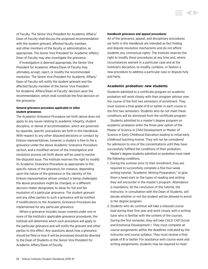<span id="page-56-0"></span>of Faculty. The Senior Vice President for Academic Affairs/ Dean of Faculty shall discuss the proposed recommendation with the student grievant, affected faculty member, and other members of the faculty or administration, as appropriate. The Senior Vice President for Academic Affairs/ Dean of Faculty may also investigate the grievance.

If investigation is deemed appropriate, the Senior Vice President for Academic Affairs/Dean of Faculty may ultimately accept, reject, or modify the recommended resolution. The Senior Vice President for Academic Affairs/ Dean of Faculty will notify the student grievant and the affected faculty member of the Senior Vice President for Academic Affairs/Dean of Faculty' decision upon the recommendation, which shall constitute the final decision on the grievance.

## **General grievance procedure applicable to other student grievances**

The Academic Grievance Procedure set forth above does not apply to any issues relating to academic integrity, student discipline, or denial of accommodation, which are governed by separate, specific procedures set forth in this Handbook. With respect to any other disputed decisions or conduct by Erikson representatives, however, a student is free to file a grievance under the above Academic Grievance Procedure section, and a modified version of the investigation and resolution process set forth above will be used to resolve the disputed issue. The Institute reserves the right to modify its Academic Grievance Procedure as appropriate to the specific nature of the grievance; for instance, depending upon the nature of the grievance or the identity of the Erikson representative whose conduct is being challenged, the above procedure might be changed, or a different decision maker designated, to allow for full and fair resolution of a particular grievance. The student grievant and any other parties to such a grievance will be notified if modifications to the Academic Grievance Procedure are implemented for any particular grievance.

Where a grievance includes issues covered under one or more of the Institute's applicable grievance procedures, the Institute will determine which such procedure will apply to the particular grievance and will notify the grievant and other parties to this effect. Any questions about how a grievance should be filed or how it will be processed should be directed to the Dean of Students or the Senior Vice President for Academic Affairs/Dean of Faculty.

#### **Handbook grievance and appeal procedures**

All of the grievance, appeal, and disciplinary procedures set forth in this Handbook are intended as fact finding and dispute resolution mechanisms and do not afford students any contractual rights. The Institute reserves the right to modify these procedures at any time and, where circumstances warrant in a particular case and at the Institute's discretion, to modify, combine, or fashion a new procedure to address a particular case or dispute fully and fairly.

**STARTING** 

## **Academic probation: new students**

Students admitted to a certificate program on academic probation will work closely with their program advisor over the course of the first two semesters of enrollment. They must receive a final grade of B or better in each course in the first two semesters. Students who do not meet these conditions will be dismissed from the certificate program.

Students admitted to a master's degree program on academic probation enter the three-year option of the Master of Science in Child Development or Master of Science in Early Childhood Education leading to initial early childhood teaching license. They will not be considered for admission to one of the concentrations until they have successfully fulfilled the conditions of their probation.

Master's degree students admitted on probation must meet the following conditions.

- 1. During the summer prior to their enrollment, they are required to successfully complete a free four-week writing tutorial, "Academic Writing Preparation," to give them a head start on the types of reading and writing they will encounter in the master's program. Attendance is mandatory. At the conclusion of this tutorial, the instructor, in consultation with the Dean of Students, will decide whether or not the student will be allowed to enroll in the degree program.
- 2. Students who do continue will take a reduced course load during their first year and work closely with a writing tutor who is familiar with the content of the courses. During the first semester, they will take CHLD C421 Social and Emotional Development I. They must complete all course assignments within the deadlines indicated by the instructor and course syllabus. They must receive a final grade of B or better. For assistance with course work and writing assignments, students may be required to meet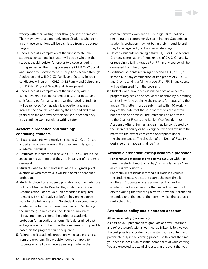weekly with their writing tutor throughout the semester. They may rewrite a paper only once. Students who do not meet these conditions will be dismissed from the degree program.

- 3. Upon successful completion of the first semester, the student's advisor and instructor will decide whether the student should register for one or two courses during spring semester. The spring courses are CHLD C422 Social and Emotional Development II: Early Adolescence through Adulthood and CHLD C432 Family and Culture. Teacher candidates will enroll in CHLD C432 Family and Culture and CHLD C425 Physical Growth and Development.
- 4.Upon successful completion of the first year, with a cumulative grade point average of B (3.0) or better and satisfactory performance in the writing tutorial, students will be removed from academic probation and may increase their course load during their second and third years, with the approval of their advisor. If needed, they may continue working with a writing tutor.

# **Academic probation and warning: continuing students**

- 1. Master's students who receive a second C+, C, or C− are issued an academic warning that they are in danger of academic dismissal.
- 2. Certificate students who receive a C+, C, or C− are issued an academic warning that they are in danger of academic dismissal.
- 3. Students who fail to maintain at least a 3.0 grade point average or who receive a D will be placed on academic probation.
- 4. Students placed on academic probation and their advisors will be notified by the Director, Registration and Student Records Office. Each student on probation is required to meet with her/his advisor before beginning course work for the following term. No student may continue on academic probation for more than one term (including the summer). In rare cases, the Dean of Enrollment Management may extend the period of academic probation for an additional term if it is determined that exiting academic probation within one term is not possible based on the program course sequence.
- 5. Failure to exit academic probation will result in dismissal from the program. This provision does not apply to students who fail to achieve a passing grade on the

comprehensive examination. [See page 58](#page-58-0) for policies regarding the comprehensive examination. Students on academic probation may not begin their internship until they have regained good academic standing.

- 6. Master's students receiving a third C+, C, or C−, a second D, or any combination of three grades of C+, C, C−, and D, or receiving a failing grade (F or FR) in any course will be dismissed from the program.
- 7. Certificate students receiving a second C+, C, or C−, a second D, or any combination of two grades of C+, C, C−, and D, or receiving a failing grade (F or FR) in any course will be dismissed from the program.
- 8. Students who have been dismissed from an academic program may seek an appeal of the decision by submitting a letter in writing outlining the reasons for requesting the appeal. This letter must be submitted within 10 working days of the date that the student receives the written notification of dismissal. The letter shall be addressed to the Dean of Faculty and Senior Vice President for Academic Affairs. Such an appeal may be considered by the Dean of Faculty or her designee, who will evaluate the matter to the extent considered appropriate under the circumstances. The decision of the Dean of Faculty or designee on an appeal shall be final.

## **Academic probation: exiting academic probation**

- For continuing students falling below a 3.0 GPA: within one term, the student must bring her/his cumulative GPA for all course work up to 3.0.
- For continuing students receiving a D grade in a course: the student must repeat the course the next time it is offered. Students who are prevented from exiting academic probation because the needed course is not offered during the following term will have their probation extended until the end of the term in which the course is next scheduled.

# **Attendance policy and classroom decorum**

## **Attendance policy (on-campus)**

As part of your preparation to graduate as a well-informed and reflective professional, our goal at Erikson is to give you the best possible opportunity to master course content and participate fully in the learning process. To this end, the time you spend in class is an essential component of your learning. You are expected to attend all classes. In the event that you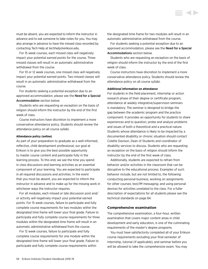<span id="page-58-0"></span>must be absent, you are expected to inform the instructor in advance and to ask someone to take notes for you. You may also arrange in advance to have the missed class recorded by contacting Tech Help at [techhelp@erikson.edu](mailto:techhelp%40erikson.edu?subject=).

For 15 week courses, each missed class will negatively impact your potential earned points for the course. Three missed classes will result in an automatic administrative withdrawal from the course.

For 10 or 12 week courses, one missed class will negatively impact your potential earned points. Two missed classes will result in an automatic administrative withdrawal from the course.

For students seeking a potential exception due to an approved accommodation, please see the Need for a Special Accommodation section below.

Students who are requesting an exception on the basis of religion should inform the instructor by the end of the first week of class.

Course instructors have discretion to implement a more conservative attendance policy. Students should review the attendance policy on all course syllabi.

## **Attendance policy (online)**

As part of your preparation to graduate as a well-informed, reflective, child development professional, our goal at Erikson is to give you the best possible opportunity to master course content and participate fully in the learning process. To this end, we see the time you spend in class discussions and learning activities as an essential component of your learning. You are expected to participate in all required discussions and activities. In the event that you must be absent, you are expected to inform the instructor in advance and to make up for the missing work in whichever ways the instructor requires.

For all modules, each missed or late discussion post and/ or activity will negatively impact your potential earned points. For 15 week courses, failure to participate and fully complete course requirements for two modules within the designated time frame will lower your final grade. Failure to participate and fully complete course requirements for three modules within the designated time frame will result in an automatic administrative withdrawal from the course.

For 12 week courses, failure to participate and fully complete course requirements for one module within the designated time frame will lower your final grade. Failure to participate and fully complete course requirements within

the designated time frame for two modules will result in an automatic administrative withdrawal from the course.

For students seeking a potential exception due to an approved accommodation, please see the Need for a Special Accommodations section below.

Students who are requesting an exception on the basis of religion should inform the instructor by the end of the first week of class.

Course instructors have discretion to implement a more conservative attendance policy. Students should review the attendance policy on all course syllabi.

## **Additional information on attendance**

For students in the field placement, internship or action research phase of their degree or certificate program, attendance at weekly integrative/supervision seminars is mandatory. The seminar is designed to bridge the gap between the academic program and the practice component. It provides an opportunity for students to share experiences and to question, probe and analyze problems and issues of both a theoretical and a practical nature. Students whose attendance is likely to be impacted by a documented disability or chronic situation should contact Colette Davison, Dean of Students and coordinator of disability services to discuss. Students who are requesting an exception on the basis of religion should inform the instructor by the end of the first week of class.

Additionally, students are expected to refrain from behavior and/or activities in the classroom that can be disruptive to the educational process. Examples of such behavior include, but are not limited to, the following: conducting personal business; working on assignments for other courses; text/IM messaging; and using personal devices for activities unrelated to the class. For a fuller description of expectations for all students please [see the](#page-84-0)  [technical standards on page 84.](#page-84-0)

#### **Comprehensive examination**

The comprehensive examination, a four-hour, written examination that covers major content areas in child development and early education, is one of the culminating requirements of the master's degree programs.

You must have satisfactorily completed all of your Erikson course requirements excluding your final semester of internship, tutorial (if applicable), and seminar before you will be allowed to take the comprehensive exam. You may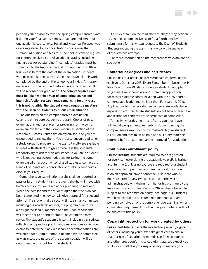petition your advisor to take the spring comprehensive exam if during your final spring semester you are registered for one academic course, e.g., Social and Historical Perspectives, or are registered for a concentration course over the summer. All tuition and fees must be paid in order to register for comprehensive exam. All academic grades, including final grades for outstanding "Incomplete" grades, must be submitted to the Registration and Student Records Office four weeks before the date of the examination. Students who plan to take the exam in June must have all their work completed by the end of the school year in May. All library materials must be returned before the examination results will be recorded for graduation. The comprehensive exam must be taken within a year of completing course and internship/action research requirements. If for any reason this is not possible, the student should request a meeting with the Dean of Students to discuss their situation.

The questions on the comprehensive examination cover the entire core academic program. Copies of past examinations and resources for preparing for the comp exam are available in the Comp Resources section of the Academic Success Center site on my.erikson, and you are encouraged to review them. You are also encouraged to join a study group to prepare for the exam. Faculty are available to meet with students to give advice. It is the student's responsibility to ask for this assistance. If you are a student who is requesting accommodations for taking the comp exam based on a documented disability, please contact the Dean of Students and coordinator of disability services to discuss your request.

Comprehensive examination results shall be reported as pass or fail. If a student fails the exam, she/he will meet with her/his advisor to devise a plan for preparing to retake it. When the advisor and the student agree that the plan has been completed, the advisor will give approval for a second attempt. If a student fails a second time, a small committee including the academic advisor, the program director or a designated faculty member, and the Dean of Students will meet prior to a third attempt. The committee may review the student's academic history; including transcripts, reflection and practice points, and previous comprehensive exams to determine if any reasonable accommodations are warranted for a third attempt. If deemed by the committee as warranted, the nature of the accommodation will be determined with input from the student.

If a student fails on the third attempt, she/he may petition to take the comprehensive exam for a fourth time by submitting a formal written request to the Dean of Students. Students repeating the exam must do so within one year of the previous attempt.

For more information on the comprehensive examination, [see page 11](#page-11-0).

## **Conferral of degrees and certificates**

Erikson has four official degree/certificate conferral dates each year. Dates for 2018–19 are September 14, December 14, May 10, and June 29. Master's degree students who plan to graduate must complete and submit an application for master's degree conferral, along with the \$175 degree conferral application fee, no later than February 14, 2019. Applications for master's degree conferral are available on *my.erikson.edu*. Certificate students do not have to submit an application for conferral of the certificate of completion.

To receive your degree or certificate, you must have fulfilled all program requirements, including passing the comprehensive examination for master's degree students. All tuition and fees must be paid and all library materials returned before a student can be approved for graduation.

## **Continuous enrollment policy**

Erikson Institute students are required to be registered for every semester during the academic year (Fall, Spring, and Summer), unless no courses are required of a student for a given term per their program plan or if the student is on an approved leave of absence. A student who is not registered for any two consecutive terms will be administratively withdrawn from her or his program by the Registration and Student Records Office. She or he will be subject to the readmission policy [\(see page 78](#page-78-0)). Students who have completed all course requirements and are pending completion of the comprehensive examination or culminating requirements for their degree conferral will not be subject to this policy.

## **Copyright protection for work created by others**

Erikson Institute respects the intellectual property rights of others, including yours. We take great care to ensure that our use of copyrighted materials in Erikson courses and other areas conforms to copyright law. We expect you to do so as well. It is your responsibility to make a good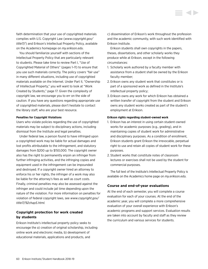faith determination that your use of copyrighted materials complies with U.S. Copyright Law (*[www.copyright.gov/](http://www.copyright.gov/title17/) [title17/](http://www.copyright.gov/title17/)*) and Erikson's Intellectual Property Policy, available on the Academics homepage on *my.erikson.edu*.

You should familiarize yourself with sections of the Intellectual Property Policy that are particularly relevant to students. Please take time to review Part I, "Use of Copyrighted Material of Others" (pages 1–11) to ensure that you use such materials correctly. The policy covers "fair use" in many different situations, including use of copyrighted materials available on the Internet. Under Part II, "Ownership of Intellectual Property," you will want to look at "Work Created by Students," page 17. Given the complexity of copyright law, we encourage you to err on the side of caution. If you have any questions regarding appropriate use of copyrighted materials, please don't hesitate to contact the library staff, who are your best resource.

### **Penalties for Copyright Violations**

Users who violate policies regarding the use of copyrighted materials may be subject to disciplinary actions, including dismissal from the Institute and legal penalties.

Under federal law, a person found to have infringed upon a copyrighted work may be liable for actual damages and lost profits attributable to the infringement, and statutory damages from \$200 up to \$150,000. The copyright owner also has the right to permanently enjoin an infringer from further infringing activities, and the infringing copies and equipment used in the infringement can be impounded and destroyed. If a copyright owner hired an attorney to enforce his or her rights, the infringer of a work may also be liable for the attorney's fees as well as court costs. Finally, criminal penalties may also be assessed against the infringer and could include jail time depending upon the nature of the violation. For more information on penalties for violation of federal copyright laws, see *[www.copyright.gov/](www.copyright.gov/title17/92chap5.html) [title17/92chap5.html](www.copyright.gov/title17/92chap5.html).*

# **Copyright protection for work created by students**

Erikson Institute's intellectual property policy seeks to encourage the a) creation of original scholarship, including online work and electronic media, b) development of educational materials, applications and products, and

c) dissemination of Erikson's work throughout the profession and the academic community, with such work identified with Erikson Institute.

Erikson students shall own copyrights in the papers, theses, dissertations, and other scholarly works they produce while at Erikson, except in the following circumstances:

- 1. Scholarly work authored by a faculty member with assistance from a student shall be owned by the Erikson faculty member;
- 2. Erikson owns any student work that constitutes or is part of a sponsored work as defined in the Institute's intellectual property policy;
- 3. Erikson owns any work for which Erikson has obtained a written transfer of copyright from the student and Erikson owns any student works created as part of the student's employment at Erikson.

#### **Erikson rights regarding student-owned work**

- 1. Erikson has an interest in using certain student-owned works for academic purposes (e.g., grading), and in maintaining copies of student work for administrative and disciplinary purposes. As a condition of enrollment, Erikson students grant Erikson the irrevocable, perpetual right to use and retain all copies of student work for these purposes.
- 2. Student works that constitute notes of classroom lectures or exercises shall not be used by the student for commercial purposes.

The full text of the Institute's Intellectual Property Policy is available on the Academics home page on *my.erikson.edu*.

## **Course and end-of-year evaluations**

At the end of each semester, you will complete a course evaluation for each of your courses. At the end of the academic year, you will complete a more comprehensive evaluation of your overall experience with Erikson's academic programs and support services. Evaluation results are taken into account by faculty and staff as they review the curriculum and various services for students.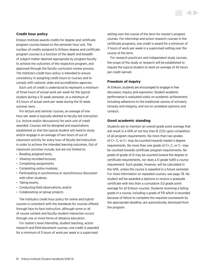## **Credit hour policy**

Erikson Institute awards credits for degree and certificate program courses based on the semester hour unit. The number of credits assigned to Erikson degree and certificate program courses is a function of the depth and breadth of subject matter deemed appropriate by program faculty to achieve the outcomes of the respective program, and approved through the faculty curriculum review process. The Institute's credit hour policy is intended to ensure consistency in assigning credit hours to courses and to comply with national, state and accreditation agencies.

Each unit of credit is understood to represent a *minimum* of three hours of actual work per week for the *typical* student during a 15 week semester, or a *minimum* of 4.5 hours of actual work per week during the 10 week summer term.

For lecture and seminar courses, an average of one hour per week is typically allotted to faculty led instruction (i.e. lecture and/or discussions) for each unit of credit awarded. Courses will be designed and expectations established so that the typical student will need to study and/or engage in an average of two hours of out of classroom activity for every hour of faculty led instruction in order to achieve the intended learning outcomes. Out of classroom activities include, but are not limited to:

- Reading assigned texts;
- Viewing recorded lectures;
- Completing assignments;
- Completing online modules;
- Participating in synchronous or asynchronous discussion with other students;
- Taking exams;
- Conducting field observations; and/or
- Collaborating on group projects

The Institute's credit hour policy for online and hybrid courses is consistent with the standards for courses offered through face-to-face instruction, although some or all of course content and faculty-student interaction occurs through one or more forms of distance education.

For master's level internship, student teaching, action research and field placement courses, one credit is awarded for a minimum of 5 hours of work per week in a supervised

setting over the course of the term for master's program courses. For internship and action research courses in the certificate programs, one credit is award for a minimum of 3 hours of work per week in a supervised setting over the course of the term.

For research practicum and independent study courses, the scope of the study or research will be established to require the typical student to work an average of 45 hours per credit earned.

## **Freedom of inquiry**

At Erikson, students are encouraged to engage in free discussion, inquiry, and expression. Student academic performance is evaluated solely on academic achievement, including adherence to the traditional canons of scholarly honesty and integrity, and not on unrelated opinions and conduct.

## **Good academic standing**

Students are to maintain an overall grade point average that will result in a GPA of not less than B (3.0) upon completion of all program requirements. No more than two grades of C+, C, or C− may be counted towards master's degree requirements. No more than one grade of C+, C, or C− may be counted towards certificate program requirements. No grade of grade of D may be counted toward the degree or certificate requirements, nor does a D grade fulfill a course requirement. Such grades, however, will be calculated in the GPA, unless the course is repeated in a future semester. For more information on repeated courses, [see page 78](#page-78-0). No student will be awarded a diploma or receive a graduate certificate with less than a cumulative 3.0 grade point average for all Erikson courses. Students receiving a failing grade in a course, including a grade of FR which is recorded because of failure to complete the required coursework by the appropriate deadline, are automatically dismissed from the program.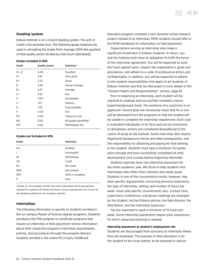## **Grading system**

Erikson Institute is on a 4 point grading system. The unit of credit is the semester hour. The following grade notations are used in calculating the Grade Point Average (GPA=the quotient of total quality points divided by total hours attempted).

#### **Grades included in GPA**

| Grade | <b>Quality points</b> | <b>Definition</b>   |
|-------|-----------------------|---------------------|
| A+, A | 4.00                  | Excellent           |
| $A-$  | 3.67                  | Very good           |
| B+    | 3.33                  | Good                |
| B     | 3.00                  | Above Average       |
| B-    | 2.67                  | Average             |
| $C+$  | 2.33                  | Fair                |
| C     | 2.00                  | Acceptable          |
| $C-$  | 1.67                  | Passing             |
| D     | 1.00                  | Unacceptable        |
| F     | 0.00                  | Fail                |
| FR.   | 0.00                  | Failure by rule     |
| ΝG    | 0.00                  | No grade submitted* |
| WF    | 0.00                  | Withdrawal, fail    |

## **Grades not included in GPA**

| Grade          | <b>Definition</b> |
|----------------|-------------------|
| AU             | Audited           |
| $\overline{1}$ | Incomplete*       |
| W              | Withdrawal        |
| <b>CR</b>      | Credit            |
| <b>NC</b>      | No credit         |
| <b>NOP</b>     | Not passed        |
| <b>WIP</b>     | Work in progress  |
| P              | Pass              |

*\*Grades of I (Incomplete) and NG (No Grade Submitted) will be permanently changed to a grade of FR (Failure by Rule) if course requirements are not met by the deadline published in the academic calendar.* 

## **Internships**

The following information is specific to students enrolled in the on-campus Master of Science degree programs. Students enrolled in the PhD program or certificate programs that require an internship or field placement receive information about their respective program's internship requirements, policies, and procedures through the program director. Students enrolled in the online MS in Early Childhood

Education program complete a two-semester action research project instead of an internship. MSW students should refer to the MSW Handbook for information on field placement.

Organizations serving as internship sites make a significant investment in Erikson students. In return, you and the Institute both have an obligation to fulfill the terms of the internship agreement. You will be expected to work the hours agreed upon, respect the organization's goals and procedures, and adhere to a code of professional ethics and confidentiality. In addition, you will be expected to adhere to the student responsibilities that apply to all students of Erikson Institute and that are discussed in more details in the ["Student Rights and Responsibilities" section, page 81](#page-81-0).

Prior to beginning an internship, each student will be required to undergo and successfully complete a namebased background check. The existence of a conviction in an applicant's record does not necessarily mean that he or she will be dismissed from the programs or that the student will be unable to complete the internship requirement. Each case is evaluated individually on its facts and not all convictions or disciplinary actions are considered disqualifying to the course of study at the Institute. Some internship sites require fingerprint background checks and other prerequisites, and the responsibility for obtaining and paying for that belongs to the student. Students must have a minimum 3.0 grade point average and have successfully completed all child development core courses before beginning internship.

Students typically have one internship placement for the entire academic year. We strive to help students find internships that reflect their interests and career goals. Students in one of the concentration tracks, however, may have specific requirements concerning previous experience, the type of internship, setting, and number of hours per week. Hours and specific commitments vary. Contact time, supervisory conferences, and group meetings are arranged by the student, his/her Erikson advisor, the field director, the field liaison, and the internship supervisor.

You are expected to work a minimum of 15 hours per week. Some internship placements require prior experience, for which advanced planning is needed.

#### **Internship placement at student's employment site**

Students are discouraged from pursuing an internship where they are employed. The purpose of field education is for the student to be a true learner, to be exposed to various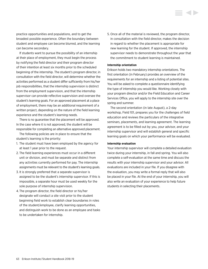practice opportunities and populations, and to get the broadest possible experience. Often the boundary between student and employee can become blurred, and the learning can become secondary.

If students want to pursue the possibility of an internship at their place of employment, they must begin the process by notifying the field director and their program director of their intention at least six months prior to the scheduled beginning of the internship. The student's program director, in consultation with the field director, will determine whether the activities performed as a student differ sufficiently from his/her job responsibilities, that the internship supervision is distinct from the employment supervision, and that the internship supervisor can provide reflective supervision and oversee the student's learning goals. For an approved placement at a place of employment, there may be an additional requirement of a written project, depending on the nature of the field learning experience and the student's learning needs.

There is no guarantee that the placement will be approved. In the case where it is not approved, the student will be responsible for completing an alternative approved placement.

The following policies are in place to ensure that the student's learning is the priority:

- 1. The student must have been employed by the agency for at least 1 year prior to the request.
- 2. The field learning experiences must occur in a different unit or division, and must be separate and distinct from any activities currently performed for pay. The internship assignments must be relevant to the student's learning goals.
- 3. It is strongly preferred that a separate supervisor is assigned to be the student's internship supervisor. If this is impossible, a separate hour must be used weekly for the sole purpose of internship supervision.
- 4. The program director, the field director or his/her designate will conduct a site visit prior to the student beginning field work to establish clear boundaries in roles of the student/employee, clarify learning opportunities, and distinguish work to be done as an employee and tasks to be undertaken for internship.

5. Once all of the material is reviewed, the program director, in consultation with the field director, makes the decision in regard to whether the placement is appropriate for new learning for the student. If approved, the internship supervisor needs to demonstrate throughout the year that the commitment to student learning is maintained.

## **Internship orientation**

Erikson holds two mandatory internship orientations. The first orientation (in February) provides an overview of the requirements for an internship and a listing of potential sites. You will be asked to complete a questionnaire identifying the type of internship you would like. Working closely with your program director and/or the Field Education and Career Services Office, you will apply to the internship site over the spring and summer.

The second orientation (in late August), a 2-day workshop, Field 101, prepares you for the challenges of field education and reviews the particulars of the integrative seminars, placements, and learning agreement. The learning agreement is to be filled out by you, your advisor, and your internship supervisor and will establish general and specific learning goals on which your performance will be evaluated.

## **Internship evaluation**

Your internship supervisor will complete a detailed evaluation twice during your internship, in fall and spring. You will also complete a self-evaluation at the same time and discuss the results with your internship supervisor and your advisor. All evaluations are included in your file. If you disagree with the evaluation, you may write a formal reply that will also be placed in your file. At the end of your internship, you will also write an evaluation of your experience to help future students in selecting their placements.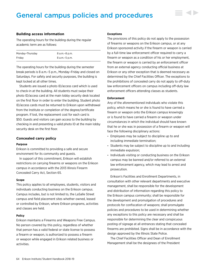# General campus policies and procedures

## **Building access information**

The operating hours for the building during the regular academic term are as follows:

| Monday-Thursday | 8 a.m.–8 p.m.   |
|-----------------|-----------------|
| Fridav          | 8 a.m. - 5 p.m. |

The operating hours for the building during the semester break periods is 8 a.m.–5 p.m., Monday–Friday and closed on Saturdays. For safety and security purposes, the building is kept locked at all other times.

Students are issued a photo ID/access card which is used to check-in at the building. All students must swipe their photo ID/access card at the main lobby security desk located on the first floor in order to enter the building. Student photo ID/access cards must be returned to Erikson upon withdrawal from the Institute or completion of the degree/certificate program. If lost, the replacement cost for each card is \$50. Guests and visitors can gain access to the building by checking in and presenting a valid photo ID at the main lobby security desk on the first floor.

## **Concealed carry policy**

#### **Purpose**

Erikson is committed to providing a safe and secure environment for its community and guests.

In support of this commitment, Erikson will establish restrictions on carrying firearms or weapons on the Erikson campus in accordance with the 2013 Illinois Firearm Concealed Carry Act, Section 65.

#### **Scope**

This policy applies to all employees, students, visitors and individuals conducting business on the Erikson campus. Campus includes, but is not limited to, the LaSalle Street campus and field placement sites whether owned, leased or controlled by Erikson, where Erikson programs, activities and classes are held.

#### **Policy**

Erikson maintains a Firearms and Weapons Free Campus. No person covered by this policy, regardless of whether that person has a valid federal or state license to possess a firearm or weapon, is authorized to possess a firearm or weapon while engaged in Erikson related business or activities.

#### **Exceptions**

The provisions of this policy do not apply to the possession of firearms or weapons on the Erikson campus, or at any Erikson sponsored activity if the firearm or weapon is carried by a full-time law enforcement officer required to carry a firearm or weapon as a condition of his or her employment, the firearm or weapon is carried by an enforcement officer from an external agency conducting official business at Erikson or any other exception that is deemed necessary as determined by the Chief Facilities Officer. The exceptions to the prohibitions of concealed carry do not apply to off-duty law enforcement officers on campus including off-duty law enforcement officers attending classes as students.

## **Enforcement**

Any of the aforementioned individuals who violate this policy, which means he or she is found to have carried a firearm or weapon onto the Erikson campus knowingly or is found to have carried a firearm or weapon under circumstances in which the individual should have known that he or she was in possession of a firearm or weapon will face the following disciplinary actions:

- Employees may be subject to discipline up to and including immediate termination;
- Students may be subject to discipline up to and including immediate expulsion;
- Individuals visiting or conducting business on the Erikson campus may be banned and/or referred to an external law enforcement agency, which may lead to arrest and prosecution.

Erikson's Facilities and Enrollment Departments, in consultation with other relevant departments and executive management, shall be responsible for the development and distribution of information regarding this policy to the Erikson campus community; shall be responsible for the development and promulgation of procedures and protocols for confiscation of weapons; shall promulgate policies and procedures to be used in determining whether any exceptions to this policy are necessary and shall be responsible for determining the clear and conspicuous posting of signage at all entrances stating that concealed firearms are prohibited. Signs shall be in accordance with the design approved by the Illinois State Police.

The Chief Facilities Officer and Dean of Enrollment Management shall be the designees of the President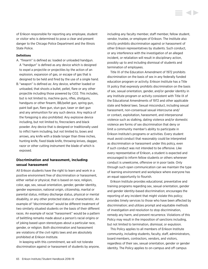of Erikson responsible for reporting any employee, student or visitor who is determined to pose a clear and present danger to the Chicago Police Department and the Illinois State Police.

## **Definitions**

- A. "firearm" is defined as: loaded or unloaded handgun. A "handgun" is defined as any device which is designed to expel a projectile or projectiles by the action of an explosion, expansion of gas, or escape of gas that is designed to be held and fired by the use of a single hand.
- B. "weapon" is defined as: Any device, whether loaded or unloaded, that shoots a bullet, pellet, flare or any other projectile including those powered by CO2. This includes, but is not limited to, machine guns, rifles, shotguns, handguns or other firearm, BB/pellet gun, spring gun, paint ball gun, flare gun, stun gun, taser or dart gun and any ammunition for any such device. Any replica of the foregoing is also prohibited. Any explosive device including, but not limited to, firecrackers and black powder. Any device that is designed or traditionally used to inflict harm including, but not limited to, bows and arrows, any knife with a blade longer than three inches, hunting knife, fixed blade knife, throwing knives, dagger, razor or other cutting instrument the blade of which is exposed.

## **Discrimination and harassment, including sexual harassment**

All Erikson students have the right to learn and work in a positive environment free of discrimination or harassment, either verbal or physical, that is based on race, religion, color, age, sex, sexual orientation, gender, gender identity, gender expression, national origin, citizenship, marital or parental status, military discharge status, physical or mental disability, or any other protected status or characteristic. An example of "discrimination" would be different treatment of two similarly situated students on the basis of their different races. An example of racial "harassment" would be a pattern of belittling remarks made about a person's racial origins or of joking based upon stereotypes about a particular race, gender, or religion. Both discrimination and harassment are violations of the civil rights laws and are absolutely prohibited at Erikson Institute.

In keeping with this commitment, we will not tolerate discrimination against or harassment of students by anyone, including any faculty member, staff member, fellow student, vendor, trustee, or employee of Erikson. The Institute also strictly prohibits discrimination against or harassment of other Erikson representatives by students. Such conduct, or any interference with the investigation of an alleged incident, or retaliation will result in disciplinary action, possibly up to and including dismissal of students and termination of employees.

Title IX of the Education Amendment of 1972 prohibits discrimination on the basis of sex in any federally funded education program or activity. Erikson Institute has a Title IX policy that expressly prohibits discrimination on the basis of sex, sexual orientation, gender, and/or gender identity in any Institute program or activity consistent with Title IX of the Educational Amendments of 1972 and other applicable state and federal laws. Sexual misconduct, including sexual harassment, non-consensual sexual intercourse and/ or contact, exploitation, harassment, and interpersonal violence such as stalking, dating violence and/or domestic violence are forms of sex discrimination that deny or limit a community member's ability to participate in Erikson Institute's programs or activities. Every student must avoid conduct that reasonably could be interpreted as discrimination or harassment under this policy, even if such conduct was not intended to be offensive. Like every representative of Erikson, a student is expected and encouraged to inform fellow students or others whenever conduct is unwelcome, offensive or in poor taste. Only through such open communication can we maintain the type of learning environment and workplace where everyone has an equal opportunity to flourish.

Erikson Institute provides educational, preventative and training programs regarding sex, sexual orientation, gender and gender identity-based discrimination; encourages the reporting of any incident that might violate this policy; provides timely services to those who have been affected by discrimination; and utilizes prompt and equitable methods of investigation and resolution to stop discrimination, remedy any harm, and prevent recurrence. Violations of this Policy may result in the imposition of sanctions including, but not limited to termination, dismissal, or expulsion.

This Policy applies to all members of Erikson Institute community, including students, faculty, staff, administrators, board members, contractors, vendors, and visitors, regardless of their sex, sexual orientation, gender or gender identity. The Policy applies to on-campus and off campus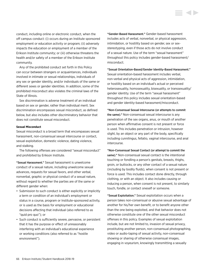conduct, including online or electronic conduct, when the off campus conduct: (i) occurs during an Institute sponsored employment or education activity or program; (ii) adversely impacts the education or employment of a member of the Erikson Institute community; or (iii) otherwise threatens the health and/or safety of a member of the Erikson Institute community.

Any of the prohibited conduct set forth in this Policy can occur between strangers or acquaintances, individuals involved in intimate or sexual relationships, individuals of any sex or gender identity, and/or individuals of the same or different sexes or gender identities. In addition, some of the prohibited misconduct also violates the criminal laws of the State of Illinois.

Sex discrimination is adverse treatment of an individual based on sex or gender, rather than individual merit. Sex discrimination encompasses sexual misconduct, as defined below, but also includes other discriminatory behavior that does not constitute sexual misconduct.

## **Sexual Misconduct**

Sexual misconduct is a broad term that encompasses sexual harassment, non-consensual sexual intercourse or contact, sexual exploitation, domestic violence, dating violence, and stalking.

The following offenses are considered "sexual misconduct" and prohibited by Erikson Institute.

"Sexual Harassment." Sexual harassment is unwelcome conduct of a sexual nature, including unwelcome sexual advances, requests for sexual favors, and other verbal, nonverbal, graphic or physical conduct of a sexual nature, without regard to whether the parties are of the same or different gender when:

- Submission to such conduct is either explicitly or implicitly a term or condition of an individual's employment or status in a course, program or Institute-sponsored activity, or is used as the basis for employment or educational decisions affecting that individual (also referred to as "quid pro quo"); or
- Such conduct is sufficiently severe, pervasive, or persistent that it has the purpose or effect of unreasonably interfering with an individual's educational experience or working conditions (also referred to as "hostile environment").

"Gender-Based Harassment." Gender-based harassment includes acts of verbal, nonverbal, or physical aggression, intimidation, or hostility based on gender, sex or sexstereotyping, even if those acts do not involve conduct of a sexual nature. Use of the term "sexual harassment" throughout this policy includes gender-based harassment/ misconduct.

"Sexual Orientation-Based/Gender Identity-Based Harassment." Sexual orientation-based harassment includes verbal, non-verbal and physical acts of aggression, intimidation, or hostility based on an individual's actual or perceived heterosexuality, homosexuality, bisexuality, or transsexuality/ gender identity. Use of the term "sexual harassment" throughout this policy includes sexual orientation-based and gender identity-based harassment/misconduct.

"Non-Consensual Sexual Intercourse (or attempts to commit the same)." Non-consensual sexual intercourse is any penetration of the sex organs, anus, or mouth of another person when affirmative consent is not present or force is used. This includes penetration or intrusion, however slight, by an object or any part of the body, specifically including cunnilingus, fellatio, vaginal intercourse, and anal intercourse.

"Non-Consensual Sexual Contact (or attempt to commit the same)." Non-consensual sexual contact is the intentional touching or fondling a person's genitals, breasts, thighs, groin, or buttocks, or any other contact of a sexual nature (including by bodily fluids), when consent is not present or force is used. This includes contact done directly, through clothing, or with an object. It also includes causing or inducing a person, when consent is not present, to similarly touch, fondle, or contact oneself or someone.

"Sexual Exploitation." Sexual exploitation occurs when a person takes non-consensual or abusive sexual advantage of another for his/her own benefit, or to benefit anyone other than the one being exploited, and that behavior does not otherwise constitute one of the other sexual misconduct offenses in this policy. Examples of sexual exploitation include, but are not limited to, invasion of sexual privacy, prostituting another person, non-consensual photographing, video or audio-taping of sexual activity, non-consensual showing or sharing of otherwise consensual images, engaging in voyeurism, knowingly transmitting a sexually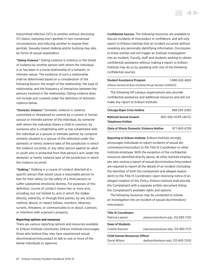transmitted infection (STI) to another without disclosing STI status, exposing one's genitals in non-consensual circumstances, and inducing another to expose their genitals. Sexually-based stalking and/or bullying may also be forms of sexual exploitation.

"Dating Violence." Dating violence is violence or the threat of violence by another person with whom the individual is or has been in a social relationship of a romantic or intimate nature. The existence of such a relationship shall be determined based on a consideration of the following factors: the length of the relationship, the type of relationship, and the frequency of interaction between the persons involved in the relationship. Dating violence does not include acts covered under the definition of domestic violence below.

"Domestic Violence." Domestic violence is violence committed or threatened to commit by a current or former spouse or intimate partner of the individual, by someone with whom the individual shares a child in common, by someone who is cohabitating with or has cohabitated with the individual as a spouse or intimate partner, by someone similarly situated to a spouse of the individual under the domestic or family violence laws of the jurisdiction in which the violence occurred, or any other person against an adult or youth who is protected from that person's acts under the domestic or family violence laws of the jurisdiction in which the violence occurred.

"Stalking." Stalking is a course of conduct directed at a specific person that would cause a reasonable person to fear for their safety (or the safety of a third person) or suffer substantial emotional distress. For purposes of this definition, course of conduct means two or more acts, including, but not limited to, acts in which the stalker directly, indirectly, or through third parties, by any action, method, device, or means follows, monitors, observes, surveils, threatens, or communicates to or about, a person, or interferes with a person's property.

#### **Reporting options and resources**

There are various reporting options and resources available to Erikson Institute community. Erikson Institute encourages those who believe they may have experienced sexual discrimination/misconduct to talk to one or more of the below individuals or agencies.

Confidential Sources. The following resources are available to discuss incidents of misconduct in confidence, and will only report to Erikson Institute that an incident occurred without revealing any personally identifying information. Disclosures to these entities *will not* trigger an Institute investigation into an incident. Faculty, staff and students wishing to obtain confidential assistance without making a report to Erikson Institute may do so by speaking with one of the following confidential sources:

| <b>Student Assistance Program</b>                       | 1-888-628-4824 |
|---------------------------------------------------------|----------------|
| (Please mention Erikson Institute/Group Number 5065872) |                |

The following off-campus organizations also provide confidential assistance and additional resources and will not make any report to Erikson Institute:

| <b>Chicago Rape Crisis Hotline</b>          | 888-293-2080        |
|---------------------------------------------|---------------------|
| National Sexual Assault                     | 800-656-HOPE (4673) |
| Telephone Hotline                           |                     |
| State of Illinois Domestic Violence Hotline | 877-863-6338        |

Reporting to Erikson Institute. Erikson Institute strongly encourages individuals to report incidents of sexual discrimination/misconduct to the Title IX Coordinator or other Institute employee. With the exception of the confidential resources identified directly above, all other Institute employees who receive a report of sexual discrimination/misconduct are required to report all the details of an incident (including the identities of both the complainant and alleged respondent) to the Title IX Coordinator. Upon receiving notice of an alleged violation of this Policy, Erikson Institute shall provide the Complainant with a separate written document listing the Complainant's available rights and options.

The following resources may be contacted to initiate an investigation into an incident of sexual discrimination/ misconduct:

| <b>Title IX Coordinator</b>          |                                    |  |
|--------------------------------------|------------------------------------|--|
| Patricia Lawson                      | plawson@erikson.edu, 312-893-7120  |  |
| Dean of Students                     |                                    |  |
| Colette Davison                      | cdavison@erikson.edu, 312-893-7173 |  |
| <b>Chief Human Resources Officer</b> |                                    |  |
| David Wilson                         | dwilson@erikson.edu, 312-893-7200  |  |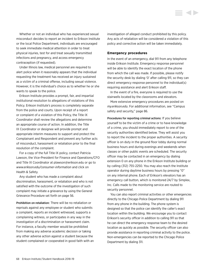Whether or not an individual who has experienced sexual misconduct decides to report an incident to Erikson Institute or the local Police Department, individuals are encouraged to seek immediate medical attention in order to treat physical injuries, test for and treat sexually transmitted infections and pregnancy, and access emergency contraception (if requested).

Under Illinois law, medical personnel are required to alert police when it reasonably appears that the individual requesting the treatment has received an injury sustained as a victim of a criminal offense, including sexual violence. However, it is the individual's choice as to whether he or she wants to speak to the police.

Erikson Institute provides a prompt, fair, and impartial institutional resolution to allegations of violations of this Policy. Erikson Institute's process is completely separate from the police and courts. Upon receipt of a report or complaint of a violation of this Policy, the Title IX Coordinator shall review the allegations and determine an appropriate course of action. In addition, the Title IX Coordinator or designee will provide prompt and appropriate interim measures to support and protect the Complainant and Respondent and prevent any further acts of misconduct, harassment or retaliation prior to the final resolution of the complaint.

For a copy of the full Title IX policy, contact Patricia Lawson, the Vice-President for Finance and Operations/CFO and Title IX Coordinator at [plawson@erikson.edu](mailto:plawson%40erikson.edu?subject=) or go to *[www.erikson.edu/consumer-information](http://www.erikson.edu/consumer-information)* and click on Health & Safety.

Any student who has made a complaint about discrimination, harassment, or retaliation and who is not satisfied with the outcome of the investigation of such complaint may initiate a grievance by using the General [Grievance Procedure set forth on page 56.](#page-56-0)

Prohibition on retaliation: There will be no retaliation or reprisals against any employee or student who submits a complaint, reports an incident witnessed, supports a complaining witness, or participates in any way in the investigation of a discrimination or harassment claim. For instance, a faculty member would be prohibited from making any adverse academic decision or taking any other adverse action against a student because the student complained or cooperated in good faith with an investigation of alleged conduct prohibited by this policy. Any acts of retaliation will be considered a violation of this policy and corrective action will be taken immediately.

## **Emergency procedures**

In the event of an emergency, dial 911 from any telephone inside Erikson Institute. Emergency response personnel will be able to identify the exact location of the phone from which the call was made. If possible, please notify the security desk by dialing '0' after calling 911, so they can direct emergency response personnel to the individual(s) requiring assistance and alert Erikson staff.

In the event of a fire, everyone is required to use the stairwells located by the classrooms and elevators.

More extensive emergency procedures are posted on *my.erikson.edu*. For additional information, see "Campus safety and security," page 86.

Procedures for reporting criminal actions: If you believe yourself to be the victim of a crime or to have knowledge of a crime, you should immediately report to one of the security authorities identified below. They will assist you to report the incident to the proper authorities. A security officer is on duty in the ground floor lobby during normal business hours and during evenings and weekends when classes or other public events are scheduled. The security officer may be contacted in an emergency by dialing extension 0 on any phone in the Erikson Institute building or by calling (312) 755-2250. You may also reach the Institute operator during daytime business hours by pressing "0" on any internal phone. Each of Erikson's elevators has an emergency call button, which is monitored 24/7 by Simplex, Inc. Calls made to the monitoring service are routed to security personnel.

You can also report criminal activities or other emergencies directly to the Chicago Police Department by dialing 911 from any phone in the building. The phone system is designed so that the police can identify the caller's exact location within the building. We encourage you to contact Erikson's security officer in addition to calling 911 so that he can direct the emergency response team to the desired location as quickly as possible. The security officer can also provide assistance in reporting criminal activity to the police. Non-emergencies can be reported to the Chicago Police Department by dialing 311.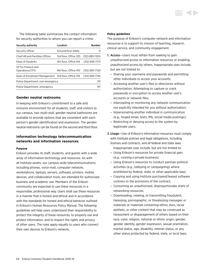The following table summarizes the contact information for security authorities to whom you can report a crime:

| Security authority                                  | Location                             | <b>Number</b>    |
|-----------------------------------------------------|--------------------------------------|------------------|
| Security officer                                    | Ground floor lobby                   | $\left( \right)$ |
| Chief HR and Facilities Officer                     | 3rd floor, Office 325 (312) 893-7200 |                  |
| Dean of Students                                    | 4th floor. Office 414                | (312) 893-7173   |
| VP for Finance and<br>Operations/CFO                | 4th floor, Office 410                | (312) 893-7120   |
| Dean of Enrollment Management 3rd floor, Office 319 |                                      | (312) 893-7145   |
| Police Department, non-emergency                    |                                      | 311              |
| Police Department, emergency                        |                                      | 911              |

## **Gender neutral restrooms**

In keeping with Erikson's commitment to a safe and inclusive environment for all students, staff, and visitors to our campus, two multi-stall, gender-neutral bathrooms are available to provide options that are consistent with each person's gender identification and expression. The genderneutral restrooms can be found on the second and third floor.

## **Information technology telecommunication networks and information resources**

#### **Purpose**

Erikson provides its staff, students, and guests with a wide array of information technology and resources. As with all Institute assets, our campus-wide telecommunications, including phones, voice-mail, computer network, workstations, laptops, servers, software, printers, mobile devices, and collaboration tools, are intended for authorized business and academic use. Members of the Erikson community are expected to use these resources in a responsible, professional way. Users shall use these resources in a manner that is honest and ethical and in accordance with the standards for honest and ethical behavior outlined in Erikson's Human Resources Policy Manual. The following guidelines will help users understand their responsibility to protect the integrity of these resources, to properly use and protect information, and to respect the rights and privacy of other users. The rules apply equally to users who connect their own devices to Erikson's network.

## **Policy guidelines**

The purpose of Erikson's computer network and information resources is to support its mission of teaching, research, clinical service, and community engagement.

- 1. Access—Users must refrain from seeking to gain unauthorized access to information resources or enabling unauthorized access by others. Inappropriate uses include, but are not limited to:
	- Sharing your username and passwords and permitting other individuals to access your accounts;
	- Accessing another user's files or directories without authorization; Attempting to capture or crack passwords or encryption to access another user's accounts or network files;
	- Intercepting or monitoring any network communication not explicitly intended for you without authorization;
	- Impersonating another individual in communication (e.g., forged email, texts, IMs, social media postings);
	- Restricting or denying access to the system by legitimate users.

2.Usage—Use of Erikson's information resources must comply with Institute policies and legal obligations, including licenses and contracts, and all federal and state laws. Inappropriate uses include, but are not limited to:

- Using Erikson's resources for private financial gain (e.g., running a private business);
- Using Erikson's resources to conduct partisan political activities (e.g., lobbying or campaigning) where prohibited by federal, state, or other applicable laws;
- Copying and using Institute purchased/leased software contrary to the provisions of the contract;
- Consuming an unauthorized, disproportionate share of networking resources;
- Downloading, viewing, or transmitting fraudulent, harassing, pornographic, or threatening messages or materials or materials containing ethnic slurs, racial epithets, or other content that may be construed as harassment or disparagement of others based on their race, color, religion, national or ethnic origin, gender, gender identity, gender expression, sexual orientation, marital status, age, disability, veteran status, or any other status protected by federal, state, or local laws;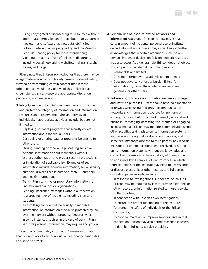- Using copyrighted or licensed digital resources without appropriate permission and/or attribution (e.g., journals, movies, music, software, games, data, etc.). (See Erikson's Intellectual Property Policy and the Peer-to-Peer File-Sharing policy for more information);
- Violating the terms of use of online media forums, including social networking websites, mailing lists, chat rooms, and blogs.

Please note that Erikson acknowledges that there may be a legitimate academic or scholarly reason for downloading, viewing or transmitting certain content that in most other contexts would be violative of this policy. If such circumstances arise, please use appropriate discretion in processing such materials.

- 3. Integrity and security of information—Users must respect and protect the integrity of information and information resources and preserve the rights and privacy of individuals. Inappropriate activities include, but are not limited to:
	- Deploying software programs that secretly collect information about individual users;
	- Destroying or altering data or programs belonging to other users;
	- Storing, sending or otherwise processing sensitive personal information about individuals without express authorization and proper security protections or in violation of applicable law. Examples of such information include: financial information, social security numbers, driver's license numbers, state ID numbers, and health information;
	- Transmitting sensitive or proprietary information to unauthorized persons or organizations;
	- Sending unsolicited messages without authorization to a large number of recipients, including staff and students;
	- Transmitting confidential, personally-identifiable information, or information otherwise protected by law, over the network without proper safeguards, which in some instances, such as in the case of transmitting sensitive personal information, may require encryption.

"Personally identifiably information" means information that is identifiable to an individual or reasonably identifiable to a specific device.

- 4.Personal use of Institute-owned networks and information resources—Erikson acknowledges that a certain amount of incidental personal use of Instituteowned information resources may occur. Erikson further acknowledges that a certain amount of such use on personally-owned devices on Erikson network resources may also occur. As a general rule, Erikson does not object to such periodic incidental use so long as it is:
	- Reasonable and limited;
	- Does not interfere with academic commitments;
	- Does not adversely affect or burden Erikson's information systems, the academic environment generally, or other users.

# 5. Erikson's right to access information resources for legal and Institute purposes—Users should have no expectation of privacy when using Erikson's telecommunication networks and information resources for any form of activity, including but not limited to email (personal and business), messaging, accessing the Internet, or engaging in social media. Erikson may monitor communications and other activities taking place on its information systems and reserves the right at its discretion to access, and in some circumstances disclose to third parties, any records, messages, or communications sent, received, or stored on its information systems, without the knowledge and consent of the users who have custody of them, subject to applicable law. Examples of circumstances in which representatives of the Institute may need to access and/ or disclose electronic or other records to third parties (including paper records) include:

- In response to investigations, subpoenas, or lawsuits. Erikson may be required by law to provide electronic or other records, or information related to those records, to third parties;
- In connection with Erikson's own investigations;
- To ensure the proper functioning of the Institute;
- To protect the safety of individuals or the Erikson community;
- To provide, maintain, or improve services; and, in that connection Erikson may also permit reasonable access to data by third-party service providers.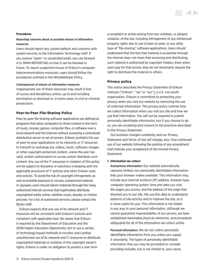#### **Procedures**

## *Reporting concerns about or possible misuse of information resources*

Users should report any system defects and concerns with system security to the Information Technology staff. If you receive "spam" or unsolicited email, you can forward it to SPAM REPORTING so that it can be blocked in future. To report suspected misuse of Erikson's computer telecommunications resources, users should follow the procedures outlined in the Whistleblower Policy.

#### *Consequences of misuse of information resources*

Inappropriate use of these resources may result in loss of access and disciplinary action, up to and including termination or dismissal or, in some cases, in civil or criminal prosecution.

## **Peer-to-Peer File-Sharing Policy**

Peer-to-peer file-sharing software applications are defined as programs that allow computers to share content in the form of music, movies, games, computer files, or software over a local network and the Internet without accessing a centralized distribution server or set of servers. Erikson prohibits the use of peer-to-peer applications on its networks or IT resources to transmit or exchange any videos, music, software, images, or other copyright-protected content, unless the user has valid, written authorization to access and/or distribute such content. Any use of the IT resources in violation of this policy will be subject to discipline or sanctions in keeping with the applicable provisions of IT policies and other Erikson rules and policies. To avoid the risk of copyright infringement, as well as possible exposure to viruses, unexpected material, or spyware, users should obtain materials through the many authorized Internet services that legitimately distribute copyrighted works online, whether music, ebooks, or motion pictures. For a list of authorized services, please contact the library staff.

Erikson expects that any use of its network and IT resources will be consistent with Erikson's policies and compliant with applicable laws. Be aware that Erikson is required by the Department of Education and the 2008 Higher Education Opportunity Act to use a variety of technology-based methods to monitor and combat unauthorized use of its network and IT resources to distribute copyrighted materials in violation of the copyright owner's rights. Erikson is under no obligation to protect a user from

a complaint or action arising from any violation, or alleged violation, of the law, including infringement of any intellectual property rights due to use of peer-to-peer, or any other type of "file-sharing," software applications. Users should understand that the fact that material is accessible through the Internet does not mean that accessing and distributing such material is authorized by copyright-holders. Even when users pay for that access, they do not necessarily acquire the right to distribute the material to others.

## **Privacy policy**

This notice describes the Privacy Statement of Erikson Institute ("Erikson", "we" or "our"), a U.S. non-profit organization. Erikson is committed to protecting your privacy when you visit our website by restricting the use of collected information. This privacy policy outlines how we collect information when you visit our site and how we use that information. You will not be required to submit personally identifiable information, but if you choose to do so, you are accepting and consent to the practices described in this Privacy Statement.

Our business changes constantly, and our Privacy Statement and Terms of Use will change, also. Your continued use of our website following the posting of any amendment shall indicate your acceptance of the revised Privacy Statement.

#### **1. Information we collect**

Anonymous information: Our website automatically captures limited, non-personally identifiable information that your browser makes available. This information may include your internet protocol (IP) address, browser type, computer operating system, time and date you visit, the pages you access, and the address of the page that directed you to our site. We use this data to understand patterns of site activity and to improve the site, so it is more useful for you. This information is not linked in any way to your personal information. Although we cannot guarantee impenetrability of our servers, we have established reasonable physical, electronic, and procedural safeguards for all of the information we collect online.

Personal information: We do not collect personally identifiable information from you unless you supply it voluntarily. The types of personally identifiable information that you may be prompted to consider providing includes, but is not limited to, your name,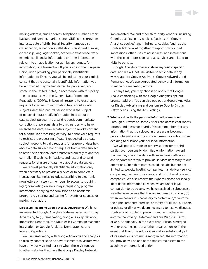mailing address, email address, telephone number, ethnic background, gender, marital status, GRE scores, program interests, date of birth, Social Security number, visa classification, armed forces affiliation, credit card number, citizenship, language spoken, academic experience, work experience, financial information, or other information relevant to an application for admission, request for information, or a transaction. If you reside in the European Union, upon providing your personally identifiable information to Erikson, you will be indicating your explicit consent that the personally identifiable information you have provided may be transferred to, processed, and stored in the United States, in accordance with this policy.

In accordance with the General Data Protection Regulations (GDPR), Erikson will respond to reasonable requests for access to information held about a data subject (identified natural person who is the subject of personal data); rectify information held about a data subject pursuant to a valid request; communicate corrections of personal data to third parties who have received the data; allow a data subject to revoke consent for a particular processing activity; to honor valid requests to restrict the processing of data if requested by a data subject; respond to valid requests for erasure of data held about a data subject; honor requests from a data subject to have their personal data transferred directly to another controller; if technically feasible, and respond to valid requests for erasure of data held about a data subject.

We request personally identifiable information only when necessary to provide a service or to complete a transaction. Examples include subscribing to electronic newsletters or listservs; membership accounts requiring login; completing online surveys; requesting program information; applying for admission to an academic program; registering and paying for events or courses; or making a donation.

Disclosure Regarding Google Display Advertising: We have implemented Google Analytics features based on Display Advertising (e.g., Remarketing, Google Display Network Impression Reporting, the Doubleclick Campaign Manager integration, or Google Analytics Demographics and Interest Reporting).

We use remarketing with Google Adwords and analytics to display content-specific advertisements to visitors who have previously visited our site when those visitors go to other websites that have the Google Display Network

implemented. We and other third-party vendors, including Google, use first-party cookies (such as the Google Analytics cookies) and third-party cookies (such as the DoubleClick cookie) together to report how your ad impressions, other uses of ad services, and interactions with these ad impressions and ad services are related to visits to our site.

Google Analytics does not store any visitor specific data, and we will not use visitor-specific data in any way related to Google Analytics, Google Adwords, and Remarketing. We use aggregated behavioral information to refine our marketing efforts.

At any time, you may choose to opt-out of Google Analytics tracking with the Google Analytics opt-out browser add-on. You can also opt-out of Google Analytics for Display Advertising and customize Google Display Network ads using the Ads Settings.

#### **2. What we do with the personal information we collect**

Through our website, some visitors can access chat rooms, forums, and message boards. Please remember that any information that is disclosed in these areas becomes public information, and you should exercise caution when deciding to disclose your personal information.

We will not sell, trade, or otherwise transfer to third parties your personally identifiable information, except that we may share this data with subsidiaries, affiliates, and vendors we retain to provide services necessary to our operations. Such third parties could include, but are not limited to, website hosting companies, mail delivery service companies, payment processors, and institutional research companies. We also reserve the right to release personally identifiable information (i) when we are under legal compulsion to do so (e.g., we have received a subpoena) or we otherwise believe that the law requires us to do so; (ii) when we believe it is necessary to protect and/or enforce the rights, property interests, or safety of Erikson, our users or others; or (iii) as we deem necessary to resolve disputes, troubleshoot problems, prevent fraud, and otherwise enforce the Privacy Statement and our Websites Terms of Use. Additionally, in the event that Erikson is merged with or becomes part of another organization, or in the event that Erikson is sold or it sells all or substantially all of its assets or is otherwise reorganized, the information you provide will be one of the transferred assets to the acquiring or reorganized entity.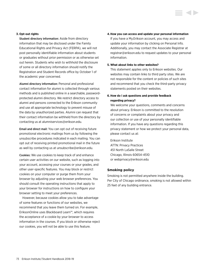### **3. Opt-out rights**

Student directory information: Aside from directory information that may be disclosed under the Family Educational Rights and Privacy Act (FERPA), we will not post personally identifiable information about students or graduates without prior permission or as otherwise set out herein. Students who wish to withhold the disclosure of some or all directory information should notify the Registration and Student Records office by October 1 of the academic year concerned.

Alumni directory information: Personal and professional contact information for alumni is collected through various methods and is published online in a searchable, passwordprotected alumni directory. We restrict directory access to alumni and persons connected to the Erikson community and use all appropriate technology to prevent misuse of the data by unauthorized parties. Alumni can request that their contact information be withheld from the directory by contacting us at [alumniservices@erikson.edu](mailto:alumniservices%40erikson.edu?subject=).

Email and direct mail: You can opt out of receiving future promotional electronic mailings from us by following the unsubscribe procedures indicated in each mailing. You can opt out of receiving printed promotional mail in the future as well by contacting us at [unsubscribe@erikson.edu.](mailto:unsubscribe%40erikson.edu?subject=)

Cookies: We use cookies to keep track of and enhance certain user activities on our website, such as logging into your account, accessing your courses or your grades, and other user-specific features. You may block or restrict cookies on your computer or purge them from your browser by adjusting your web browser preferences. You should consult the operating instructions that apply to your browser for instructions on how to configure your browser setting to meet your preferences.

However, because cookies allow you to take advantage of some features or functions of our websites, we recommend that you leave them turned on. For example, EriksonOnline uses Blackboard Learn™, which requires the acceptance of a cookie by your browser to access information in the courses. If you block or otherwise reject our cookies, you will not be able to use this feature.

#### **4.How you can access and update your personal information**

If you have a My.Erikson account, you may access and update your information by clicking on Personal Info. Additionally, you may contact the Associate Registrar at [registrar@erikson.edu](mailto:registrar%40erikson.edu?subject=) to request updates to your personal information.

#### **5. What about links to other websites?**

This statement applies only to Erikson websites. Our websites may contain links to third party sites. We are not responsible for the content or policies of such sites and recommend that you check the third-party privacy statements posted on their websites.

## **6. How do I ask questions and provide feedback regarding privacy?**

We welcome your questions, comments and concerns about privacy. Erikson is committed to the resolution of concerns or complaints about your privacy and our collection or use of your personally identifiable information. If you have any questions regarding this privacy statement or how we protect your personal data, please contact us at:

Erikson Institute ATTN: Privacy Practices 451 North LaSalle Street Chicago, Illinois 60654-4510 or [webprivacy@erikson.edu](mailto:webprivacy%40erikson.edu?subject=)

## **Smoking policy**

Smoking is not permitted anywhere inside the building. Per City of Chicago ordinance, smoking is not allowed within 25 feet of any building entrance.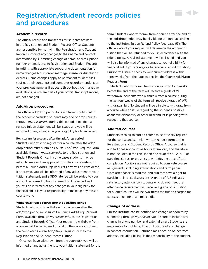# <span id="page-74-0"></span>Registration/student records policies and procedures

## **Academic records**

The official record and transcripts for students are kept in the Registration and Student Records Office. Students are responsible for notifying the Registration and Student Records Office of any changes to their name and contact information by submitting change of name, address, phone number or email, etc., to Registration and Student Records, in writing, with appropriate supporting documentation for name changes (court order, marriage license, or dissolution decree). Name changes apply to permanent student files (but not their contents) and computer records; mentions of your previous name as it appears throughout your narrative evaluations, which are part of your official transcript record, are not changed.

## **Add/drop procedures**

The official add/drop period for each term is published in the academic calendar. Students may add or drop courses through *my.erikson.edu* during this period. If needed, a revised tuition statement will be issued and you will be informed of any changes in your eligibility for financial aid.

### **Registering for a course after the add/drop period**

Students who wish to register for a course after the add/ drop period must submit a Course Add/Drop Request Form, available through *my.erikson.edu,* to the Registration and Student Records Office. In some cases students may be asked to seek written approval from the course instructor before a Course Add/Drop Request Form will be considered. If approved, you will be informed of any adjustment to your tuition statement, and a \$100 late fee will be added to your account. A revised tuition statement will be issued and you will be informed of any changes in your eligibility for financial aid. It is your responsibility to make up any missed course work.

### **Withdrawal from a course after the add/drop period**

Students who wish to withdraw from a course after the add/drop period must submit a Course Add/Drop Request Form, available through *my.erikson.edu,* to the Registration and Student Records Office. Your request to withdraw from a course will be considered official on the date you submit the completed Course Add/Drop Request Form to the Registration and Student Records Office.

Once you have withdrawn from the course(s), you will be informed of any adjustment to your tuition statement for the term. Students who withdraw from a course after the end of the add/drop period may be eligible for a refund according to the Institute's Tuition Refund Policy ([see page 93](#page-93-0)). The official date of your request will determine the amount of tuition that will be refunded to you, in accordance with the refund policy. A revised statement will be issued and you will also be informed of any changes to your eligibility for financial aid. If you are eligible to receive a refund of tuition, Erikson will issue a check to your current address within three weeks from the date we receive the Course Add/Drop Request Form.

▘▟▶

Students who withdraw from a course up to four weeks before the end of the term will receive a grade of W, withdrawal. Students who withdraw from a course during the last four weeks of the term will receive a grade of WF, withdrawal, fail. No student will be eligible to withdraw from a course while an issue regarding the student's possible academic dishonesty or other misconduct is pending with respect to that course.

## **Audited courses**

Students wishing to audit a course must officially register for the course and submit a written request form to the Registration and Student Records Office. A course that is audited does not count as hours attempted, and therefore is not included in the calculation of a student's GPA, full- or part-time status, or progress toward degree or certificate completion. Auditors are not required to complete course assignments, including examinations and term papers. Class attendance is required, and auditors have a right to participate in class discussions. A grade of AU indicates satisfactory attendance; students who do not meet the attendance requirement will receive a grade of W. Tuition for audited courses will be two-thirds the tuition charged for courses taken for academic credit.

## **Change of address**

Erikson Institute can be notified of a change of address by submitting through *my.erikson.edu*. Be sure to include any change in phone number and external email. Students are responsible for notifying Erikson Institute of any change in contact information. Returned mail because of incorrect address, including billing, is the responsibility of the student.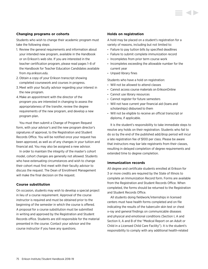## **Changing programs or cohorts**

Students who wish to change their academic program must take the following steps:

- 1. Review the general requirements and information about your intended new program, available in the Handbook or on Erikson's web site. If you are interested in the teacher certification program, please read pages 1–8 of the Handbook for Teacher Education Candidates available from *my.erikson.edu.*
- 2. Obtain a copy of your Erikson transcript showing completed coursework and courses in progress.
- 3. Meet with your faculty advisor regarding your interest in the new program.
- 4.Make an appointment with the director of the program you are interested in changing to assess the appropriateness of the transfer, review the degree requirements of the new program, and develop a new program plan.

You must then submit a Change of Program Request form, with your advisor's and the new program director's signatures of approval, to the Registration and Student Records Office. You will be notified once your request has been approved, as well as of any changes in your tuition and financial aid. You may also be assigned a new advisor.

In order to maintain the integrity of the master's cohort model, cohort changes are generally not allowed. Students who have extenuating circumstances and wish to change their cohort must first meet with their faculty advisor to discuss the request. The Dean of Enrollment Management will make the final decision on the request.

## **Course substitution**

On occasion, students may wish to develop a special project in lieu of a course requirement. Approval of the course instructor is required and must be obtained prior to the beginning of the semester in which the course is offered. A proposal for a course substitution must be submitted in writing and approved by the Registration and Student Records office. Students are still responsible for the material presented in the course. Contact your advisor and the course instructor if you have any questions.

## **Holds on registration**

A hold may be placed on a student's registration for a variety of reasons, including but not limited to:

- Failure to pay tuition bills by specified deadlines
- Failure to submit complete immunization record
- Incompletes from prior term course work
- Incompletes exceeding the allowable number for the current year
- Unpaid library fines

Students who have a hold on registration:

- Will not be allowed to attend classes
- Cannot access course materials on EriksonOnline
- Cannot use library resources
- Cannot register for future semesters
- Will not have current year financial aid (loans and scholarships) disbursed to them
- Will not be eligible to receive an official transcript or diploma, if applicable.

It is the student's responsibility to take immediate steps to resolve any holds on their registration. Students who fail to do so by the end of the published add/drop period will incur a late registration fee of \$100 per class. Please be aware that instructors may bar late registrants from their classes, resulting in delayed completion of degree requirements and extended time to degree completion.

### **Immunization records**

All degree and certificate students enrolled at Erikson for 3 or more credits are required by the State of Illinois to complete an Immunization Record form. Forms are available from the Registration and Student Records Office. When completed, the forms should be returned to the Registration and Student Records Office.

All students doing fieldwork/internships in licensed centers must have health forms completed and on file indicating the results of the tuberculin skin test or chest x-ray and general findings on communicable diseases and physical and emotional conditions (Section I, A and Section II, A and B of the "Medical Report on an Adult or Child in a Licensed Child Care Facility"). It is the student's responsibility to comply with any additional health-related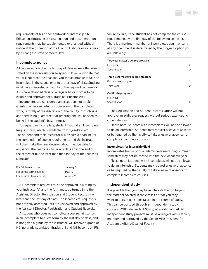

## **Incomplete policy**

All course work is due the last day of class unless otherwise stated on the individual course syllabus. If you anticipate that you will not meet the deadline, you should arrange to take an incomplete in the course prior to the last day of class. Students must have completed a majority of the required coursework AND have attended class on a regular basis in order to be eligible and approved for a grade of I (Incomplete).

Incompletes are considered an exception, not a rule. Granting an incomplete for submission of the completed work, is totally at the discretion of the faculty instructor(s), and there is no guarantee that granting one will be seen as being in the student's best interest.

To request an incomplete, students submit an Incomplete Request form, which is available from *my.erikson.edu*. The student and their instructor will discuss a deadline for the completion of course requirements and the instructor will then make the final decision about the due date for any work. The deadline can be any date after the end of the semester but no later than the first day of the following semester:

| For fall term courses   | January 7 |
|-------------------------|-----------|
| For spring term courses | May 13    |
| For summer term courses | August 26 |

All incomplete requests must be approved in writing by your instructor(s) and the form must be turned in to the Assistant Director, Registration and Student Records, no later than the last day of class. The Incomplete Request is not officially accepted until it is reviewed and approved by the Assistant Director, Registration and Student Records.

A student who does not complete a course, fails to turn in an Incomplete Request form by the last day of class, and is not given a grade by the instructor, will receive a grade of NG, no grade submitted. Grades of I and NG become an FR,

failure by rule, if the student has not complete the course requirements by the first day of the following semester. There is a maximum number of incompletes you may carry at any one time. It is determined by the program option you are following:

| Two-year master's degree program   |   |  |
|------------------------------------|---|--|
| First year                         | 2 |  |
| Second year                        |   |  |
| Three-year master's degree program |   |  |
| First and second year              |   |  |
| Third year                         |   |  |
| Certificate programs               |   |  |
| First year                         |   |  |
| Second year                        |   |  |

The Registration and Student Records Office will not approve an additional request without serious extenuating circumstances.

Please note: Students with incompletes will not be allowed to do an internship. Students may request a leave of absence or be required by the faculty to take a leave of absence to complete incomplete courses.

#### **Incompletes for internship/field**

Incompletes from a prior academic year (excluding summer semester) may not be carried into the next academic year.

Please note: Students with incompletes will not be allowed to do an internship. Students may request a leave of absence or be required by the faculty to take a leave of absence to complete incomplete courses.

#### **Independent study**

It is possible that you may have interests that go beyond the material covered in the classes or that you may want to pursue questions raised in the course of study. This can be pursued through an independent study course (C498 Independent Study) at additional cost. All independent study projects must be arranged with a faculty member and approved by the Senior Vice President for Academic Affairs/Dean of Faculty.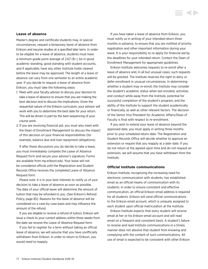#### **Leave of absence**

Master's degree and certificate students may, in special circumstances, request a temporary leave of absence from Erikson and resume studies at a specified later term. In order to be eligible for a leave of absence, students must have a minimum grade point average of 2.67 (B–), be in good academic standing, good standing with student accounts, and if applicable, have any other Institute holds cleared before the leave may be approved. The length of a leave of absence can vary from one semester to an entire academic year. If you decide to request a leave of absence from Erikson, you must take the following steps:

- 1. Meet with your faculty advisor to discuss your decision to take a leave of absence to ensure that you are making the best decision and to discuss the implications. Given the sequential nature of the Erikson curriculum, your advisor will work with you to determine the best date for your return. This will be driven in part by the best sequencing of your course work.
- 2. If you are receiving financial aid, you must also meet with the Dean of Enrollment Management to discuss the impact of this decision on your financial responsibilities (for example, balance due and loan repayment obligations).

If after these discussions you do decide to take a leave, you must immediately complete the Leave of Absence Request form and secure your advisor's signature. Forms are available from *my.erikson.edu*. Your leave will not be considered official until the Registration and Student Records Office receives the completed Leave of Absence Request form.

Please note: It is in your best interests to notify us of your decision to take a leave of absence as soon as possible. The date of your official leave will determine the amount of tuition that may be refunded to you. (See Erikson's Refund Policy, page 85). Reasons for the leave of absence will be considered on a case-by-case basis and may influence the amount of the refund.

If you are eligible to receive a refund of tuition, Erikson will issue a check to your current address within three weeks from the date we receive the Leave of Absence Request form.

If you fail to register for a term without taking an official leave of absence, we will assume that you have unofficially withdrawn from Erikson. In order to return to Erikson, you would need to reapply.

If you have taken a leave of absence from Erikson, you must notify us in writing of your intended return three months in advance, to ensure that you are notified of priority registration and other important information during your leave. It is your responsibility to re-apply for financial aid by the deadlines for your intended return. Contact the Dean of Enrollment Management for appropriate guidelines.

Erikson Institute welcomes requests to re-enroll after a leave of absence and, in all but unusual cases, such requests will be granted. The Institute reserves the right to deny or defer enrollment in unusual circumstances. In determining whether a student may re-enroll, the Institute may consider the student's academic status when last enrolled, activities and conduct while away from the Institute, potential for successful completion of the student's program, and the ability of the Institute to support the student academically or financially, as well as other relevant factors. The decision of the Senior Vice President for Academic Affairs/Dean of Faculty is final with respect to re-enrollment.

If you wish to extend your leave of absence beyond the approved date, you must apply in writing three months prior to your scheduled return date. The Registration and Student Records Office will decide whether to approve an extension or require that you reapply at a later date. If you do not return at the agreed upon time and do not request an extension, we will assume that you have withdrawn from the Institute.

## **Official Institute communications**

Erikson Institute, recognizing the increasing need for electronic communication with students, has established email as an official means of communication with its students. In order to ensure consistent and effective communication, an official Erikson email address is required for all students. Erikson will send official communications to the Erikson email account, which is uniquely assigned to each student upon official matriculation at the Institute.

Erikson Institute expects that every student will receive email at her or his Erikson email account and will read email on a frequent and consistent basis. A student's failure to receive and read Institute communications in a timely manner does not absolve that student from knowing and complying with the content of such communications. All use of email is expected to be consistent with other Erikson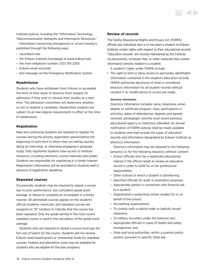Institute policies including the "Information Technology Telecommunication Networks and Information Resources."

Information concerning emergencies or school closing is published through the following ways:

- *my.erikson.edu*
- the Erikson Institute homepage at *<www.erikson.edu>*
- the main telephone number, (312) 755-2250
- Erikson email accounts
- text message via the Emergency Notification System

## **Readmission**

Students who have withdrawn from Erikson or exceeded the term of their leave of absence must reapply for admission if they wish to resume their studies at a later time. The admission committee will determine whether or not to readmit a candidate. Readmitted students are subject to all new degree requirements in effect at the time of readmission.

## **Registration**

New and continuing students are required to register for courses during the priority registration period before the beginning of each term in which they are taking courses, doing an internship, or otherwise engaging in graduate study. Only registered students have access to Institute resources, including electronic course materials and syllabi. Students are responsible for registering in a timely manner. Registration information will be provided to students well in advance of registration deadlines.

## **Repeated courses**

Occasionally students may be required to repeat a course due to poor performance, low cumulative grade point average, or failure to complete an Incomplete in a timely manner. All attempted courses appear on the student's official academic transcript, and repeated courses are assigned an "R" notation to indicate that the course has been repeated. Only the grade earned in the most recent repeated course is used in the calculation of the grade point average.

Students who are required to repeat a course must pay the full cost of tuition for the course. Students will not receive Erikson need-based grants or scholarship funds for repeated courses. Federal and alternative loans may be available for students who are eligible for the loan programs.

## **Review of records**

The Family Educational Rights and Privacy Act (FERPA) affords any individual who is or has been a student at Erikson Institute certain rights with respect to their educational records. "Education records" are records maintained by the Institute via documents, computer files, or other materials that contain information directly related to a student.

A student's rights under FERPA include:

1. The right to limit or allow access to personally identifiable information contained in the student's education records. FERPA authorizes disclosure of what is considered directory information for all student records without consent if no modifications to access are made.

#### *Directory Information*

Directory information includes name, telephone, email, degree or certificate program, class, participation in activities, dates of attendances, degrees and awards received, photograph, and the most recent previous educational agency or institution attended. An annual notification of FERPA policies shall be made available to students and shall include the types of education records and information designated by Erikson Institute as directory information.

 Directory information may be released to the following person(s) or for the following reason(s) without consent:

- School officials who has a legitimate educational interest if the official needs to review an education record in order to fulfill his or her professional responsibility;
- Other schools to which a student is transferring;
- Specified officials for audit or evaluation purposes;
- Appropriate parties in connection with financial aid to a student;
- Organizations conducting certain studies for or on behalf of the school;
- Accrediting organizations;
- To comply with a judicial order or lawfully issued subpoena;
- To military recruiters under the Solomon Act;
- Appropriate officials in cases of health and safety emergencies; and
- State and local authorities, within a juvenile justice system, pursuant to specific State law.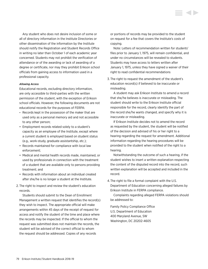Any student who does not desire inclusion of some or all of directory information in the Institute Directories or other dissemination of the information by the Institute should notify the Registration and Student Records Office in writing no later than October 1 of each academic year concerned. Students may not prohibit the verification of attendance or of the awarding or lack of awarding of a degree or certificate, nor may they prohibit Erikson school officials from gaining access to information used in a professional capacity.

### *Allowing Access*

Educational records, excluding directory information, are only accessible to third-parties with the written permission of the student, with the exception of Erikson school officials. However, the following documents are not educational records for the purposes of FERPA:

- Records kept in the possession of the maker that are used only as a personal memory aid and not accessible to any other person;
- Employment records related solely to a student's capacity as an employee of the Institute, except where a current student is employed based on student status (e.g., work-study, graduate assistantship, etc.);
- Records maintained for compliance with local law enforcement;
- Medical and mental health records made, maintained, or used by professionals in connection with the treatment of a student that are available only to persons providing treatment; and
- Records with information about an individual created after she/he is no longer a student at the Institute.
- 2. The right to inspect and review the student's education records.

 Students should submit to the Dean of Enrollment Management a written request that identifies the record(s) they wish to inspect. The appropriate official will make arrangements within 45 days of the receipt of request for access and notify the student of the time and place where the records may be inspected. If the official to whom the request was submitted does not maintain the records, the student will be advised of the correct official to whom the request should be addressed. Copies of any records

or portions of records may be provided to the student on request for a fee that covers the Institute's costs of copying.

 Note: Letters of recommendation written for students' files prior to January 1, 1975, will remain confidential, and under no circumstances will be revealed to students. Students may have access to letters written after January 1, 1975, unless they have signed a waiver of their right to read confidential recommendations

3. The right to request the amendment of the student's education record(s) if believed to be inaccurate or misleading.

 A student may ask Erikson Institute to amend a record that she/he believes is inaccurate or misleading. The student should write to the Erikson Institute official responsible for the record, clearly identify the part of the record she/he wants changed, and specify why it is inaccurate or misleading.

 If Erikson Institute decides not to amend the record as requested by the student, the student will be notified of the decision and advised of his or her right to a hearing regarding the request for amendment. Additional information regarding the hearing procedures will be provided to the student when notified of the right to a hearing.

 Notwithstanding the outcome of such a hearing, if the student wishes to insert a written explanation respecting the content of the disputed record into the record, such written explanation will be accepted and included in the record.

4. The right to file a formal complaint with the U.S. Department of Education concerning alleged failures by Erikson Institute in FERPA compliance.

 Complaints regarding alleged FERPA violations should be addressed to:

Family Policy Compliance Office U.S. Department of Education 400 Maryland Avenue, SW Washington, DC 20202-4605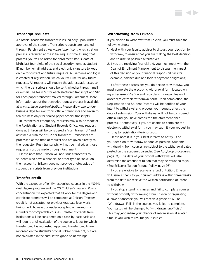## **Transcript requests**

An official academic transcript is issued only upon written approval of the student. Transcript requests are handled through Parchment at *<www.parchment.com>*. A registration process is required at the initial request time. During that process, you will be asked for enrollment status, date of birth, last four digits of the social security number, student ID number, email address, and electronic signature to keep on file for current and future requests. A username and login is created at registration, which you will use for any future requests. All requests will require the address/addresses to which the transcripts should be sent, whether through mail or e-mail. The fee is \$7 for each electronic transcript and \$12 for each paper transcript mailed through Parchment. More information about the transcript request process is available at *<www.erikson.edu/registration>*. Please allow two to four business days for electronic official transcripts and seven to ten business days for sealed paper official transcripts.

In instances of emergency, requests may also be made at the Registration and Student Records Office. Any request done at Erikson will be considered a "rush transcript" and assessed a rush fee of \$12 per transcript. Transcripts are processed at the time of request and are given directly to the requestor. Rush transcripts will not be mailed, as those requests must be made through Parchment.

Please note that Erikson will not issue transcripts to students who have a financial or other type of "hold" on their accounts. Erikson does not provide photocopies of student transcripts from previous institutions.

## **Transfer credit**

With the exception of jointly recognized courses in the MS/MJ dual degree program and the MS Children's Law and Policy concentration it is expected that all work for the degree and certificate programs will be completed at Erikson. Transfer credit is not accepted for previous graduate level work. Erikson will, however, consider accepting a maximum of 6 credits for comparable courses. Transfer of credits from institutions will be considered on a case-by-case basis and will require a full evaluation of the course syllabus for which transfer credit is requested. Approved transfer credits are recorded on the student's official Erikson transcript, but are not calculated in the cumulative grade point average.

#### **Withdrawing from Erikson**

If you decide to withdraw from Erikson, you must take the following steps:

- 1. Meet with your faculty advisor to discuss your decision to withdraw, to ensure that you are making the best decision and to discuss possible alternatives.
- 2. If you are receiving financial aid, you must meet with the Dean of Enrollment Management to discuss the impact of this decision on your financial responsibilities (for example, balance due and loan repayment obligations)

If after these discussions you do decide to withdraw, you must complete the electronic withdrawal form located on *my.erikson/registration* and records/withdrawal\_leave of absence/electronic withdrawal form. Upon completion, the Registration and Student Records will be notified of your intent to withdrawal and process your request effect the date of submission. Your withdrawal will not be considered official until you have completed the aforementioned process. Alternatively, if you are unable to complete the electronic withdrawal form, you may submit your request in writing to [registration@erikson.edu.](mailto:registration%40erikson.edu?subject=)

Please note it is in your best interest to notify us of your decision to withdraw as soon as possible. Students withdrawing from courses are subject to the withdrawal dates posted on the academic calendar. [\(See Add/drop procedures,](#page-74-0)  [page 74\).](#page-74-0) The date of your official withdrawal will also determine the amount of tuition that may be refunded to you. ([See Erikson's Tuition Refund Policy, page 93\)](#page-93-0).

If you are eligible to receive a refund of tuition, Erikson will issue a check to your current address within three weeks from the date we receive the written notification of intent to withdraw.

If you stop attending classes and fail to complete courses without officially withdrawing from Erikson or requesting a leave of absence, you will receive a grade of WF or "Withdrawal, Fail" in the courses you failed to complete. Your status will be changed to "withdrawn, unofficial." This may jeopardize your chance of readmission at a later time, if you wish to resume your studies.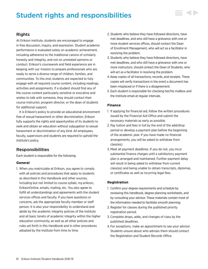# Student rights and responsibilities



At Erikson Institute, students are encouraged to engage in free discussion, inquiry, and expression. Student academic performance is evaluated solely on academic achievement, including adherence to the traditional canons of scholarly honesty and integrity, and not on unrelated opinions or conduct. Erikson's coursework and field experience are in keeping with our mission to prepare professionals who are ready to serve a diverse range of children, families, and communities. To this end, students are expected to fully engage with all required course content, including readings, activities and assignments. If a student should find any of the course content particularly sensitive or evocative and wishes to talk with someone, they should contact their course instructor, program director, or the dean of students for additional support.

It is Erikson's policy to provide an educational environment free of sexual harassment or other discrimination. Erikson fully supports the rights and opportunities of its students to seek and obtain an education without subjugation to sexual harassment or discrimination of any kind. All employees, faculty, supervisors and students are required to uphold the Institute's policy.

## Responsibilities

Each student is responsible for the following:

## **General**

1. When you matriculate at Erikson, you agree to comply with all policies and procedures that apply to students as described in this Handbook and other sources, including but not limited to course syllabi, my.erikson, EriksonOnline, emails, mailing, etc. You also agree to fulfill all understandings and agreements with the student services offices and faculty. If you have questions or concerns, ask the appropriate faculty member or staff person. It is also your responsibility to understand and abide by the academic integrity policies of the Institute and all basic tenets of academic integrity within the higher education community, as well as all other policies and rules set forth in this Handbook and in other procedures adopted by the Institute from time to time.

- 2. Students who believe they have followed directions, have met deadlines, and who still have a grievance with one or more student services offices, should contact the Dean of Enrollment Management, who will act as a facilitator in resolving the problem.
- 3. Students who believe they have followed directions, have met deadlines, and who still have a grievance with one or more instructors, should contact the Dean of Students, who will act as a facilitator in resolving the problem.
- 4. Keep copies of all transactions, records, and receipts. These copies will verify transactions in the event a document has been misplaced or if there is a disagreement.
- 5. Each student is responsible for checking her/his mailbox and the Institute email at regular intervals.

## **Finance**

- 1. If applying for financial aid, follow the written procedures issued by the Financial Aid Office and submit the necessary materials as early as possible.
- 2. Pay tuition and fees in full by the end of the add/drop period or develop a payment plan before the beginning of the academic year. If you have made no financial arrangements, you will be asked to withdraw from class(es).
- 3. Meet all payment deadlines. If you do not, you incur substantial finance charges until a satisfactory payment plan is arranged and maintained. Further payment delay will result in being asked to withdraw from current class(es) and being unable to obtain transcripts, diplomas, or certificates as well as incurring legal fees.

## **Registration**

- 1. Confirm your degree requirements and schedule by reviewing this Handbook, degree planning worksheets, and by consulting your advisor. These materials contain most of the information needed to facilitate smooth planning.
- 2. Register for classes during the published priority registration period.
- 3. Complete drops, adds, and changes of class by the published deadlines.
- 4. For exceptions, make an appointment to see your advisor. Students unsure about who advises them should contact the Registration and Student Records Office.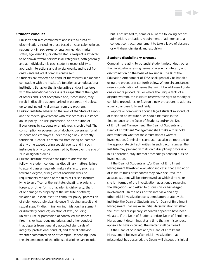## **Student conduct**

- 1. Erikson's anti-bias commitment applies to all areas of discrimination, including those based on race, color, religion, national origin, sex, sexual orientation, gender, marital status, age, disability, or veteran status. Respect is expected to be shown toward persons in all categories, both generally, and as individuals. It is each student's responsibility to approach interactions and diversity openly, and to act from one's centered, adult compassionate self.
- 2. Students are expected to conduct themselves in a manner compatible with the Institute's function as an educational institution. Behavior that is disruptive and/or interferes with the educational process is disrespectful of the rights of others and is not acceptable and, if continued, may result in discipline as summarized in paragraph 4 below, up to and including dismissal from the program.
- 3. Erikson Institute adheres to the laws of the State of Illinois and the federal government with respect to its substance abuse policy. The use, possession, or distribution of illegal drugs by students or employees is prohibited. The consumption or possession of alcoholic beverages for all students and employees under the age of 21 is strictly forbidden. Alcohol is prohibited from being on-campus at any time except during special events and in such instances is only to be consumed by those over the age of 21 in designated areas.
- 4. Erikson Institute reserves the right to address the following student conduct as disciplinary matters: failure to attend classes regularly, make satisfactory progress toward a degree, or neglect of academic work or requirements; violation of the rules of Erikson Institute; lying to an officer of the Institute; cheating, plagiarism, forgery, or other forms of academic dishonesty; theft of or damage to property of the Institute or others; violation of Erikson Institute computer policy; possession of stolen goods; physical violence (including assault and sexual assault), discrimination, intimidation, harassment or disorderly conduct; violation of law (including unlawful use or possession of controlled substances, firearms, or hazardous materials); and other conduct that departs from generally accepted standards of integrity, professional conduct, and ethical behavior, whether committed on or off campus. Depending upon the circumstances of the offense, discipline can include,

but is not limited to, some or all of the following actions: admonition, probation, requirement of adherence to a conduct contract, requirement to take a leave of absence or withdraw, dismissal, and expulsion.

**KID** 

#### **Student disciplinary process**

Complaints relating to potential student misconduct, other than in situations raising issues of academic integrity and discrimination on the basis of sex under Title IX of the Education Amendment of 1972, shall generally be handled using the procedures set forth below. Where circumstances raise a combination of issues that might be addressed under one or more procedures, or where the unique facts of a dispute warrant, the Institute reserves the right to modify or combine procedures, or fashion a new procedure, to address a particular case fully and fairly.

Reports or complaints about alleged student misconduct or violation of Institute rules should be made in the first instance to the Dean of Students and/or the Dean of Enrollment Management. The Dean of Students and Dean of Enrollment Management shall make a threshold determination whether the circumstances warrant investigation. Criminal misconduct may also be reported to the appropriate civil authorities. In such circumstances, the Institute may proceed with its own disciplinary process or, in its discretion, stay internal proceedings pending outside investigation.

If the Dean of Students and/or Dean of Enrollment Management threshold evaluation indicates that a violation of Institute rules or standards may have occurred, the accused student will be interviewed, at which time he or she is informed of the investigation, questioned regarding the allegations, and asked to discuss his or her alleged involvement. On the basis of this interview and any other initial investigation considered appropriate by the Institute, the Dean of Students and/or Dean of Enrollment Management shall make an initial determination whether the Institute's disciplinary standards appear to have been violated. If the Dean of Students and/or Dean of Enrollment Management determines at any time that no misconduct appears to have occurred, the matter shall be closed.

If the Dean of Students and/or Dean of Enrollment Management believes after initial investigation that misconduct has occurred, the Deans will discuss this initial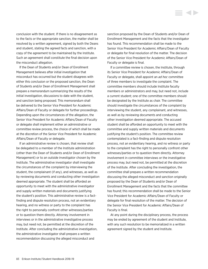conclusion with the student. If there is no disagreement as to the facts or the appropriate sanction, the matter shall be resolved by a written agreement, signed by both the Deans and student, stating the agreed facts and sanction, with a copy of the agreement to be maintained by the Institute. Such an agreement shall constitute the final decision upon the misconduct allegation.

If the Dean of Students and/or Dean of Enrollment Management believes after initial investigation that misconduct has occurred but the student disagrees with either this conclusion or the proposed sanction, the Dean of Students and/or Dean of Enrollment Management shall prepare a memorandum summarizing the results of the initial investigation, discussions to date with the student, and sanction being proposed. This memorandum shall be delivered to the Senior Vice President for Academic Affairs/Dean of Faculty or delegate for further proceedings. Depending upon the circumstances of the allegation, the Senior Vice President for Academic Affairs/Dean of Faculty or delegate shall implement either an administrative or committee review process, the choice of which shall be made at the discretion of the Senior Vice President for Academic Affairs/Dean of Faculty or delegate.

If an administrative review is chosen, that review shall be delegated to a member of the Institute administration (other than the Dean of Students and/or Dean of Enrollment Management) or to an outside investigator chosen by the Institute. The administrative investigator shall investigate the circumstances of the complaint by interviewing the student, the complainant (if any), and witnesses, as well as by reviewing documents and conducting other investigation deemed appropriate. The student shall be afforded an opportunity to meet with the administrative investigator and supply written materials and documents justifying the student's position. This administrative review is a factfinding and dispute resolution process, not an evidentiary hearing, and no witness or party to the complaint has the right to personally confront other witnesses/parties or to question them directly. Attorney involvement in interviews or in the administrative investigative process may, but need not, be permitted at the discretion of the Institute. After concluding the administrative investigation, the administrative investigator shall prepare a written recommendation discussing the alleged misconduct and

sanction proposed by the Dean of Students and/or Dean of Enrollment Management and the facts that the investigator has found. This recommendation shall be made to the Senior Vice President for Academic Affairs/Dean of Faculty or delegate for final resolution of the matter. The decision of the Senior Vice President for Academic Affairs/Dean of Faculty or delegate is final.

**KID** 

If a committee review is chosen, the Institute, through its Senior Vice President for Academic Affairs/Dean of Faculty or delegate, shall appoint an *ad hoc* committee of three members to investigate the complaint. The committee members should include Institute faculty members or administrators and may, but need not, include a current student; one of the committee members should be designated by the Institute as chair. The committee should investigate the circumstances of the complaint by interviewing the student, any complainant, and witnesses, as well as by reviewing documents and conducting other investigation deemed appropriate. The accused student shall be afforded an opportunity to meet with the committee and supply written materials and documents justifying the student's position. The committee review contemplated is a fact-finding and dispute resolution process, not an evidentiary hearing, and no witness or party to the complaint has the right to personally confront other witnesses/parties or to question them directly. Attorney involvement in committee interviews or the investigative process may, but need not, be permitted at the discretion of the Institute. After concluding the investigation, the committee shall prepare a written recommendation discussing the alleged misconduct and sanction originally proposed by the Dean of Students and/or Dean of Enrollment Management and the facts that the committee has found; this recommendation shall be made to the Senior Vice President for Academic Affairs/Dean of Faculty or delegate for final resolution of the matter. The decision of the Senior Vice President for Academic Affairs/Dean of Faculty is final.

At any point during the disciplinary process, the process may be ended by agreement of the student and Institute, with any such resolution to be memorialized in a written agreement signed by the student and Institute.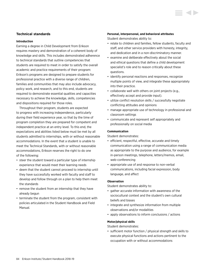## **Technical standards**

#### **Introduction**

Earning a degree in Child Development from Erikson requires mastery and demonstration of a coherent body of knowledge and skills. This includes demonstrated adherence to technical standards that outline competencies that students are required to meet in order to satisfy the overall academic and practice requirements of their program: Erikson's programs are designed to prepare students for professional practice with a diverse range of children, families and communities that may also include advocacy, policy work, and research, and to this end, students are required to demonstrate essential qualities and capacities necessary to achieve the knowledge, skills, competencies and dispositions required for those roles.

Throughout their program, students are expected to progress with increasing independence, particularly during their field experience year, so that by the time of program completion they are prepared for competent and independent practice at an entry level. To this end, the expectations and abilities listed below must be met by all students admitted to internships, with or without reasonable accommodations. In the event that a student is unable to meet the Technical Standards, with or without reasonable accommodations, Erikson reserves the right to do one of the following:

- steer the student toward a particular type of internship experience that would meet their learning needs
- deem that the student cannot proceed to internship until they have successfully worked with faculty and staff to develop and follow through on a plan to help them meet the standards
- remove the student from an internship that they have already begun
- terminate the student from the program, consistent with policies articulated in the Student Handbook and Field Manual.

#### **Personal, interpersonal, and behavioral attributes**

Student demonstrates ability to:

- relate to children and families, fellow students, faculty and staff, and other service providers with honesty, integrity, and dedication and in a non-discriminatory manner.
- examine and deliberate effectively about the social and ethical questions that define a child development specialist's role and to reason critically about these questions.
- identify personal reactions and responses, recognize multiple points of view, and integrate these appropriately into their practice.
- collaborate well with others on joint projects (e.g., effectively accept and provide input).
- utilize conflict resolution skills / successfully negotiate conflicting attitudes and opinions
- manage appropriate use of technology in professional and classroom settings
- communicate and represent self appropriately and professionally on social media

#### **Communication**

Student demonstrates:

- efficient, respectful, effective, accurate and timely communication using a range of communication media as appropriate to the purpose and audience, for example in-person meetings, telephone, letters/memos, email, web-conferencing
- appropriate use of and response to non-verbal communications, including facial expression, body language, and affect

## **Observation**

Student demonstrates ability to:

- gather accurate information with awareness of the sociocultural context and the student's own cultural beliefs and biases
- integrate and synthesize information from multiple observations and/or modalities
- apply observations to inform conclusions / actions

#### **Motor/physical skills**

Student demonstrates:

• sufficient motor function / physical strength and skills to execute physical functions and actions pertinent to the occupation with or without accommodations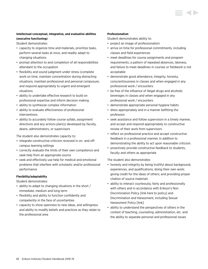## **Intellectual-conceptual, integrative, and evaluative abilities (executive functioning)**

Student demonstrates:

- capacity to organize time and materials, prioritize tasks, perform several tasks at once, and readily adapt to changing situations
- prompt attention to and completion of all responsibilities attendant to the occupation
- flexibility and sound judgment under stress (complete work on time, maintain concentration during distracting situations, maintain professional and personal composure, and respond appropriately to urgent and emergent situations
- ability to undertake effective research to build on professional expertise and inform decision making
- ability to synthesize complex information
- ability to evaluate effectiveness of professional interventions.
- ability to accurately follow course syllabi, assignment directions and any actions plan(s) developed by faculty, deans, administrators, or supervisors

The student also demonstrates capacity to:

- integrate constructive criticism received in on- and offcampus learning settings
- correctly evaluate the limits of their own competence and seek help from an appropriate source
- seek and effectively use help for medical and emotional problems that interfere with scholastic and/or professional performance

## **Flexibility/adaptability**

Student demonstrates:

- ability to adapt to changing situations in the short / immediate, medium and long term
- flexibility and ability to function confidently and competently in the face of uncertainties
- capacity to show openness to new ideas, and willingness and ability to modify beliefs and practices as they relate to the professional area

## **Professionalism**

Student demonstrates ability to:

- project an image of professionalism
- arrive on time for professional commitments, including classes and field experiences
- meet deadlines for course assignments and program requirements; a pattern of repeated absences, lateness, and failure to meet deadlines in courses or fieldwork is not acceptable
- demonstrate good attendance, integrity, honesty, conscientiousness in classes and when engaged in any professional work / encounters
- be free of the influence of illegal drugs and alcoholic beverages in classes and when engaged in any professional work / encounters
- demonstrate appropriate personal hygiene habits
- dress appropriately and in a manner befitting the profession
- seek assistance and follow supervision in a timely manner, and accept and respond appropriately to constructive review of their work from supervisors
- reflect on professional practice and accept constructive feedback in a professional manner, in addition to demonstrating the ability to act upon reasonable criticism.
- proactively provide constructive feedback to students, faculty and others as appropriate

The student also demonstrates:

- honesty and integrity by being truthful about background, experiences, and qualifications; doing their own work; giving credit for the ideas of others; and providing proper citation of source materials
- ability to interact courteously, fairly and professionally with others and in accordance with Erikson's Non Discrimination Policy [link here to policy] and Discrimination and Harassment, including Sexual Harassment Policy [link]
- ability to understand the perspectives of others in the context of teaching, counseling, administration, etc. and the ability to separate personal and professional issues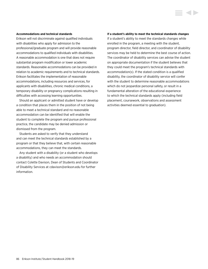#### **Accommodations and technical standards**

Erikson will not discriminate against qualified individuals with disabilities who apply for admission to the professional/graduate program and will provide reasonable accommodations to qualified individuals with disabilities. A reasonable accommodation is one that does not require substantial program modification or lower academic standards. Reasonable accommodations can be provided in relation to academic requirements and to technical standards. Erikson facilitates the implementation of reasonable accommodations, including resources and services, for applicants with disabilities, chronic medical conditions, a temporary disability or pregnancy complications resulting in difficulties with accessing learning opportunities.

Should an applicant or admitted student have or develop a condition that places them in the position of not being able to meet a technical standard and no reasonable accommodation can be identified that will enable the student to complete the program and pursue professional practice, the candidate may be denied admission or dismissed from the program.

Students are asked to verify that they understand and can meet the technical standards established by a program or that they believe that, with certain reasonable accommodations, they can meet the standards.

Any student with a disability (or a student who develops a disability) and who needs an accommodation should contact Colette Davison, Dean of Students and Coordinator of Disability Services at [cdavison@erikson.edu](mailto:cdavison%40erikson.edu?subject=) for further information.

#### **If a student's ability to meet the technical standards changes**

If a student's ability to meet the standards changes while enrolled in the program, a meeting with the student, program director, field director, and coordinator of disability services may be held to determine the best course of action. The coordinator of disability services can advise the student on appropriate documentation if the student believes that they could meet the program's technical standards with accommodation(s). If the stated condition is a qualified disability, the coordinator of disability service will confer with the student to determine reasonable accommodations which do not jeopardize personal safety, or result in a fundamental alteration of the educational experience to which the technical standards apply (including field placement, coursework, observations and assessment activities deemed essential to graduation).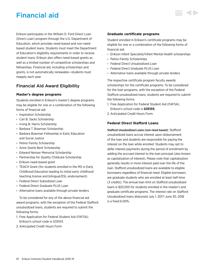# Financial aid

Erikson participates in the William D. Ford Direct Loan (Direct Loan) program through the U.S. Department of Education, which provides need-based and non-needbased student loans. Students must meet the Department of Education's eligibility requirements in order to receive student loans. Erikson also offers need-based grants as well as a limited number of competitive scholarships and fellowships. Financial aid, including scholarships and grants, is not automatically renewable—students must reapply each year.

## Financial Aid Award Eligibility

## **Master's degree programs**

Students enrolled in Erikson's master's degree programs may be eligible for one or a combination of the following forms of financial aid:

- Inspiration Scholarship
- Cari B. Sacks Scholarship
- Irving B. Harris Scholarship
- Barbara T. Bowman Scholarship
- Barbara Bowman Fellowship in Early Education and Social Justice
- Pelino Family Scholarship
- Anne Searle Bent Scholarship
- Edward Neisser Memorial Scholarship
- Partnership for Quality Childcare Scholarship
- Erikson need-based grant
- TEACH Grant (for students enrolled in the MS in Early Childhood Education leading to initial early childhood teaching license and bilingual/ESL endorsement)
- Federal Direct Subsidized Loan
- Federal Direct Graduate PLUS Loan
- Alternative loans available through private lenders

To be considered for any of the above financial aid award programs, with the exception of the Federal Stafford unsubsidized loans, students are required to submit the following forms:

- 1. Free Application for Federal Student Aid (FAFSA). Erikson's school code is G35103.
- 2. Anticipated Credit Hours Form

## **Graduate certificate programs**

Student enrolled in Erikson's certificate programs may be eligible for one or a combination of the following forms of financial aid:

- Erikson Infant Specialist/Infant Mental Health scholarships
- Pelino Family Scholarships
- Federal Direct Unsubsidized Loan
- Federal Direct Graduate PLUS Loan
- Alternative loans available through private lenders

The respective certificate program faculty awards scholarships for the certificate programs. To be considered for the loan programs, with the exception of the Federal Stafford unsubsidized loans, students are required to submit the following forms:

- 1. Free Application for Federal Student Aid (FAFSA). Erikson's school code is **G35103.**
- 2. Anticipated Credit Hours Form

## **Federal Direct Stafford Loans**

Stafford Unsubsidized Loans (non-need based): Stafford unsubsidized loans accrue interest upon disbursement of the loan and students are responsible for paying the interest on the loan while enrolled. Students may opt to defer interest payments during the period of enrollment by adding the accrued interest to the loan principal (also known as capitalization of interest). Please note that capitalization generally results in more interest paid over the life of the loan. Stafford unsubsidized loans are available to eligible borrowers regardless of financial need. Eligible borrowers are graduate students who are enrolled at least half-time (3 credits). The annual loan limit on Stafford unsubsidized loans is \$20,500 for students enrolled in the master's and graduate certificate programs. The interest rate on Stafford Unsubsidized loans disbursed July 1, 2017–June 30, 2018 is a fixed 6.00%.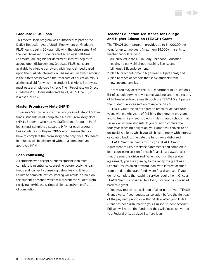## **Graduate PLUS Loan**

This federal loan program was authorized as part of the Deficit Reduction Act of 2005. Repayment on Graduate PLUS loans begins 60 days following the disbursement of the loan; however, students enrolled at least half-time (3 credits) are eligible for deferment. Interest begins to accrue upon disbursement. Graduate PLUS loans are available to eligible borrowers with financial need based upon their FAFSA information. The maximum award amount is the difference between the total cost of education minus all financial aid for which the student is eligible. Borrowers must pass a simple credit check. The interest rate on Direct Graduate PLUS loans disbursed July 1, 2017–June 30, 2018 is a fixed 7.00%.

## **Master Promissory Note (MPN)**

To receive Stafford unsubsidized and/or Graduate PLUS loan funds, students must complete a Master Promissory Note (MPN). Students who receive Stafford and Graduate PLUS loans must complete a separate MPN for each program. Erikson utilizes multi-year MPN's which means that you have to complete the promissory note only once. No federal loan funds will be disbursed without a completed and approved MPN.

#### **Loan counseling**

All students who accept a federal student loan must complete loan entrance counseling before receiving loan funds and loan exit counseling before leaving Erikson. Failure to complete exit counseling will result in a hold on the student's account, which will prevent the student from receiving her/his transcripts, diploma, and/or certificate of completion.

## **Teacher Education Assistance for College and Higher Education (TEACH) Grant**

The TEACH Grant program provides up to \$4,000.00 per year, for up to two years (maximum \$8,000) in grants to teacher candidates who:

- 1. are enrolled in the MS in Early Childhood Education leading to early childhood teaching license and bilingual/ESL endorsement;
- 2. plan to teach full-time in high-need subject areas; and
- 3. plan to teach at schools that serve students from low-income families.

Note: You may access the U.S. Department of Education's list of schools serving low income students and the directory of high-need subject areas through the TEACH Grant page in the Student Services section of *my.erikson.edu*.

TEACH Grant recipients agree to teach for at least four years within eight years of finishing their degree program and to teach high-need subjects in designated schools that serve low-income students. If you do not complete the four-year teaching obligation, your grant will convert to an unsubsidized loan, which you will have to repay with interest calculated back to the date the funds were disbursed.

TEACH Grant recipients must sign a TEACH Grant Agreement to Serve (service agreement) and complete a loan counseling session for each financial aid award year that the award is disbursed. When you sign the service agreement, you are agreeing to the repay the grant as a Federal Unsubsidized Stafford loan, with interest accrued from the date the grant funds were first disbursed, if you do not complete the teaching service requirement. Once a TEACH Grant is converted to a loan, it cannot be converted back to a grant.

You may request cancellation of all or part of your TEACH Grant award. If you request cancellation before the first day of the payment period or within 14 days after your TEACH Grant has been disbursed to your Erikson student account, Erikson will return the funds and they will not be converted to a Federal Unsubsidized Stafford loan.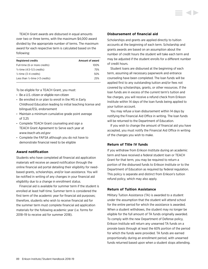TEACH Grant awards are disbursed in equal amounts over two or three terms, with the maximum \$4,000 award divided by the appropriate number of terms. The maximum award for each respective term is calculated based on the following:

| <b>Registered credits</b>                  | Amount of award |
|--------------------------------------------|-----------------|
| Full-time (6 or more credits)              | 100%            |
| 3/ <sub>4</sub> -time (4.5–5.5 credits)    | 75%             |
| $\frac{1}{2}$ -time (3–4 credits)          | 50%             |
| Less than $\frac{1}{2}$ -time (<3 credits) | 25%             |

To be eligible for a TEACH Grant, you must:

- Be a U.S. citizen or eligible non-citizen
- Be enrolled in or plan to enroll in the MS in Early Childhood Education leading to initial teaching license and bilingual/ESL endorsement
- Maintain a minimum cumulative grade point average of 3.25
- Complete TEACH Grant counseling and sign a TEACH Grant Agreement to Serve each year at *<www.teach-ats.ed.gov>*
- Complete the FAFSA although you do not have to demonstrate financial need to be eligible

## **Award notification**

Students who have completed all financial aid application materials will receive an award notification through the online financial aid portal detailing their eligibility for needbased grants, scholarships, and/or loan assistance. You will be notified in writing of any changes in your financial aid eligibility due to a change in enrollment status.

Financial aid is available for summer term if the student is enrolled at least half-time. Summer term is considered the first term of the academic year for financial aid purposes; therefore, students who wish to receive financial aid for the summer term must complete financial aid application materials for the following academic year (i.e. forms for 2018–19 to receive aid for summer 2018).

## **Disbursement of financial aid**

Scholarships and grants are applied directly to tuition accounts at the beginning of each term. Scholarship and grants awards are based on an assumption about the number of credit hours the student will take each term and may be adjusted if the student enrolls for a different number of credit hours.

Student loans are disbursed at the beginning of each term, assuming all necessary paperwork and entrance counseling have been completed. The loan funds will be applied first to any outstanding tuition and/or fees not covered by scholarships, grants, or other resources. If the loan funds are in excess of the current term's tuition and fee charges, you will receive a refund check from Erikson Institute within 14 days of the loan funds being applied to your tuition account.

You may refuse a loan disbursement within 14 days by notifying the Financial Aid Office in writing. The loan funds will be returned to the Department of Education.

If you wish to change the amount of financial aid you have accepted, you must notify the Financial Aid Office in writing of the changes you wish to make.

## **Return of Title IV funds**

If you withdraw from Erikson Institute during an academic term and have received a federal student loan or TEACH Grant for that term, you may be required to return a portion of the disbursed funds to Erikson Institute or to the Department of Education as required by federal regulation. This policy is separate and distinct from Erikson's tuition refund policy, which may also apply.

## **Return of Tuition Assistance**

Military Tuition Assistance (TA) is awarded to a student under the assumption that the student will attend school for the entire period for which the assistance is awarded. When a student withdraws, the student may no longer be eligible for the full amount of TA funds originally awarded. To comply with the new Department of Defense policy, Erikson Institute will return any unearned TA funds on a prorate basis through at least the 60% portion of the period for which the funds were provided. TA funds are earned proportionally during an enrollment period, with unearned funds returned based upon when a student stops attending.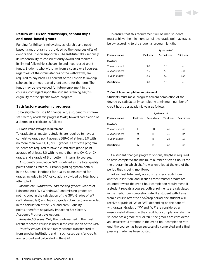## **Return of Erikson fellowships, scholarships and need-based grants**

Funding for Erikson's fellowship, scholarship and needbased grant programs is provided by the generous gifts of donors and Erikson supporters. The Institute takes seriously its responsibility to conscientiously award and monitor its limited fellowship, scholarship and need-based grant funds. Students who withdraw from a course or all courses, regardless of the circumstances of the withdrawal, are required to pay back 100 percent of the Erikson fellowship, scholarship or need-based grant award for the term. The funds may be re-awarded for future enrollment in the courses, contingent upon the student retaining her/his eligibility for the specific award program.

## **Satisfactory academic progress**

To be eligible for Title IV financial aid, a student must make satisfactory academic progress (SAP) toward completion of a degree or certificate as follows:

#### 1. Grade Point Average requirement

To graduate, all master's students are required to have a cumulative grade point average (GPA) of at least 3.0 with no more than two C+, C, or C− grades. Certificate program students are required to have a cumulative grade point average of at least 3.0 with no more than one C+, C, or C− grade, and a grade of B or better in internship courses.

A student's cumulative GPA is defined as the total quality points earned (refer to Erikson's grading system details in the Student Handbook for quality points earned for grades included in GPA calculations) divided by total hours attempted.

*Incomplete, Withdrawal, and missing grades:* Grades of I (Incomplete), W (Withdrawal) and missing grades are not included in the calculation of the GPA. Grades of WF (Withdrawal, fail) and NG (No grade submitted) are included in the calculation of the GPA and earn 0 quality points, therefore negatively impacting Satisfactory Academic Progress evaluations.

*Repeated Courses:* Only the grade earned in the most recent repeated course is used in the calculation of the GPA.

*Transfer credits:* Erikson rarely accepts transfer credits from another institution, and in such cases transfer credits are recorded and calculated in the GPA.

To ensure that this requirement will be met, students must achieve the minimum cumulative grade point averages below according to the student's program length:

|                    |                   | By the end of |            |  |
|--------------------|-------------------|---------------|------------|--|
| Program option     | <b>First year</b> | Second year   | Third year |  |
| Master's           |                   |               |            |  |
| 2-year student     | 3.0               | 3.0           | na         |  |
| 3-year student     | 2.5               | 3.0           | 3.0        |  |
| 4-year student     | 2.5               | 3.0           | 3.0        |  |
| <b>Certificate</b> | 3.0               | 3.0           | na         |  |

#### 2. Credit hour completion requirement

Students must make progress toward completion of the degree by satisfactorily completing a minimum number of credit hours per academic year as follows:

|                       |            | By the end of |                   |             |
|-----------------------|------------|---------------|-------------------|-------------|
| <b>Program option</b> | First vear | Second year   | <b>Third vear</b> | Fourth year |
| Master's              |            |               |                   |             |
| 2-year student        | 18         | 38            | na                | na          |
| 3-year student        | 9          | 18            | 38                | na          |
| 4-year student        | 9          | 18            | 28                | 38          |
| <b>Certificate</b>    | 6          | 18            | na                | na          |

If a student changes program options, she/he is required to have completed the minimum number of credit hours for the program in which she/he was enrolled at the end of the period that is being monitored.

Erikson Institute rarely accepts transfer credits from another institution, and in such cases transfer credits are counted toward the credit hour completion requirement. If a student repeats a course, both enrollments are calculated in the credit hour completion rate. If a student withdraws from a course after the add/drop period, the student will receive a grade of 'W' or 'WF' depending on the date of withdrawal. Grades of 'W' and 'WF' are considered an unsuccessful attempt in the credit hour completion rate. If a student has a grade of 'I' or 'NG', the grades are considered an unsuccessful attempt in the credit hour completion rate until the course has been successfully completed and a final passing grade has been posted.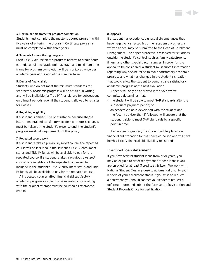### 3. Maximum time frame for program completion

Students must complete the master's degree program within five years of entering the program. Certificate programs must be completed within three years.

## 4. Schedule for monitoring progress

Each Title IV aid recipient's progress relative to credit hours earned, cumulative grade point average and maximum time frame for program completion will be monitored once per academic year at the end of the summer term.

## 5. Denial of financial aid

Students who do not meet the minimum standards for satisfactory academic progress will be notified in writing and will be ineligible for Title IV financial aid for subsequent enrollment periods, even if the student is allowed to register for classes.

## 6. Regaining eligibility

If a student is denied Title IV assistance because she/he has not maintained satisfactory academic progress, courses must be taken at the student's expense until the student's progress meets all requirements of this policy.

## 7. Repeated course work

If a student retakes a previously *failed* course, the repeated course will be included in the student's Title IV enrollment status and Title IV funds will be available to pay for the repeated course. If a student retakes a previously *passed* course, one repetition of the repeated course will be included in the student's Title IV enrollment status and Title IV funds will be available to pay for the repeated course.

All repeated courses affect financial aid satisfactory academic progress calculations. A repeated course along with the original attempt must be counted as attempted credits.

### 8. Appeals

If a student has experienced unusual circumstances that have negatively affected his or her academic progress, a written appeal may be submitted to the Dean of Enrollment Management. The appeals process is reserved for situations outside the student's control, such as family catastrophe, illness, and other special circumstances. In order for the appeal to be considered, a student must submit information regarding why she/he failed to make satisfactory academic progress and what has changed in the student's situation that would allow the student to demonstrate satisfactory academic progress at the next evaluation.

Appeals will only be approved if the SAP review committee determines that:

- the student will be able to meet SAP standards after the subsequent payment period; or
- an academic plan is developed with the student and the faculty advisor that, if followed, will ensure that the student is able to meet SAP standards by a specific point in time.

If an appeal is granted, the student will be placed on financial aid probation for the specified period and will have her/his Title IV financial aid eligibility reinstated.

## **In-school loan deferment**

If you have federal student loans from prior years, you may be eligible to defer repayment of those loans if you are enrolled for at least 3 credits at Erikson. We work with National Student Clearinghouse to automatically notify your lenders of your enrollment status. If you wish to request a deferment, you should contact your lender to request a deferment form and submit the form to the Registration and Student Records Office for certification.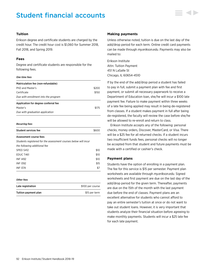# Student financial accounts



## **Tuition**

Erikson degree and certificate students are charged by the credit hour. The credit hour cost is \$1,060 for Summer 2018, Fall 2018, and Spring 2019.

## **Fees**

Degree and certificate students are responsible for the following fees.

#### *One time fees*

| Matriculation fee (non-refundable)   |       |
|--------------------------------------|-------|
| PhD and Master's                     | \$200 |
| Certificate                          | \$150 |
| Due with enrollment into the program |       |
| Application for degree conferral fee |       |
| Master's                             | \$175 |
| Due with graduation application      |       |

#### *Recurring fees*

#### Assessment course fees

*Students registered for the assessment courses below will incur* 

| the following additional fee |      |
|------------------------------|------|
| SPED S412                    | \$10 |
| EDUC T461                    | \$10 |
| <b>INF 1492</b>              | \$10 |
| <b>INF 1392</b>              | \$15 |
| <b>INF 1374</b>              | \$7  |
|                              |      |

#### *Other fees*

| Late registration    | \$100 per course |
|----------------------|------------------|
| Tuition payment plan | \$15 per term    |

#### **Making payments**

Unless otherwise noted, tuition is due on the last day of the add/drop period for each term. Online credit card payments can be made through *my.erikson.edu*. Payments may also be mailed to:

Erikson Institute Attn: Tuition Payment 451 N LaSalle St Chicago, IL 60654-4510

If by the end of the add/drop period a student has failed to pay in full, submit a payment plan with fee and first payment, or submit all necessary paperwork to receive a Department of Education loan, she/he will incur a \$100 late payment fee. Failure to make payment within three weeks of a late fee being applied may result in being de-registered from classes. If a student makes payment in full after being de-registered, the faculty will review the case before she/he will be allowed to re-enroll and return to class.

Erikson Institute accepts any of the following: personal checks, money orders, Discover, MasterCard, or Visa. There will be a \$25 fee for all returned checks. If a student incurs two insufficient funds fees, personal checks will no longer be accepted from that student and future payments must be made with a certified or cashier's check.

## **Payment plans**

Students have the option of enrolling in a payment plan. The fee for this service is \$15 per semester. Payment plan worksheets are available through *my.erikson.edu*. Signed worksheets and first payment are due on the last day of the add/drop period for the given term. Thereafter, payments are due on the 15th of the month with the last payment due before the end of classes. Payment plans are an excellent alternative for students who cannot afford to pay an entire semester's tuition at once or do not want to take out student loans. However, it is very important that students analyze their financial situation before agreeing to make monthly payments. Students will incur a \$25 late fee for each late payment.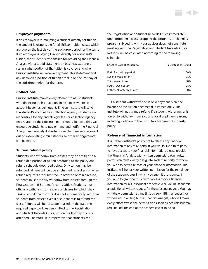## <span id="page-93-0"></span>**Employer payments**

If an employer is reimbursing a student directly for tuition, the student is responsible for all Erikson tuition costs, which are due on the last day of the add/drop period for the term. If an employer is paying Erikson directly for a student's tuition, the student is responsible for providing the Financial Analyst with a typed statement on business stationery stating what portion of the tuition is covered and when Erikson Institute will receive payment. This statement and any uncovered portion of tuition are due on the last day of the add/drop period for the term.

## **Collections**

Erikson Institute makes every attempt to assist students with financing their education. In instances where an account becomes delinquent, Erikson Institute will send the student's account to a collection agency. Students are responsible for any and all legal fees or collection agency fees related to their delinquent accounts. To avoid this, we encourage students to pay on time and notify the Financial Analyst immediately if she/he is unable to make a payment due to extenuating circumstances so other arrangements can be made.

### **Tuition refund policy**

Students who withdraw from classes may be entitled to a refund of a portion of tuition according to the policy and refund schedule described below. Only tuition may be refunded; all fees will be due as charged regardless of when refund requests are submitted. In order to obtain a refund, students must officially withdraw from classes through the Registration and Student Records Office. Students must officially withdraw from a class or classes for which they seek a refund; the Institute does not automatically withdraw students from classes even if a student fails to attend the class. Refunds will be calculated based on the date the required paperwork was submitted to the Registration and Student Records Office, not on the last day of class attended. Therefore, it is imperative that students see

the Registration and Student Records Office immediately upon dropping a class, dropping the program, or changing programs. Meeting with your advisor does not constitute meeting with the Registration and Student Records Office. Refunds will be calculated according to the following schedule:

| <b>Effective Date of Withdrawal</b> | Percentage of Refund |
|-------------------------------------|----------------------|
| End of add/drop period              | 100%                 |
| Second week of term                 | 75%                  |
| Third week of term                  | 50%                  |
| Fourth week of term                 | 25%                  |
| Fifth week of term or later         | 0%                   |

If a student withdraws and is on a payment plan, the balance of the tuition becomes due immediately. The Institute will not grant a refund if a student withdraws or is forced to withdraw from a course for disciplinary reasons, including violation of the Institute's academic dishonesty policy.

### **Release of financial information**

It is Erikson Institute's policy not to release any financial information to any third party. If you would like a third party to have access to your financial information, please provide the Financial Analyst with written permission. Your written permission must clearly designate each third party to whom you wish to permit release of your financial information. The Institute will honor your written permission for the remainder of the academic year in which you submit the request. If you wish to grant permission for access to your financial information for a subsequent academic year, you must submit an additional written request for the subsequent year. You may withdraw permission at any time by submitting a request for withdrawal in writing to the Financial Analyst, who will make every effort revoke the permission as soon as possible but may require until the end of the academic year to do so.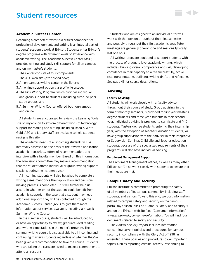## Student resources

## **Academic Success Center**

Becoming a competent writer is a critical component of professional development, and writing is an integral part of students' academic work at Erikson. Students enter Erikson's degree programs with different levels of experience with academic writing. The Academic Success Center (ASC) provides writing and study skill support for all on campus and online master's students.

The Center consists of four components:

- 1. The ASC web site (*[asc.erikson.edu](http://asc.erikson.edu)*);
- 2. An on-campus writing center in the library;
- 3. An online support option via [asc@erikson.edu](mailto:asc%40erikson.edu?subject=);
- 4. The Pick Writing Program, which provides individual and group support to students, including tutor-led peer study groups; and
- 5. A Summer Writing Course, offered both on-campus and online.

All students are encouraged to review the Learning Tools site on my.erikson to explore different kinds of technology support for reading and writing, including Read & Write Gold. ASC and Library staff are available to help students navigate this site.

The academic needs of all incoming students will be informally assessed on the basis of their written application, academic transcripts, letters of recommendation, and interview with a faculty member. Based on this information, the admissions committee may make a recommendation that the student attend individual or group writing support sessions during the academic year.

All incoming students will also be asked to complete a writing assessment once their application and decisionmaking process is completed. This will further help us ascertain whether or not the student could benefit from academic support. In the case that a student may need additional support, they will be contacted through the Academic Success Center (ASC) to give them more information about services available, including a 4-week Summer Writing Course.

In the summer course, students will be introduced to, or have an opportunity to review, graduate-level reading and writing expectations in the mater's program. The summer writing course is also available to all incoming and continuing master's students regardless of whether they've been given a recommendation to take the course. Students who are taking the class are asked to make a commitment to attend all sessions.

Students who are assigned to an individual tutor will work with that person throughout their first semester and possibly throughout their first academic year. Tutor meetings are generally one-on-one and sessions typically last one hour.

All writing tutors are equipped to support students with the process of graduate level academic writing, which includes: building overall competence and skill, developing confidence in their capacity to write successfully, active reading/annotating, outlining, writing drafts and reflecting. [See page 45](#page-45-0) for course descriptions.

#### **Advising**

#### **Faculty Advising**

All students will work closely with a faculty advisor throughout their course of study. Group advising, in the form of monthly seminars, is provided to first year master's degree students and three year students in their second year. Individual advising is provided to certificate and PhD students. Masters degree students entering their internship year, with the exception of Teacher Education students, will have group supervision with their adviser in their Integrative or Supervision Seminar. Child Life and Teacher education students, because of the specialized requirements of their programs, will also have individual advising.

#### **Enrollment Management Support**

The Enrollment Management offices, as well as many other Erikson staff, also work closely with students to ensure that their needs are met.

#### **Campus safety and security**

Erikson Institute is committed to promoting the safety of all members of its campus community, including staff, students, and visitors. Toward this end, we post information related to campus safety and security on the campus portal, my.erikson (click on "Campus Safety and Security") and on the Erikson website (see "Consumer Information," *[www.erikson.edu/consumer-information](http://www.erikson.edu/consumer-information)*. You will find four documents related to safety and security.

The *Annual Security Report* includes information concerning current policies and procedures for campus security in compliance with the Clery Act of 1998, as amended. These policies and procedures cover important topics such as reporting criminal activity, responding to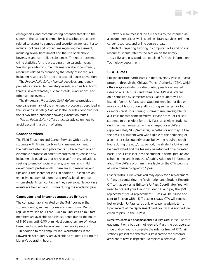emergencies, and communicating potential threats to the safety of the campus community. It describes procedures related to access to campus and security awareness. It also includes policies and procedures regarding harassment, including sexual harassment and the use of alcoholic beverages and controlled substances. The report presents crime statistics for the preceding three calendar years. We also provide consumer information about community resources related to promoting the safety of individuals, including resources for drug and alcohol abuse prevention.

The *Fire and Life Safety Manual* describes emergency procedures related to life/safety events, such as fire, bomb threats, severe weather, nuclear threats, evacuations, and other serious events.

The *Emergency Procedures Quick Reference* provides a one-page summary of the emergency procedures described in the *Fire and Life Safety Manual.* It also includes floor plans for floors two, three, and four, showing evacuation routes.

*Tips on Public Safety* offers practical advice on how to avoid becoming a victim of crime.

#### **Career services**

The Field Education and Career Services Office assists students with finding part- or full-time employment in the field and internship placements. Erikson maintains an electronic database of career resources on *my.erikson.edu*, including job postings that we receive from organizations seeking to employ social workers, teachers, and child development professionals. There are also resources and tips about the search for jobs. In addition, Erikson has an extensive network of alumni and professional contacts, whom students can contact as they seek jobs. Networking events are held at various times during the academic year.

#### **Computer and Internet access at Erikson**

The computer lab is located on the 3rd floor near the student lounge, seminar rooms and classrooms. During regular term, lab hours are 8:30 a.m. until 8:00 p.m. Staff members are available to assist students during the hours of 8:30 a.m. until 6:00 p. m. Most computers are Windows based and students have access to network printers.

In addition to the computer lab, workstations in the Edward Neisser Library are available to students during the Library's operating hours.

Network resources include full access to the Internet via a secure network, as well as online library services, printing, career resources, and online course areas.

Students requiring tutoring in computer skills and online resources should refer to the section on the library.

User IDs and passwords are obtained from the Information Technology department.

#### **CTA U-Pass**

Erikson Institute participates in the University Pass (U-Pass) program through the Chicago Transit Authority (CTA), which offers eligible students a discounted pass for unlimited rides on all CTA buses and trains. The U-Pass is offered on a semester-by-semester basis. Each student will be issued a Ventra U-Pass card. Students enrolled for five or more credit hours during fall or spring semesters, or four or more credit hours during summer term, are eligible for a U-Pass for that semester/term. Please note: For Erikson students to be eligible for the U-Pass, all eligible students during a given semester will be charged for a U-Pass (approximately \$130/semester), whether or not they utilize the pass. If a student who was eligible at the beginning of a semester subsequently drops below the required credit hours during the add/drop period, the student's U-Pass will be deactivated and the fee may be refunded on a prorated basis. The U-Pass includes the student' s name, picture, and school name, and is not transferable. Additional information about the U-Pass program is available on the CTA web site at *<www.transitchicago.com/upass>*.

Lost or stolen U-Pass card: You may apply for a replacement U-Pass by contacting the Registration and Student Records Office that serves as Erikson's U-Pass Coordinator. You will need to present your Erikson student ID and pay the \$50 replacement fee. A replacement U-Pass will be issued and sent to Erikson within 5–7 business days. CTA will replace lost or stolen U-Pass cards only once per academic term. Upon receipt of the replacement card, you will be notified via email to pick up the U-Pass.

Defective, damaged or demagnetized U-Pass card: If the CTA fare equipment on a bus can not read a U-Pass, the bus operator should allow you to complete the ride for free. At CTA rail stations, present the defective U-Pass card to the customer assistant to have it inspected. To replace a defective U-Pass,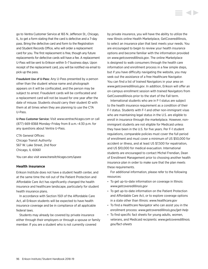go to Ventra Customer Service at 165 N. Jefferson St., Chicago, IL, to get a form stating that the card is defective and a 7-day pass. Bring the defective card and form to the Registration and Student Records Office, who will order a replacement card for you. The first replacement is free, though any future replacements for defective cards will have a fee. A replacement U-Pass will be sent to Erikson within 5–7 business days. Upon receipt of the replacement card, you will be notified via email to pick up the pass.

Fraudulent Use of U-Pass: Any U-Pass presented by a person other than the student whose name and photograph appears on it will be confiscated, and the person may be subject to arrest. Fraudulent cards will be confiscated and a replacement card will not be issued for one year after the date of misuse. Students should carry their student ID with them at all times when they are planning to use the CTA U-Pass.

U-Pass Customer Service: Visit *<www.ventrachicago.com>* or call (877) 669-8368 Monday–Friday from 8 a.m.–4:30 p.m. for any questions about Ventra U-Pass.

CTA General Offices: Chicago Transit Authority 567 W. Lake Street, 2nd floor Chicago, IL 60661

You can also visit *<www.transitchicago.com/upass>*

## **Health insurance**

Erikson Institute does not have a student health center, and at the same time the roll out of the Patient Protection and Affordable Care Act has significantly changed the health insurance and healthcare landscape, particularly for student health insurance plans.

In accordance with Section 1501 of the Affordable Care Act, all Erikson students will be expected to have health insurance coverage and be in compliance of all applicable federal laws.

Students may already be covered by private insurance either through their employers or through a spouse or family member. If you are a student who is not currently covered

by private insurance, you will have the ability to utilize the new Illinois online Health Marketplace, GetCoveredIllinois, to select an insurance plan that best meets your needs. You are encouraged to begin to review your health insurance options and become familiar with the information provided on *<www.getcoveredillinois.gov>*. The online Marketplace is designed to walk consumers through the health care information and enrollment process in a few simple steps, but if you have difficulty navigating the website, you may seek out the assistance of a free Healthcare Navigator. You can find a list of trained Navigators in your area on *<www.getcoveredillinois.gov>*. In addition, Erikson will offer an on-campus enrollment session with trained Navigators from GetCoveredIllinois prior to the start of the Fall term.

International students who are in F-1 status are subject to the health insurance requirement as a condition of their F-1 status. Students with F-1 and other non-immigrant visas who are maintaining legal status in the U.S. are eligible to enroll in insurance through the marketplace. However, nonimmigrant students are not eligible for Medicaid unless they have been in the U.S. for five years. Per F-1 student regulations, comparable policies must cover the full period of enrollment and must cover a minimum of US \$50,000 for accident or illness, and at least US \$7,500 for repatriation, and US \$10,000 for medical evacuation. International students are encouraged to contact Michel Frendian, Dean of Enrollment Management prior to choosing another health insurance plan in order to make sure that the plan meets these requirements.

For additional information, please refer to the following resources:

- To get up-to-date information on coverage in Illinois: *[www.getcoveredillinois.gov](http://www.getcoveredillinois.gov)*
- To get up-to-date information on the Patient Protection and Affordable Care Act, or to explore coverage options in a state other than Illinois: *[www.healthcare.gov](http://www.healthcare.gov)*
- To find a Healthcare Navigator who can assist you in the enrollment process: *[www.getcoveredillinois.gov/get-help](http://www.getcoveredillinois.gov/get-help)*
- To find specific fact sheets for young adults, women, veterans, and Medicaid recipients: *[www.getcoveredillinois.](http://www.getcoveredillinois.gov/fact-sheets) [gov/fact-sheets](http://www.getcoveredillinois.gov/fact-sheets)*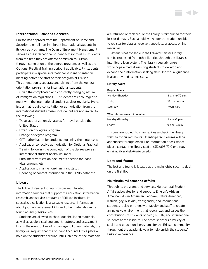## **International Student Services**

Erikson has approval from the Department of Homeland Security to enroll non-immigrant international students in its degree programs. The Dean of Enrollment Management serves as the international student advisor to all F-1 students from the time they are offered admission to Erikson through completion of the degree program, as well as the Optional Practical Training period if applicable. F-1 students participate in a special international student orientation meeting before the start of their program at Erikson. This orientation is separate and distinct from the general orientation programs for international students.

Given the complicated and constantly changing nature of immigration regulations, F-1 students are encouraged to meet with the international student advisor regularly. Typical issues that require consultation or authorization from the international student advisor include, but are not limited to, the following:

- Travel authorization signatures for travel outside the United States
- Extension of degree program
- Change of degree program
- CPT authorization for students beginning their internship
- Application to receive authorization for Optional Practical Training following the completion of the degree program
- International student health insurance
- Enrollment verification documents needed for loans, visa renewals, etc.
- Application to change non-immigrant status
- Updating of contact information in the SEVIS database

## **Library**

The Edward Neisser Library provides multifaceted information services that support the education, information, research, and service programs of Erikson Institute. Its specialized collection is a valuable resource. Information about journals, assessment kits and other materials can be found at *<library.erikson.edu>*.

Students are allowed to check out circulating materials, as well as audio-visual equipment, laptops, and assessment kits. In the event of loss of or damage to library materials, the library will request that the Student Accounts Office place a hold on the student's account until such time as the materials are returned or replaced, or the library is reimbursed for their loss or damage. Such a hold will render the student unable to register for classes, receive transcripts, or access online resources.

Materials not available in the Edward Neisser Library can be requested from other libraries through the library's interlibrary loan system. The library regularly offers workshops aimed at assisting students to develop and expand their information seeking skills. Individual guidance is also provided as necessary.

#### **Library hours**

#### Regular hours

| 10 a.m. - 4 p.m. |
|------------------|
|                  |
| Hours vary       |
|                  |

### When classes are not in session

| Monday-Thursday | 9 a.m. – 5 p.m. |
|-----------------|-----------------|
| Friday          | 9 a.m. – 4 p.m. |

Hours are subject to change. Please check the library website for current hours. Unanticipated closures will be announced through email. For information or assistance, please contact the library staff at (312) 893-7210 or through email at [libraryhelp@erikson.edu](mailto:libraryhelp%40erikson.edu?subject=).

## **Lost and found**

The lost and found is located at the main lobby security desk on the first floor.

## **Multicultural student affairs**

Through its programs and services, Multicultural Student Affairs advocates for and supports Erikson's African American, Asian American, Latina/o, Native American, lesbian, gay, bisexual, transgender, and international students. It also partners with faculty and staff to create an inclusive environment that recognizes and values the contributions of students of color, LGBTQ, and international students at the Institute. The office sponsors a variety of social and educational programs for the Erikson community throughout the academic year to help enrich the students' Erikson experience.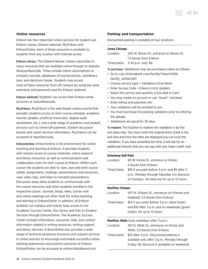## **Online resources**

Erikson has four important online services for student use: Erikson Library, Erikson webmail, My.Erikson and EriksonOnline. Each of these resources is available to students from any location with Internet access.

Erikson Library: The Edward Neisser Library subscribes to many resources that are available online through its website: *<library.erikson.edu>.* These include online subscriptions to scholarly journals, databases of journal articles, interlibrary loan, and electronic books. Students may access most of these resources from off-campus by using the same username and password used for Erikson webmail.

Erikson webmail: Students can access their Erikson email accounts at *<mail.erikson.edu>.*

My.Erikson: My.Erikson is the web-based campus portal that provides students access to their course schedule, academic records (grades, unofficial transcripts, degree audit worksheets, etc.), and a wide range of academic and student services such as online bill-payment, student discussion boards and career services information. My.Erikson can be accessed at *my.erikson.edu*.

EriksonOnline: EriksonOnline is the environment for online teaching and learning at Erikson. It provides students with remote access to course materials, online research and library resources, as well as communication and collaboration tools for each course at Erikson. Within each course site students are able to view, save and print course syllabi, assignments, readings, presentations and resources, view video clips, and listen to narrated presentations. Discussion areas allow students to communicate with the course instructor and other students enrolled in the respective course. Journals, blogs, wikis, course mail and online meetings are other tools for online teaching and learning in EriksonOnline. In addition, all Erikson students (on-campus and online) have access to the Academic Success Center, the Library and links to Student Services through EriksonOnline. The Academic Success Center includes information, resources, links, and contact information related to writing resources, writing support, and library services. EriksonOnline also provides a wide range of technical assistance resources and support services to online learners to encourage and enable successful online learning experiences and positive outcomes at Erikson. EriksonOnline can be accessed at *[erikson.blackboard.com.](http://erikson.blackboard.com)*

#### **Parking and transportation**

Discounted parking is available at four locations.

## **Jones Chicago**

| Location: | 220 W. Illinois St.: entrance on Illinois St.: |
|-----------|------------------------------------------------|
|           | 1.5 blocks from Erikson                        |
|           | Times/rates: $3-10$ p.m. only: $$6$            |

To purchase: Validations may be purchased online as follows:

- Go to *[cnp.clickandpark.com/facility/?search%5b](https://cnp.clickandpark.com/facility/?search%5bfacility_id%5d=831) [facility\\_id%5d=831](https://cnp.clickandpark.com/facility/?search%5bfacility_id%5d=831)*
- Choose service type = Validation (click Next)
- Enter Access Code = Erikson (click Update)
- Select the service and quantity (click Add to Cart)
- You may create an account or use "Guest" checkout
- Enter billing and payment info
- Your validation will be emailed to you
- You must purchase the parking validation prior to entering the garage
- Validations are good for 30 days

To redeem: The location to redeem the validation is by the exit lanes only. You must insert the original entry ticket in the exit lane and once the rates are displayed you can scan the validation. If you have exceeded the time, it will ask for an additional amount that you can pay with any major credit card

## **Greenway Self-Park** Location: 60 W. Kinzie St., entrance on Kinzie; 2 blocks from Erikson Times/rates: \$18 if you park before 3 p.m. and \$5 after 3 p.m., Monday through Saturday (no discount on Sunday). All rates are for up to 12 hours.

#### **MartParc Orleans**

| Location: | 437 N. Orleans St., entrances on Orleans and               |
|-----------|------------------------------------------------------------|
|           | Hubbard: 3.5 blocks from Erikson                           |
|           | Times/rates: \$14 if you enter before 3 p.m. (blue ticket) |
|           | and \$10 after 3 p.m. and on weekends (green               |
|           | ticket), for up to 12 hours.                               |
|           |                                                            |

|           | <b>MartParc Wells</b> (only weekdays after 3 p.m.) |
|-----------|----------------------------------------------------|
| Location: | 401 N. Wells St., entrances on Kinzie and          |

| Wells. 2.5 blocks from Erikson.                      |
|------------------------------------------------------|
| Times/rates: \$10 after 3 p.m. Discounted parking is |
| available only after 3 p.m., Monday through          |
| Friday. No discount is available on weekends.        |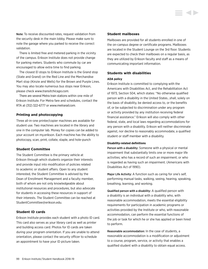Note: To receive discounted rates, request validation from the security desk in the main lobby. Please make sure to note the garage where you parked to receive the correct validation.

There is limited free and metered parking in the vicinity of the campus. Erikson Institute does not provide change for parking meters. Students who commute by car are encouraged to allow extra time to find parking.

The closest El stops to Erikson Institute is the Grand stop (State and Grand) on the Red Line and the Merchandise Mart stop (Kinzie and Wells) for the Brown and Purple Lines. You may also locate numerous bus stops near Erikson, please check *<www.transitchicago.com>.*

There are several Metra train stations within one mile of Erikson Institute. For Metra fare and schedules, contact the RTA at (312) 322-6777 or *<www.metrarail.com>.*

## **Printing and photocopying**

Three all-in-one printer/copier machines are available for student use. Two machines are located in the library and one in the computer lab. Money for copies can be added to your account on my.erikson. Each machine has the ability to photocopy, scan, print, collate, staple, and hole-punch

## **Student Committee**

The Student Committee is the primary vehicle at Erikson through which students organize their interests and provide input into modification of policies related to academic or student affairs. Open to any student interested, the Student Committee is advised by the Dean of Enrollment Management and a faculty member, both of whom are not only knowledgeable about institutional resources and procedures, but also advocate for students in accessing these resources in support of their interests. The Student Committee can be reached at [StudentCommittee@erikson.edu.](mailto:StudentCommittee%40erikson.edu?subject=)

## **Student ID cards**

Erikson Institute provides each student with a photo ID card. This card also serves as your library card as well as printer and building access card. Photos for ID cards are taken during your program orientation. If you are unable to attend orientation, please contact the security officer to schedule an appointment to have your ID picture taken.

## **Student mailboxes**

Mailboxes are provided for all students enrolled in one of the on-campus degree or certificate programs. Mailboxes are located in the Student Lounge on the 3rd floor. Students are expected to check their mailboxes on a regular basis, as they are utilized by Erikson faculty and staff as a means of communicating important information.

## **Students with disabilities**

#### **ADA policy**

Erikson Institute is committed to complying with the Americans with Disabilities Act, and the Rehabilitation Act of 1973, Section 504, which states: "No otherwise qualified person with a disability in the United States…shall, solely on the basis of disability, be denied access to, or the benefits of, or be subjected to discrimination under any program or activity provided by any institution receiving federal financial assistance." Erikson will also comply with other federal, state, and local laws regarding accommodations for any person with a disability. Erikson will neither discriminate against, nor decline to reasonably accommodate, a qualified student or staff member with a disability.

#### **Disability-related definitions**

Person with a disability: Someone with a physical or mental impairment that substantially limits one or more major life activities; who has a record of such an impairment; or who is regarded as having such an impairment. (Americans with Disabilities Act of 1990).

Major Life Activity: A function such as caring for one's self, performing manual tasks, walking, seeing, hearing, speaking, breathing, learning, and working.

Qualified person with a disability: A qualified person with a disability is an individual with a disability who, with reasonable accommodation, meets the essential eligibility requirements for participation in academic programs or activities provided by the Institute or who, with reasonable accommodation, can perform the essential functions of the job or task for which he or she has applied or been hired to perform.

Reasonable accommodation: In the case of students, a reasonable accommodation is a modification or adjustment to a course, program, service, or activity that enables a qualified student with a disability to obtain equal access.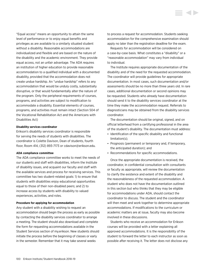"Equal access" means an opportunity to attain the same level of performance or to enjoy equal benefits and privileges as are available to a similarly situated student without a disability. Reasonable accommodations are individualized and flexible and are based on the nature of the disability and the academic environment. They provide equal access, not an unfair advantage. The ADA requires an institution of higher education to provide reasonable accommodation to a qualified individual with a documented disability, provided that the accommodation does not create undue hardship. An "undue hardship" refers to any accommodation that would be unduly costly, substantially disruptive, or that would fundamentally alter the nature of the program. Only the peripheral requirements of courses, programs, and activities are subject to modification to accommodate a disability. Essential elements of courses, programs, and activities must remain intact (Section 504 of the Vocational Rehabilitation Act and the Americans with Disabilities Act)

#### **Disability services coordinator**

Erikson's disability services coordinator is responsible for serving the needs of students with disabilities. The coordinator is Colette Davison, Dean of students, fourth floor, Room 414, (312) 893-7173 or [cdavison@erikson.edu](mailto:cdavison%40erikson.edu?subject=).

#### **ADA compliance committee**

The ADA compliance committee works to meet the needs of our students and staff with disabilities, inform the Institute of disability issues, and acquaint our faculty and staff with the available services and process for receiving services. This committee has two student-related goals: 1) to ensure that students with disabilities enjoy educational opportunities equal to those of their non-disabled peers; and 2) to increase access by students with disability to valued experiences, activities, and roles.

#### **Procedure for applying for accommodation**

Any student with a disability wishing to request an accommodation should begin the process as early as possible by contacting the disability services coordinator to arrange a meeting. The student should also download and complete the form for requesting accommodations available in the Student Services section of my.erikson. New students should initiate the process before the beginning of classes or early in the semester. Remember that it may take several weeks

to process a request for accommodation. Students seeking accommodation for the comprehensive examination should apply no later than the registration deadline for the exam.

Requests for accommodation will be considered on a case-by-case basis. What constitutes a "disability" or a "reasonable accommodation" may vary from individual to individual.

The Institute requires appropriate documentation of the disability and of the need for the requested accommodation. The coordinator will provide guidelines for appropriate documentation. In most cases, such documentation and/or assessments should be no more than three years old. In rare cases, additional documentation or second opinions may be requested. Students who already have documentation should send it to the disability services coordinator at the time they make the accommodation request. Referrals to diagnosticians may be obtained from the disability services coordinator.

The documentation should be original, signed, and on official letterhead from a certifying professional in the area of the student's disability. The documentation must address:

- Identification of the specific disability and functional limitation(s);
- Prognosis (permanent or temporary and, if temporary, the anticipated duration); and
- Recommendations for specific accommodations.

Once the appropriate documentation is received, the coordinator, in confidential consultation with consultants or faculty as appropriate, will review the documentation to clarify the existence and extent of the disability and the reasonableness of the requested accommodation. A student who does not have the documentation outlined in this section but who thinks that they may be eligible for accommodations under ADA, should contact the coordinator to discuss. The student and the coordinator will then meet and work together to determine appropriate accommodations. If modifications to the curriculum or academic matters are at issue, faculty may also become involved in these discussions.

Students who receive an accommodation for Erikson courses will be provided with a letter explaining all approved accommodations. It is the responsibility of the student to forward the letter to each instructor as soon as possible after receiving it. The letter does not disclose any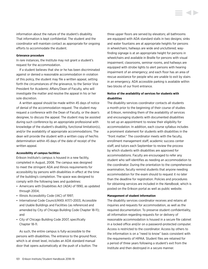information about the nature of the student's disability. That information is kept confidential. The student and the coordinator will maintain contact as appropriate for ongoing efforts to accommodate the student.

#### **Grievance procedure**

In rare instances, the Institute may not grant a student's request for the accommodation.

If a student believes that she or he has been discriminated against or denied a reasonable accommodation in violation of this policy, the student may file a written appeal, setting forth the circumstances of the grievance, to the Senior Vice President for Academic Affairs/Dean of Faculty, who will investigate the matter and resolve the appeal in his or her sole discretion.

A written appeal should be made within 45 days of notice of denial of the accommodation request. The student may request a conference with the Dean of Faculty, or the dean's designee, to discuss the appeal. The student may be assisted during such conference by an appropriate professional with knowledge of the student's disability, functional limitation(s), and/or the availability of appropriate accommodations. The dean will provide the student with a written copy of her/his determination within 45 days of the date of receipt of the written appeal.

#### **Accessibility of campus facilities**

Erikson Institute's campus is housed in a new facility, completed in August, 2008. The campus was designed to meet the stringent ADA and Illinois requirements for accessibility by persons with disabilities in effect at the time of the building's completion. The space was designed to comply with the following laws and guidelines:

- Americans with Disabilities Act (ADA) of 1990, as updated through 2004;
- Illinois Accessibility Code (IAC) of 1997;
- International Code Council/ANSI A117.1-2003, Accessible and Usable Buildings and Facilities (as referenced and amended by City of Chicago Building Code Chapter 18-11); and
- City of Chicago Building Code 2007, specifically Chapter 18-11.

As such, the entire campus is fully-accessible to the persons with disabilities. The entrance to the ground floor, which is at street level, includes an ADA standard manual door that opens automatically at the push of a button. The three upper floors are served by elevators; all bathrooms are equipped with ADA standard stalls in two designs; sinks and water fountains are at appropriate heights for persons in wheelchairs; hallways are wide and uncluttered; wayfinding signage is at an appropriate height for persons in wheelchairs and available in Braille for persons with visual impairment; classrooms, seminar rooms, and hallways are equipped with strobe lights to alert persons with hearing impairment of an emergency; and each floor has an area of rescue assistance for people who are unable to exit by stairs in an emergency. ADA accessible parking is available within two blocks of our front entrance.

## **Notice of the availability of services for students with disabilities**

The disability services coordinator contacts all students a month prior to the beginning of their course of studies at Erikson, reminding them of the availability of services and encouraging students with documented disabilities to set up an appointment to review their eligibility for accommodation. In addition, each course syllabus includes a prominent statement for students with disabilities in the "front matter." The coordinator meets with the faculty, enrollment management staff, academic success center staff, and tutors each September to review the process by which students with disabilities are approved for accommodations. Faculty are encouraged to refer any student who self-identifies as needing an accommodation to the coordinator. During the orientation to the comprehensive examination, faculty remind students that anyone needing accommodation for the exam should to request it no later than the deadline for registration. Policies and procedures for obtaining services are included in the *Handbook*, which is posted on the Erikson portal as well as public website.

#### **Management of student information**

The disability services coordinator receives and retains all inquiries and requests for accommodation, as well as the required documentation. To preserve student confidentiality, all information regarding requests for or delivery of reasonable accommodation is housed in a secure file cabinet in a locked office and/or on a password-protected computer. Access is restricted to the coordinator. Access by others to the information is on a "need to know" basis consistent with the requirements of HIPAA. Student files are retained for a period of three years following a student's exit from the Institute and then destroyed in a secure manner.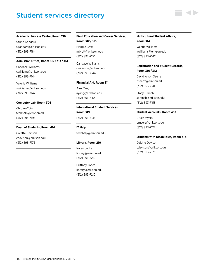# Student services directory

#### **Academic Success Center, Room 216**

Stripe Gandara [sgandara@erikson.edu](mailto:sgandara%40erikson.edu?subject=) (312) 893-7184

#### **Admission Office, Room 312 / 313 / 314**

Candace Williams [cwilliams@erikson.edu](mailto:cwilliams%40erikson.edu?subject=) (312) 893-7144

Valerie Williams [vwilliams@erikson.edu](mailto:vwilliams%40erikson.edu?subject=) (312) 893-7142

### **Computer Lab, Room 303**

Chip AuCoin [techhelp@erikson.edu](mailto:techhelp%40erikson.edu?subject=) (312) 893-7196

#### **Dean of Students, Room 414**

Colette Davison [cdavison@erikson.edu](mailto:cdavison%40erikson.edu?subject=) (312) 893-7173

## **Field Education and Career Services, Room 312 / 316**

Maggie Brett [mbrett@erikson.edu](mailto:mbrett%40erikson.edu?subject=) (312) 893-7221

Candace Williams [cwilliams@erikson.edu](mailto:cwilliams%40erikson.edu?subject=) (312) 893-7144

#### **Financial Aid, Room 311**

Alex Yang [ayang@erikson.edu](mailto:ayang%40erikson.edu?subject=) (312) 893-7154

## **International Student Services, Room 319** (312) 893-7145

[techhelp@erikson.edu](mailto:techhelp%40erikson.edu?subject=)

#### **Library, Room 210**

**IT Help**

Karen Janke [library@erikson.edu](mailto:library%40erikson.edu?subject=) (312) 893-7210

Brittany Jones [library@erikson.edu](mailto:library%40erikson.edu?subject=) (312) 893-7210

## **Multicultural Student Affairs, Room 314**

Valerie Williams [vwilliams@erikson.edu](mailto:vwilliams%40erikson.edu?subject=) (312) 893-7142

## **Registration and Student Records, Room 310 / 312**

David Arron Saenz [dsaenz@erikson.edu](mailto:dsaenz%40erikson.edu?subject=) (312) 893-7141

Stacy Branch [sbranch@erikson.edu](mailto:sbranch%40erikson.edu?subject=) (312) 893-7153

#### **Student Accounts, Room 457**

Bruce Myers [bmyers@erikson.edu](mailto:bmyers%40erikson.edu%20?subject=)  (312) 893-7122

#### **Students with Disabilities, Room 414**

Colette Davison [cdavison@erikson.edu](mailto:cdavison%40erikson.edu?subject=) (312) 893-7173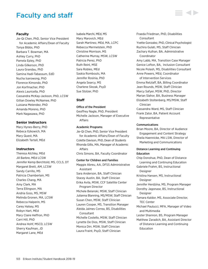# Faculty and staff

## **Faculty**

Jie-Qi Chen, PhD, Senior Vice President for Academic Affairs/Dean of Faculty Tonya Bibbs, PhD Barbara T. Bowman, MA Ashley Curry, PhD Pamela Epley, PhD Linda Gilkerson, PhD Laura Grandau, PhD Samina Hadi-Tabassum, EdD Nucha Isarowong, PhD Florence Kimondo, PhD Jon Korfmacher, PhD Alexis Lauricella, PhD Cassandra McKay-Jackson, PhD, LCSW Gillian Dowley McNamee, PhD Luisiana Melendez, PhD Amanda Moreno, PhD Mark Nagasawa, PhD

## **Senior Instructors**

Mary Hynes-Berry, PhD Rebeca Itzkowich, MA Mary Quest, MA Elizabeth Tertell, MEd

### **Instructors**

Theresa Atchley, MEd Jill Barbre, MEd LCSW Jennifer Kemp Berchtold, MS, CCLS, DT Margaret Brett, AM, LCSW Sandy Carrillo, MS Patricia Chamberlain, MS Charles Chang, MA Amy Clark, MA Terra Ellingson, MA Andria Goss, MS, MSW Melinda Gronen, MA, LCSW Rebecca Halperin, MS Carey Halsey, MS Robyn Hart, MEd Mary Claire Heffron, PhD Carri Hill, PhD Andrea Hohf, MSCD, LCSW Sherry Kaufman, JD Margaret Lane, MEd

Isabela Marchi, MEd, MS Mary Marovich, MEd Sarah Martinez, MEd, MA, LCPC Rebecca Mermelstein, PhD Christine Morrison, MS Catherine Murray, MSW, LCSW Patricia Perez, PhD Ruth Reinl, MSE Sara Robles, MEd Saskia Rombouts, MA Jennifer Rosinia, PhD Angela Searcy, MS Charlene Slezak, PsyD Sue Stolzer, PhD

## **Staff**

#### Office of the President

Geoffrey Nagle, PhD, President Michelle Jackson, Manager of Executive Affairs

#### Academic Programs

Jie-Qi Chen, PhD, Senior Vice President for Academic Affairs/Dean of Faculty Colette Davison, PhD, Dean of Students Rhonda Gillis, MA, Manager of Academic Affairs Chris Simons, BA, Faculty Coordinator

Center for Children and Families Maggie Abreu, AA, DFSS Administrative Assistant Sara Anderson, BA, Staff Clinician Stacey Austin, BA, Staff Clinician Erika Avila, MSW, CCF Satellite Center Program Director Michele Belanski, MSW, Staff Clinician Julianna Blanning, MS/MSW, Staff Clinician Susan Chen, MSW, Staff Clinician Lauren Cooper, MS, Transition Manager Aleida Jaimes Correa, BS, Disabilities Consultant Michelle Costello, MSW, Staff Clinician Lynette De Dios, MSW, Staff Clinician Monica Dirr, MSW, Staff Clinician Laura Fraint, PsyD, Staff Clinician

Fraeda Friedman, PhD, Disabilities Consultant Yvette Gonzalez, PhD, Clinical Psychologist Ruchira Gulati, MS, Staff Clinician Zachary Kulhan, BA, Administrative Coordinator Amy Labb, MA, Transition Case Manager Genice Lofton, BA, Inclusion Consultant Nicole Polash, MS, Disabilities Consultant Anne Powers, MEd, Coordinator of Intervention Services

Emma Retzlaff, BA, Billing Coordinator Jean Rounds, MSW, Staff Clinician Marcy Safyer, MSW, PhD, Director Marian Slahor, BA, Business Manager Elizabeth Stoltenberg, MS/MSW, Staff Clinician Cassandra Ward, MS, Staff Clinician

Frank Zator, BA, Patient Account Representative

### Communications

Brian Moore, BA, Director of Audience Engagement and Content Strategy Sheila Haennicke, MA LSW, Director of Marketing and Communications

## Distance Learning and Continuing Education

Chip Donohue, PhD, Dean of Distance Learning and Continuing Education Gabriele Frahm, BS, Instructional Designer Kristina Hansen, MS, Instructional **Designer** Jennifer Herdzina, MS, Program Manager Dorothy Jagonase, BS, Instructional Designer Tamara Kaldor, MS, Associate Director, TEC Center Michael Paulucci, MFA, Manager of Video and Multimedia Lester Shannon, BS, Program Manager Matthew Zaradich, BA, Assistant Director of Distance Learning and Continuing Education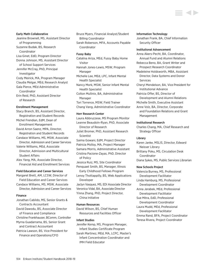#### Early Math Collaborative

- Jeanine Brownell, MS, Assistant Director of Programming Suzanne Budak, BS, Research Coordinator
- Lisa Ginet, EdD, Program Director Donna Johnson, MS, Assistant Director of School Support Services

Jennifer McCray, PhD, Principal Investigator Cody Meirick, MA, Program Manager Claudia Melgar, MEd, Research Analyst

Gala Pierce, MEd Administrative Coordinator

Erin Reid, PhD, Assistant Director of Research

#### Enrollment Management

Stacy Branch, BS, Assistant Director, Registration and Student Records Michel Frendian, EdM, Dean of Enrollment Management David Arron Saenz, MPA, Director, Registration and Student Records Candace Williams, MS, MSW, Associate Director, Admission and Career Services Valerie Williams, MEd, Associate Director, Admission and Multicultural Student Affairs

Alex Yang, MA, Associate Director, Financial Aid and Enrollment Services

#### Field Education and Career Services

Margaret Brett, AM, LCSW, Director of Field Education and Career Services Candace Williams, MS, MSW, Associate Director, Admission and Career Services

#### Finance

Jonathan Cabildo, MS, Senior Grants & Contracts Accountant David Dawodu, BS, Associate Director of Finance and Compliance Christine Frankhauser, BComm, Controller Myrna Guadarrama, BS, Senior Grant and Contract Accountant Patricia Lawson, BS, Vice President for Finance and Operations/CFO

Bruce Myers, Financial Analyst/Student Billing Coordinator

Sarah Roberson, MFA, Accounts Payable Coordinator

#### Fussy Baby

Catalina Ariza, MEd, Fussy Baby Home Visitor Hannah Jones-Lewis, MSW, Program Manager Michelle Lee, MEd, LPC, Infant Mental Health Specialist

Nancy Mork, MSW, Senior Infant Mental Health Specialist

Colton Mullinix, BA, Administrative Manager Tori Torrence, MSW, Field Trainer

Chang Vang, Administrative Coordinator

#### Herr Research Center

Laura Abbruzzese, MS Program Monitor Leanne Beaudoin-Ryan, PhD, Associate Director of Research Juliet Bromer, PhD, Assistant Research **Scientist** Saima Gowani, EdM, Project Director Patricia Molloy, MA, Project Manager Samara Morris, Administrative Assistant Cristina Pacione-Zayas, PhD, Director of Policy Jessica Ruiz, MS, Site Coordinator Penquaet Smith, BS, Manager, Illinois Early Childhood Fellows Program Lenoy Thottappilly, BS, Web Applications Developer Jaclyn Vasquez, MS, EDI Associate Director Veronica Vidal, BA, Associate Director Yinna Zhang, PhD, Project Director, China Initiative

#### Human Resources

David Wilson, BS, Chief Human Resources and Facilities Officer

#### Infant Studies

Jennifer Kemp, MS, Program Manager, Infant Studies Certificate Program Sarah Martinez, MEd, MA, LCPC, Master's Infant Concentration Coordinator and IMH Field Educator

#### Information Technology

Jonathan Frank, BA, Chief Information Security Officer

#### Institutional Advancement

Anna Akers-Pecht, BA, Coordinator, Annual Fund and Alumni Relations

Rebecca Beno, BA, Grant Writer and Prospect Research Coordinator

- Madeleine Holdsworth, MBA, Assistant Director, Data Systems and Donor Services
- Cheryl Mendelson, BA, Vice President for Institutional Advance
- Patricia Offer, BS, Director of Development and Alumni Relations
- Michelle Smith, Executive Assistant
- Anne Volz, BA, Director, Corporate and Foundation Relations and Grant Management

#### Institutional Research

Charles Chang, MA, Chief Research and Strategy Officer

#### Library

Karen Janke, MSLIS, Director, Edward Neisser Library Brittany Poku, MS, Circulation Desk Coordinator Diana Sykes, MS, Public Services Librarian

#### New Schools Project

Valencia Burney, MS, Professional Development Facilitator Linda Hamburg, MS, Professional Development Coordinator Anna Jerabek, MEd, Professional Development Facilitator Sue Mitra, EdD, Professional Development Coordinator Laura Mudd, MEd, Professional Development Facilitator Emma Rand, BFA, Project Coordinator Teresa Rivera, Project Coordinator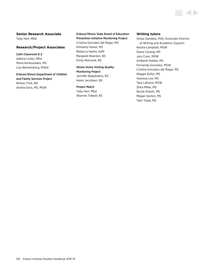## **Senior Research Associate**

Toby Herr, MEd

## **Research/Project Associates**

Calm Classroom K-2 Adenia Linker, MEd Maria Kontoudakis, MS Lisa Wartemberg, MSEd

Erikson/Illinois Department of Children and Family Services Project Kelsey Crick, BA Andria Goss, MS, MSW

## Erikson/Illinois State Board of Education Prevention Initiative Monitoring Project

Cristina Gonzalez del Riego, MS Kimberly Hanes, MS Rebecca Harles, EdM Margaret Reardon, BS Emily Reznicek, BS

Illinois Home Visiting Quality Monitoring Project Jennifer Baquedano, BS Helen Jacobsen, BS

## Project Match

Toby Herr, MEd Warrine Tidwell, BS

## **Writing tutors**

Stripe Gandara, PhD, Associate Director of Writing and Academic Support Keisha Campbell, MSW Diane Carasig, MS Jess Coon, MSW Amberle Dekker, MS Fernando Gonzalez, MSW Cristina Gonzalez del Riego, MS Maggie Koller, MS Vanessa Lee, MS Tara Lattanzi, MSW Shira Miller, MS Nicole Polash, MS Megan Sexton, MS Talin Tokat, MS